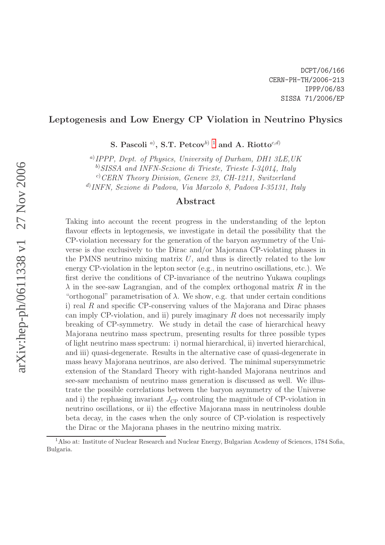# Leptogenesis and Low Energy CP Violation in Neutrino Physics

S. Pascoli <sup>a)</sup>, S.T. Petcov<sup>b) [1](#page-0-0)</sup> and A. Riotto<sup>c,d)</sup>

a) IPPP, Dept. of Physics, University of Durham, DH1 3LE,UK

<sup>b</sup>)SISSA and INFN-Sezione di Trieste, Trieste I-34014, Italy

 $c$ ) CERN Theory Division, Geneve 23, CH-1211, Switzerland

d) INFN, Sezione di Padova, Via Marzolo 8, Padova I-35131, Italy

#### Abstract

Taking into account the recent progress in the understanding of the lepton flavour effects in leptogenesis, we investigate in detail the possibility that the CP-violation necessary for the generation of the baryon asymmetry of the Universe is due exclusively to the Dirac and/or Majorana CP-violating phases in the PMNS neutrino mixing matrix  $U$ , and thus is directly related to the low energy CP-violation in the lepton sector (e.g., in neutrino oscillations, etc.). We first derive the conditions of CP-invariance of the neutrino Yukawa couplings  $\lambda$  in the see-saw Lagrangian, and of the complex orthogonal matrix R in the "orthogonal" parametrisation of  $\lambda$ . We show, e.g. that under certain conditions i) real  $R$  and specific CP-conserving values of the Majorana and Dirac phases can imply CP-violation, and ii) purely imaginary  $R$  does not necessarily imply breaking of CP-symmetry. We study in detail the case of hierarchical heavy Majorana neutrino mass spectrum, presenting results for three possible types of light neutrino mass spectrum: i) normal hierarchical, ii) inverted hierarchical, and iii) quasi-degenerate. Results in the alternative case of quasi-degenerate in mass heavy Majorana neutrinos, are also derived. The minimal supersymmetric extension of the Standard Theory with right-handed Majorana neutrinos and see-saw mechanism of neutrino mass generation is discussed as well. We illustrate the possible correlations between the baryon asymmetry of the Universe and i) the rephasing invariant  $J_{\rm CP}$  controling the magnitude of CP-violation in neutrino oscillations, or ii) the effective Majorana mass in neutrinoless double beta decay, in the cases when the only source of CP-violation is respectively the Dirac or the Majorana phases in the neutrino mixing matrix.

<span id="page-0-0"></span><sup>&</sup>lt;sup>1</sup>Also at: Institute of Nuclear Research and Nuclear Energy, Bulgarian Academy of Sciences, 1784 Sofia, Bulgaria.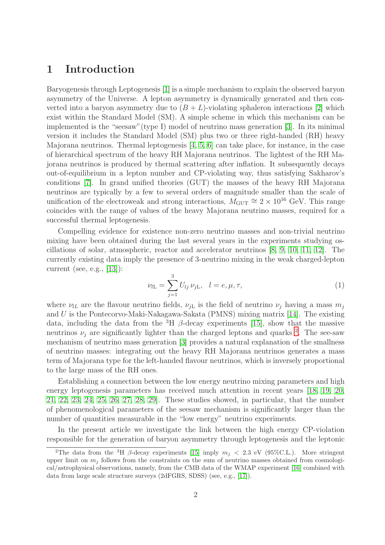## 1 Introduction

Baryogenesis through Leptogenesis [\[1\]](#page-42-0) is a simple mechanism to explain the observed baryon asymmetry of the Universe. A lepton asymmetry is dynamically generated and then converted into a baryon asymmetry due to  $(B + L)$ -violating sphaleron interactions [\[2\]](#page-42-1) which exist within the Standard Model (SM). A simple scheme in which this mechanism can be implemented is the "seesaw"(type I) model of neutrino mass generation [\[3\]](#page-42-2). In its minimal version it includes the Standard Model (SM) plus two or three right-handed (RH) heavy Majorana neutrinos. Thermal leptogenesis [\[4,](#page-42-3) [5,](#page-42-4) [6\]](#page-42-5) can take place, for instance, in the case of hierarchical spectrum of the heavy RH Majorana neutrinos. The lightest of the RH Majorana neutrinos is produced by thermal scattering after inflation. It subsequently decays out-of-equilibrium in a lepton number and CP-violating way, thus satisfying Sakharov's conditions [\[7\]](#page-42-6). In grand unified theories (GUT) the masses of the heavy RH Majorana neutrinos are typically by a few to several orders of magnitude smaller than the scale of unification of the electroweak and strong interactions,  $M_{\text{GUT}} \cong 2 \times 10^{16}$  GeV. This range coincides with the range of values of the heavy Majorana neutrino masses, required for a successful thermal leptogenesis.

Compelling evidence for existence non-zero neutrino masses and non-trivial neutrino mixing have been obtained during the last several years in the experiments studying oscillations of solar, atmospheric, reactor and accelerator neutrinos [\[8,](#page-42-7) [9,](#page-43-0) [10,](#page-43-1) [11,](#page-43-2) [12\]](#page-43-3). The currently existing data imply the presence of 3-neutrino mixing in the weak charged-lepton current (see, e.g.,  $[13]$ ):

<span id="page-1-1"></span>
$$
\nu_{l\mathcal{L}} = \sum_{j=1}^{3} U_{lj} \, \nu_{j\mathcal{L}}, \quad l = e, \mu, \tau,
$$
\n(1)

where  $\nu_{LL}$  are the flavour neutrino fields,  $\nu_{jL}$  is the field of neutrino  $\nu_j$  having a mass  $m_j$ and U is the Pontecorvo-Maki-Nakagawa-Sakata (PMNS) mixing matrix [\[14\]](#page-43-5). The existing data, including the data from the <sup>3</sup>H  $\beta$ -decay experiments [\[15\]](#page-43-6), show that the massive neutrinos  $\nu_j$  are significantly lighter than the charged leptons and quarks <sup>[2](#page-1-0)</sup>. The see-saw mechanism of neutrino mass generation [\[3\]](#page-42-2) provides a natural explanation of the smallness of neutrino masses: integrating out the heavy RH Majorana neutrinos generates a mass term of Majorana type for the left-handed flavour neutrinos, which is inversely proportional to the large mass of the RH ones.

Establishing a connection between the low energy neutrino mixing parameters and high energy leptogenesis parameters has received much attention in recent years [\[18,](#page-43-7) [19,](#page-43-8) [20,](#page-43-9) [21,](#page-43-10) [22,](#page-44-0) [23,](#page-44-1) [24,](#page-44-2) [25,](#page-44-3) [26,](#page-44-4) [27,](#page-44-5) [28,](#page-44-6) [29\]](#page-44-7). These studies showed, in particular, that the number of phenomenological parameters of the seesaw mechanism is significantly larger than the number of quantities measurable in the "low energy" neutrino experiments.

In the present article we investigate the link between the high energy CP-violation responsible for the generation of baryon asymmetry through leptogenesis and the leptonic

<span id="page-1-0"></span><sup>&</sup>lt;sup>2</sup>The data from the <sup>3</sup>H  $\beta$ -decay experiments [\[15\]](#page-43-6) imply  $m_j < 2.3$  eV (95%C.L.). More stringent upper limit on  $m_j$  follows from the constraints on the sum of neutrino masses obtained from cosmological/astrophysical observations, namely, from the CMB data of the WMAP experiment [\[16\]](#page-43-11) combined with data from large scale structure surveys (2dFGRS, SDSS) (see, e.g., [\[17\]](#page-43-12)).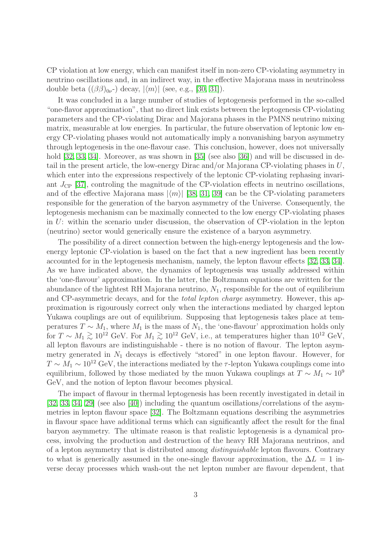CP violation at low energy, which can manifest itself in non-zero CP-violating asymmetry in neutrino oscillations and, in an indirect way, in the effective Majorana mass in neutrinoless double beta  $((\beta\beta)_{0\nu})$  decay,  $|\langle m \rangle|$  (see, e.g., [\[30,](#page-44-8) [31\]](#page-44-9)).

It was concluded in a large number of studies of leptogenesis performed in the so-called "one-flavor approximation", that no direct link exists between the leptogenesis CP-violating parameters and the CP-violating Dirac and Majorana phases in the PMNS neutrino mixing matrix, measurable at low energies. In particular, the future observation of leptonic low energy CP-violating phases would not automatically imply a nonvanishing baryon asymmetry through leptogenesis in the one-flavour case. This conclusion, however, does not universally hold [\[32,](#page-44-10) [33,](#page-44-11) [34\]](#page-44-12). Moreover, as was shown in [\[35\]](#page-44-13) (see also [\[36\]](#page-44-14)) and will be discussed in detail in the present article, the low-energy Dirac and/or Majorana CP-violating phases in U, which enter into the expressions respectively of the leptonic CP-violating rephasing invariant  $J_{\rm CP}$  [\[37\]](#page-44-15), controling the magnitude of the CP-violation effects in neutrino oscillations, and of the effective Majorana mass  $|\langle m \rangle|$  [\[38,](#page-44-16) [31,](#page-44-9) [39\]](#page-44-17) can be the CP-violating parameters responsible for the generation of the baryon asymmetry of the Universe. Consequently, the leptogenesis mechanism can be maximally connected to the low energy CP-violating phases in U: within the scenario under discussion, the observation of CP-violation in the lepton (neutrino) sector would generically ensure the existence of a baryon asymmetry.

The possibility of a direct connection between the high-energy leptogenesis and the lowenergy leptonic CP-violation is based on the fact that a new ingredient has been recently accounted for in the leptogenesis mechanism, namely, the lepton flavour effects [\[32,](#page-44-10) [33,](#page-44-11) [34\]](#page-44-12). As we have indicated above, the dynamics of leptogenesis was usually addressed within the 'one-flavour' approximation. In the latter, the Boltzmann equations are written for the abundance of the lightest RH Majorana neutrino,  $N_1$ , responsible for the out of equilibrium and CP-asymmetric decays, and for the total lepton charge asymmetry. However, this approximation is rigourously correct only when the interactions mediated by charged lepton Yukawa couplings are out of equilibrium. Supposing that leptogenesis takes place at temperatures  $T \sim M_1$ , where  $M_1$  is the mass of  $N_1$ , the 'one-flavour' approximation holds only for  $T \sim M_1 \gtrsim 10^{12}$  GeV. For  $M_1 \gtrsim 10^{12}$  GeV, i.e., at temperatures higher than  $10^{12}$  GeV, all lepton flavours are indistinguishable - there is no notion of flavour. The lepton asymmetry generated in  $N_1$  decays is effectively "stored" in one lepton flavour. However, for  $T \sim M_1 \sim 10^{12}$  GeV, the interactions mediated by the  $\tau$ -lepton Yukawa couplings come into equilibrium, followed by those mediated by the muon Yukawa couplings at  $T \sim M_1 \sim 10^9$ GeV, and the notion of lepton flavour becomes physical.

The impact of flavour in thermal leptogenesis has been recently investigated in detail in [\[32,](#page-44-10) [33,](#page-44-11) [34,](#page-44-12) [29\]](#page-44-7) (see also [\[40\]](#page-44-18)) including the quantum oscillations/correlations of the asymmetries in lepton flavour space [\[32\]](#page-44-10). The Boltzmann equations describing the asymmetries in flavour space have additional terms which can significantly affect the result for the final baryon asymmetry. The ultimate reason is that realistic leptogenesis is a dynamical process, involving the production and destruction of the heavy RH Majorana neutrinos, and of a lepton asymmetry that is distributed among distinguishable lepton flavours. Contrary to what is generically assumed in the one-single flavour approximation, the  $\Delta L = 1$  inverse decay processes which wash-out the net lepton number are flavour dependent, that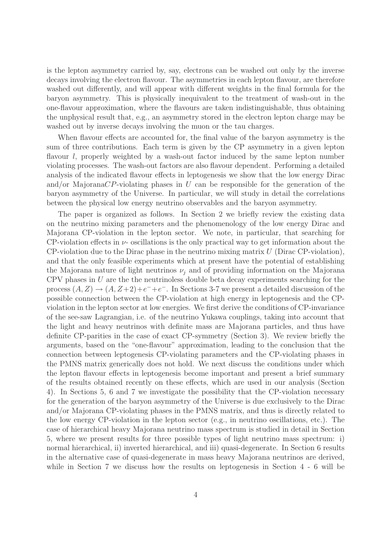is the lepton asymmetry carried by, say, electrons can be washed out only by the inverse decays involving the electron flavour. The asymmetries in each lepton flavour, are therefore washed out differently, and will appear with different weights in the final formula for the baryon asymmetry. This is physically inequivalent to the treatment of wash-out in the one-flavour approximation, where the flavours are taken indistinguishable, thus obtaining the unphysical result that, e.g., an asymmetry stored in the electron lepton charge may be washed out by inverse decays involving the muon or the tau charges.

When flavour effects are accounted for, the final value of the baryon asymmetry is the sum of three contributions. Each term is given by the CP asymmetry in a given lepton flavour l, properly weighted by a wash-out factor induced by the same lepton number violating processes. The wash-out factors are also flavour dependent. Performing a detailed analysis of the indicated flavour effects in leptogenesis we show that the low energy Dirac and/or MajoranaCP-violating phases in U can be responsible for the generation of the baryon asymmetry of the Universe. In particular, we will study in detail the correlations between the physical low energy neutrino observables and the baryon asymmetry.

The paper is organized as follows. In Section 2 we briefly review the existing data on the neutrino mixing parameters and the phenomenology of the low energy Dirac and Majorana CP-violation in the lepton sector. We note, in particular, that searching for CP-violation effects in  $\nu$ - oscillations is the only practical way to get information about the  $CP$ -violation due to the Dirac phase in the neutrino mixing matrix U (Dirac CP-violation), and that the only feasible experiments which at present have the potential of establishing the Majorana nature of light neutrinos  $\nu_i$  and of providing information on the Majorana CPV phases in  $U$  are the the neutrinoless double beta decay experiments searching for the process  $(A, Z) \rightarrow (A, Z+2)+e^-+e^-$ . In Sections 3-7 we present a detailed discussion of the possible connection between the CP-violation at high energy in leptogenesis and the CPviolation in the lepton sector at low energies. We first derive the conditions of CP-invariance of the see-saw Lagrangian, i.e. of the neutrino Yukawa couplings, taking into account that the light and heavy neutrinos with definite mass are Majorana particles, and thus have definite CP-parities in the case of exact CP-symmetry (Section 3). We review briefly the arguments, based on the "one-flavour" approximation, leading to the conclusion that the connection between leptogenesis CP-violating parameters and the CP-violating phases in the PMNS matrix generically does not hold. We next discuss the conditions under which the lepton flavour effects in leptogenesis become important and present a brief summary of the results obtained recently on these effects, which are used in our analysis (Section 4). In Sections 5, 6 and 7 we investigate the possibility that the CP-violation necessary for the generation of the baryon asymmetry of the Universe is due exclusively to the Dirac and/or Majorana CP-violating phases in the PMNS matrix, and thus is directly related to the low energy CP-violation in the lepton sector (e.g., in neutrino oscillations, etc.). The case of hierarchical heavy Majorana neutrino mass spectrum is studied in detail in Section 5, where we present results for three possible types of light neutrino mass spectrum: i) normal hierarchical, ii) inverted hierarchical, and iii) quasi-degenerate. In Section 6 results in the alternative case of quasi-degenerate in mass heavy Majorana neutrinos are derived, while in Section 7 we discuss how the results on leptogenesis in Section 4 - 6 will be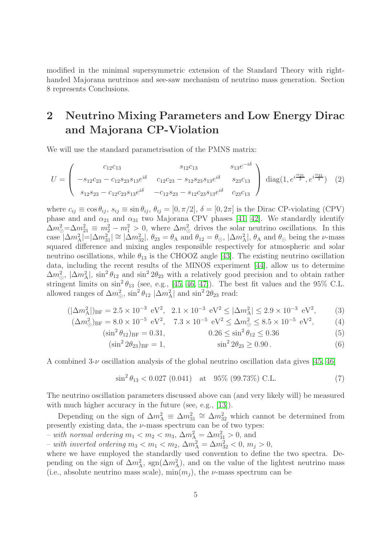modified in the minimal supersymmetric extension of the Standard Theory with righthanded Majorana neutrinos and see-saw mechanism of neutrino mass generation. Section 8 represents Conclusions.

# 2 Neutrino Mixing Parameters and Low Energy Dirac and Majorana CP-Violation

We will use the standard parametrisation of the PMNS matrix:

<span id="page-4-0"></span>
$$
U = \begin{pmatrix} c_{12}c_{13} & s_{12}c_{13} & s_{13}e^{-i\delta} \\ -s_{12}c_{23} - c_{12}s_{23}s_{13}e^{i\delta} & c_{12}c_{23} - s_{12}s_{23}s_{13}e^{i\delta} & s_{23}c_{13} \\ s_{12}s_{23} - c_{12}c_{23}s_{13}e^{i\delta} & -c_{12}s_{23} - s_{12}c_{23}s_{13}e^{i\delta} & c_{23}c_{13} \end{pmatrix} \text{ diag}(1, e^{i\frac{\alpha_{21}}{2}}, e^{i\frac{\alpha_{31}}{2}}) (2)
$$

where  $c_{ij} \equiv \cos \theta_{ij}$ ,  $s_{ij} \equiv \sin \theta_{ij}$ ,  $\theta_{ij} = [0, \pi/2]$ ,  $\delta = [0, 2\pi]$  is the Dirac CP-violating (CPV) phase and and  $\alpha_{21}$  and  $\alpha_{31}$  two Majorana CPV phases [\[41,](#page-44-19) [42\]](#page-44-20). We standardly identify  $\Delta m_{\odot}^2 = \Delta m_{21}^2 \equiv m_2^2 - m_1^2 > 0$ , where  $\Delta m_{\odot}^2$  drives the solar neutrino oscillations. In this case  $|\Delta m_{\rm A}^2| = |\Delta m_{31}^2| \cong |\Delta m_{32}^2|$ ,  $\theta_{23} = \theta_{\rm A}$  and  $\theta_{12} = \theta_{\odot}$ ,  $|\Delta m_{\rm A}^2|$ ,  $\theta_{\rm A}$  and  $\theta_{\odot}$  being the *v*-mass squared difference and mixing angles responsible respectively for atmospheric and solar neutrino oscillations, while  $\theta_{13}$  is the CHOOZ angle [\[43\]](#page-45-0). The existing neutrino oscillation data, including the recent results of the MINOS experiment [\[44\]](#page-45-1), allow us to determine  $\Delta m_{\odot}^2$ ,  $|\Delta m_{\rm A}^2|$ ,  $\sin^2 \theta_{12}$  and  $\sin^2 2\theta_{23}$  with a relatively good precision and to obtain rather stringent limits on  $\sin^2\theta_{13}$  (see, e.g., [\[45,](#page-45-2) [46,](#page-45-3) [47\]](#page-45-4)). The best fit values and the 95% C.L. allowed ranges of  $\Delta m_{\odot}^2$ ,  $\sin^2 \theta_{12}$   $|\Delta m_A^2|$  and  $\sin^2 2\theta_{23}$  read:

<span id="page-4-1"></span>
$$
(|\Delta m_{\rm A}^2|)_{\rm BF} = 2.5 \times 10^{-3} \text{ eV}^2, \quad 2.1 \times 10^{-3} \text{ eV}^2 \le |\Delta m_{\rm A}^2| \le 2.9 \times 10^{-3} \text{ eV}^2,\tag{3}
$$

$$
(\Delta m_{\odot}^2)_{\rm BF} = 8.0 \times 10^{-5} \text{ eV}^2, \quad 7.3 \times 10^{-5} \text{ eV}^2 \le \Delta m_{\odot}^2 \le 8.5 \times 10^{-5} \text{ eV}^2,\tag{4}
$$

$$
(\sin^2 \theta_{12})_{BF} = 0.31, \qquad 0.26 \le \sin^2 \theta_{12} \le 0.36 \tag{5}
$$

$$
(\sin^2 2\theta_{23})_{BF} = 1, \qquad \sin^2 2\theta_{23} \ge 0.90 \,. \tag{6}
$$

<span id="page-4-2"></span>A combined  $3-\nu$  oscillation analysis of the global neutrino oscillation data gives [\[45,](#page-45-2) [46\]](#page-45-3)

$$
\sin^2 \theta_{13} < 0.027 \ (0.041) \quad \text{at} \quad 95\% \ (99.73\%) \ \text{C.L.} \tag{7}
$$

The neutrino oscillation parameters discussed above can (and very likely will) be measured with much higher accuracy in the future (see, e.g., [\[13\]](#page-43-4)).

Depending on the sign of  $\Delta m_A^2 \equiv \Delta m_{31}^2 \cong \Delta m_{32}^2$  which cannot be determined from presently existing data, the  $\nu$ -mass spectrum can be of two types:

– with normal ordering  $m_1 < m_2 < m_3$ ,  $\Delta m_A^2 = \Delta m_{31}^2 > 0$ , and

 $-$  with inverted ordering  $m_3 < m_1 < m_2$ ,  $\Delta m_A^2 = \Delta m_{32}^2 < 0$ ,  $m_j > 0$ ,

where we have employed the standardly used convention to define the two spectra. Depending on the sign of  $\Delta m_A^2$ , sgn( $\Delta m_A^2$ ), and on the value of the lightest neutrino mass (i.e., absolute neutrino mass scale),  $\min(m_i)$ , the *v*-mass spectrum can be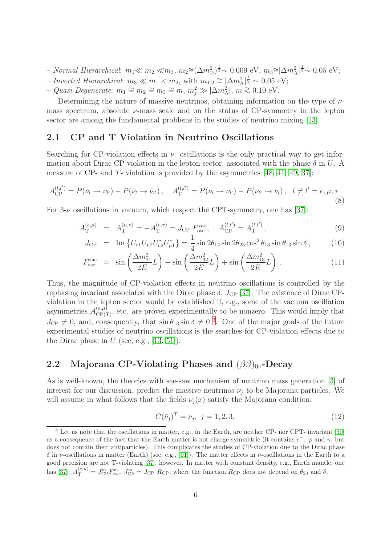- − Normal Hierarchical:  $m_1 \ll m_2 \ll m_3$ ,  $m_2 \approx (\Delta m_\odot^2)^{\frac{1}{2}} \sim 0.009$  eV,  $m_3 \approx |\Delta m_A^2|$  $\frac{1}{2}$ ~ 0.05 eV;
- Inverted Hierarchical:  $m_3 \ll m_1 < m_2$ , with  $m_{1,2} \approx |\Delta m_{\rm A}^2|$  $\frac{1}{2} \sim 0.05 \text{ eV};$
- − Quasi-Degenerate:  $m_1 \cong m_2 \cong m_3 \cong m$ ,  $m_j^2 \gg |\Delta m_A^2|$ ,  $m \gtrsim 0.10$  eV.

Determining the nature of massive neutrinos, obtaining information on the type of  $\nu$ mass spectrum, absolute  $\nu$ -mass scale and on the status of CP-symmetry in the lepton sector are among the fundamental problems in the studies of neutrino mixing [\[13\]](#page-43-4).

#### 2.1 CP and T Violation in Neutrino Oscillations

Searching for CP-violation effects in  $\nu$ - oscillations is the only practical way to get information about Dirac CP-violation in the lepton sector, associated with the phase  $\delta$  in U. A measure of CP- and T- violation is provided by the asymmetries [\[48,](#page-45-5) [41,](#page-44-19) [49,](#page-45-6) [37\]](#page-44-15):

$$
A_{\rm CP}^{(l,l')} = P(\nu_l \to \nu_{l'}) - P(\bar{\nu}_l \to \bar{\nu}_{l'}), \quad A_{\rm T}^{(l,l')} = P(\nu_l \to \nu_{l'}) - P(\nu_{l'} \to \nu_l), \quad l \neq l' = e, \mu, \tau.
$$
\n(8)

For  $3-\nu$  oscillations in vacuum, which respect the CPT-symmetry, one has [\[37\]](#page-44-15):

$$
A_{\rm T}^{(e,\mu)} = A_{\rm T}^{(\mu,\tau)} = -A_{\rm T}^{(e,\tau)} = J_{\rm CP} F_{\rm osc}^{\rm vac}, \quad A_{\rm CP}^{(l,l')} = A_{\rm T}^{(l,l')},\tag{9}
$$

$$
J_{\rm CP} = \text{Im}\left\{ U_{e1} U_{\mu 2} U_{e2}^* U_{\mu 1}^* \right\} = \frac{1}{4} \sin 2\theta_{12} \sin 2\theta_{23} \cos^2 \theta_{13} \sin \theta_{13} \sin \delta \,, \tag{10}
$$

$$
F_{\rm osc}^{\rm vac} = \sin\left(\frac{\Delta m_{21}^2}{2E}L\right) + \sin\left(\frac{\Delta m_{32}^2}{2E}L\right) + \sin\left(\frac{\Delta m_{13}^2}{2E}L\right). \tag{11}
$$

Thus, the magnitude of CP-violation effects in neutrino oscillations is controlled by the rephasing invariant associated with the Dirac phase  $\delta$ ,  $J_{\rm CP}$  [\[37\]](#page-44-15). The existence of Dirac CPviolation in the lepton sector would be established if, e.g., some of the vacuum oscillation asymmetries  $A_{\text{CP(T)}}^{(e,\mu)}$ , etc. are proven experimentally to be nonzero. This would imply that  $J_{\rm CP} \neq 0$ , and, consequently, that  $\sin \theta_{13} \sin \delta \neq 0^3$  $\sin \theta_{13} \sin \delta \neq 0^3$  $\sin \theta_{13} \sin \delta \neq 0^3$ . One of the major goals of the future experimental studies of neutrino oscillations is the searches for CP-violation effects due to the Dirac phase in  $U$  (see, e.g., [\[13,](#page-43-4) [51\]](#page-45-7)).

## 2.2 Majorana CP-Violating Phases and  $(\beta\beta)_{0\nu}$ -Decay

As is well-known, the theories with see-saw mechanism of neutrino mass generation [\[3\]](#page-42-2) of interest for our discussion, predict the massive neutrinos  $\nu_i$  to be Majorana particles. We will assume in what follows that the fields  $\nu_i(x)$  satisfy the Majorana condition:

<span id="page-5-1"></span>
$$
C(\bar{\nu}_j)^T = \nu_j, \ j = 1, 2, 3,
$$
\n(12)

<span id="page-5-0"></span><sup>&</sup>lt;sup>3</sup> Let us note that the oscillations in matter, e.g., in the Earth, are neither CP- nor CPT- invariant [\[50\]](#page-45-8) as a consequence of the fact that the Earth matter is not charge-symmetric (it contains  $e^-$ , p and n, but does not contain their antiparticles). This complicates the studies of CP-violation due to the Dirac phase  $\delta$  in v-oscillations in matter (Earth) (see, e.g., [\[51\]](#page-45-7)). The matter effects in v-oscillations in the Earth to a good precision are not T-violating [\[37\]](#page-44-15), however. In matter with constant density, e.g., Earth mantle, one has [\[37\]](#page-44-15):  $A_{\rm T}^{(e,\mu)} = J_{\rm CP}^{\rm m} F_{\rm osc}^{\rm m}$ ,  $J_{\rm CP}^{\rm m} = J_{\rm CP}$  R<sub>CP</sub>, where the function R<sub>CP</sub> does not depend on  $\theta_{23}$  and  $\delta$ .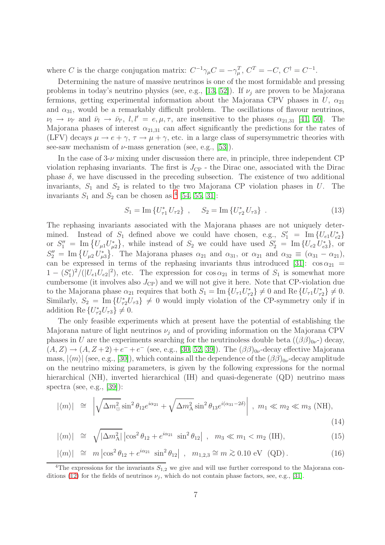where C is the charge conjugation matrix:  $C^{-1}\gamma_{\mu}C = -\gamma_{\mu}^{T}$ ,  $C^{T} = -C$ ,  $C^{\dagger} = C^{-1}$ .

Determining the nature of massive neutrinos is one of the most formidable and pressing problems in today's neutrino physics (see, e.g., [\[13,](#page-43-4) [52\]](#page-45-9)). If  $\nu_i$  are proven to be Majorana fermions, getting experimental information about the Majorana CPV phases in  $U$ ,  $\alpha_{21}$ and  $\alpha_{31}$ , would be a remarkably difficult problem. The oscillations of flavour neutrinos,  $\nu_l \rightarrow \nu_{l'}$  and  $\bar{\nu}_l \rightarrow \bar{\nu}_{l'}, l, l' = e, \mu, \tau$ , are insensitive to the phases  $\alpha_{21,31}$  [\[41,](#page-44-19) [50\]](#page-45-8). The Majorana phases of interest  $\alpha_{21,31}$  can affect significantly the predictions for the rates of (LFV) decays  $\mu \to e + \gamma$ ,  $\tau \to \mu + \gamma$ , etc. in a large class of supersymmetric theories with see-saw mechanism of  $\nu$ -mass generation (see, e.g., [\[53\]](#page-45-10)).

In the case of  $3-\nu$  mixing under discussion there are, in principle, three independent CP violation rephasing invariants. The first is  $J_{\rm CP}$  - the Dirac one, associated with the Dirac phase  $\delta$ , we have discussed in the preceding subsection. The existence of two additional invariants,  $S_1$  and  $S_2$  is related to the two Majorana CP violation phases in U. The invariants  $S_1$  and  $S_2$  can be chosen as <sup>[4](#page-6-0)</sup> [\[54,](#page-45-11) [55,](#page-45-12) [31\]](#page-44-9):

$$
S_1 = \text{Im} \{ U_{\tau 1}^* U_{\tau 2} \}, \quad S_2 = \text{Im} \{ U_{\tau 2}^* U_{\tau 3} \} . \tag{13}
$$

<span id="page-6-2"></span>The rephasing invariants associated with the Majorana phases are not uniquely determined. Instead of  $S_1$  defined above we could have chosen, e.g.,  $S'_1 = \text{Im} \{U_{e1} U_{e2}^*\}$ or  $S_1'' = \text{Im} \{ U_{\mu 1} U_{\mu 2}^* \}$ , while instead of  $S_2$  we could have used  $S_2' = \text{Im} \{ U_{e2} U_{e3}^* \}$ , or  $S_2'' = \text{Im}\left\{U_{\mu 2} U_{\mu 3}^*\right\}$ . The Majorana phases  $\alpha_{21}$  and  $\alpha_{31}$ , or  $\alpha_{21}$  and  $\alpha_{32} \equiv (\alpha_{31} - \alpha_{21})$ , can be expressed in terms of the rephasing invariants thus introduced [\[31\]](#page-44-9):  $\cos \alpha_{21}$  =  $1 - (S_1')^2 / (|U_{e1}U_{e2}|^2)$ , etc. The expression for  $\cos \alpha_{21}$  in terms of  $S_1$  is somewhat more cumbersome (it involves also  $J_{\rm CP}$ ) and we will not give it here. Note that CP-violation due to the Majorana phase  $\alpha_{21}$  requires that both  $S_1 = \text{Im}\{U_{\tau 1}U_{\tau 2}^*\}\neq 0$  and  $\text{Re}\{U_{\tau 1}U_{\tau 2}^*\}\neq 0$ . Similarly,  $S_2 = \text{Im} \{U_{\tau 2}^* U_{\tau 3}\} \neq 0$  would imply violation of the CP-symmetry only if in addition Re  $\{U_{\tau 2}^* U_{\tau 3}\}\neq 0$ .

The only feasible experiments which at present have the potential of establishing the Majorana nature of light neutrinos  $\nu_i$  and of providing information on the Majorana CPV phases in U are the experiments searching for the neutrinoless double beta  $((\beta\beta)_{0\nu})$  decay,  $(A, Z) \rightarrow (A, Z+2) + e^- + e^-$  (see, e.g., [\[30,](#page-44-8) [52,](#page-45-9) [39\]](#page-44-17)). The  $(\beta\beta)_{0\nu}$ -decay effective Majorana mass,  $|\langle m \rangle|$  (see, e.g., [\[30\]](#page-44-8)), which contains all the dependence of the  $(\beta\beta)_{0\nu}$ -decay amplitude on the neutrino mixing parameters, is given by the following expressions for the normal hierarchical (NH), inverted hierarchical (IH) and quasi-degenerate (QD) neutrino mass spectra (see, e.g., [\[39\]](#page-44-17)):

<span id="page-6-1"></span>
$$
|\langle m \rangle| \cong \left| \sqrt{\Delta m_{\odot}^2} \sin^2 \theta_{12} e^{i\alpha_{21}} + \sqrt{\Delta m_{\rm A}^2} \sin^2 \theta_{13} e^{i(\alpha_{31} - 2\delta)} \right|, \ m_1 \ll m_2 \ll m_3 \text{ (NH)}, \tag{14}
$$

$$
|\langle m \rangle| \cong \sqrt{|\Delta m_{\rm A}^2|} \left| \cos^2 \theta_{12} + e^{i\alpha_{21}} \sin^2 \theta_{12} \right| \,, \quad m_3 \ll m_1 < m_2 \text{ (IH)}, \tag{15}
$$

$$
|\langle m \rangle| \cong m |\cos^2 \theta_{12} + e^{i\alpha_{21}} \sin^2 \theta_{12}|, m_{1,2,3} \cong m \gtrsim 0.10 \text{ eV} (QD).
$$
 (16)

<span id="page-6-0"></span><sup>&</sup>lt;sup>4</sup>The expressions for the invariants  $S_{1,2}$  we give and will use further correspond to the Majorana con-ditions [\(12\)](#page-5-1) for the fields of neutrinos  $\nu_j$ , which do not contain phase factors, see, e.g., [\[31\]](#page-44-9).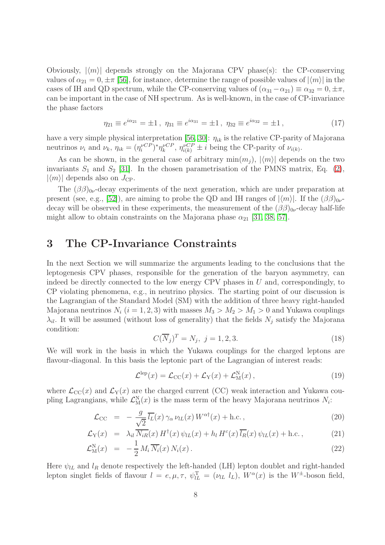Obviously,  $|\langle m \rangle|$  depends strongly on the Majorana CPV phase(s): the CP-conserving values of  $\alpha_{21} = 0, \pm \pi$  [\[56\]](#page-45-13), for instance, determine the range of possible values of  $|\langle m \rangle|$  in the cases of IH and QD spectrum, while the CP-conserving values of  $(\alpha_{31}-\alpha_{21}) \equiv \alpha_{32} = 0, \pm \pi$ , can be important in the case of NH spectrum. As is well-known, in the case of CP-invariance the phase factors

$$
\eta_{21} \equiv e^{i\alpha_{21}} = \pm 1 \,, \ \eta_{31} \equiv e^{i\alpha_{31}} = \pm 1 \,, \ \eta_{32} \equiv e^{i\alpha_{32}} = \pm 1 \,, \tag{17}
$$

have a very simple physical interpretation [\[56,](#page-45-13) [30\]](#page-44-8):  $\eta_{ik}$  is the relative CP-parity of Majorana neutrinos  $\nu_i$  and  $\nu_k$ ,  $\eta_{ik} = (\eta_i^{\nu CP})^* \eta_k^{\nu CP}$ ,  $\eta_{i(k)}^{\nu CP} \pm i$  being the CP-parity of  $\nu_{i(k)}$ .

As can be shown, in the general case of arbitrary  $\min(m_i)$ ,  $|\langle m \rangle|$  depends on the two invariants  $S_1$  and  $S_2$  [\[31\]](#page-44-9). In the chosen parametrisation of the PMNS matrix, Eq. [\(2\)](#page-4-0),  $|\langle m \rangle|$  depends also on  $J_{\rm CP}$ .

The  $(\beta\beta)_{0\nu}$ -decay experiments of the next generation, which are under preparation at present (see, e.g., [\[52\]](#page-45-9)), are aiming to probe the QD and IH ranges of  $|\langle m \rangle|$ . If the  $(\beta \beta)_{0\nu}$ decay will be observed in these experiments, the measurement of the  $(\beta\beta)_{0\nu}$ -decay half-life might allow to obtain constraints on the Majorana phase  $\alpha_{21}$  [\[31,](#page-44-9) [38,](#page-44-16) [57\]](#page-45-14).

## 3 The CP-Invariance Constraints

In the next Section we will summarize the arguments leading to the conclusions that the leptogenesis CPV phases, responsible for the generation of the baryon asymmetry, can indeed be directly connected to the low energy CPV phases in  $U$  and, correspondingly, to CP violating phenomena, e.g., in neutrino physics. The starting point of our discussion is the Lagrangian of the Standard Model (SM) with the addition of three heavy right-handed Majorana neutrinos  $N_i$   $(i = 1, 2, 3)$  with masses  $M_3 > M_2 > M_1 > 0$  and Yukawa couplings  $\lambda_{il}$ . It will be assumed (without loss of generality) that the fields  $N_j$  satisfy the Majorana condition:

$$
C(\overline{N}_j)^T = N_j, \ j = 1, 2, 3. \tag{18}
$$

We will work in the basis in which the Yukawa couplings for the charged leptons are flavour-diagonal. In this basis the leptonic part of the Lagrangian of interest reads:

$$
\mathcal{L}^{\text{lep}}(x) = \mathcal{L}_{\text{CC}}(x) + \mathcal{L}_{\text{Y}}(x) + \mathcal{L}_{\text{M}}^{\text{N}}(x) , \qquad (19)
$$

<span id="page-7-0"></span>where  $\mathcal{L}_{\text{CC}}(x)$  and  $\mathcal{L}_{\text{Y}}(x)$  are the charged current (CC) weak interaction and Yukawa coupling Lagrangians, while  $\mathcal{L}_{M}^{N}(x)$  is the mass term of the heavy Majorana neutrinos  $N_{i}$ :

<span id="page-7-1"></span>
$$
\mathcal{L}_{\text{CC}} = -\frac{g}{\sqrt{2}} \overline{l_L}(x) \gamma_\alpha \nu_{lL}(x) W^{\alpha \dagger}(x) + \text{h.c.}, \qquad (20)
$$

$$
\mathcal{L}_Y(x) = \lambda_{il} \overline{N_{iR}}(x) H^{\dagger}(x) \psi_{lL}(x) + h_l H^c(x) \overline{l_R}(x) \psi_{lL}(x) + \text{h.c.}, \qquad (21)
$$

$$
\mathcal{L}_{\mathcal{M}}^{\mathcal{N}}(x) = -\frac{1}{2} M_i \overline{N_i}(x) N_i(x).
$$
\n(22)

Here  $\psi_{lL}$  and  $l_R$  denote respectively the left-handed (LH) lepton doublet and right-handed lepton singlet fields of flavour  $l = e, \mu, \tau$ ,  $\psi_{lL}^{T} = (\nu_{lL} \ l_L)$ ,  $W^{\alpha}(x)$  is the  $W^{\pm}$ -boson field,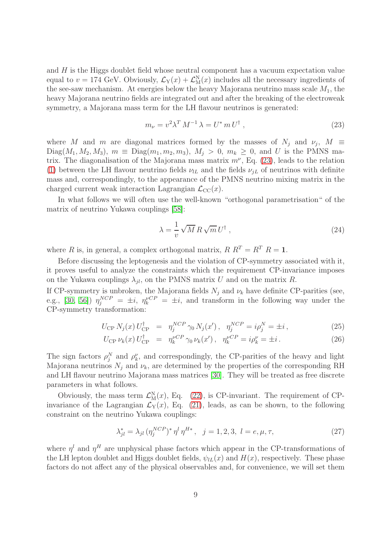and H is the Higgs doublet field whose neutral component has a vacuum expectation value equal to  $v = 174$  GeV. Obviously,  $\mathcal{L}_Y(x) + \mathcal{L}_M^N(x)$  includes all the necessary ingredients of the see-saw mechanism. At energies below the heavy Majorana neutrino mass scale  $M_1$ , the heavy Majorana neutrino fields are integrated out and after the breaking of the electroweak symmetry, a Majorana mass term for the LH flavour neutrinos is generated:

<span id="page-8-0"></span>
$$
m_{\nu} = v^2 \lambda^T M^{-1} \lambda = U^* m U^{\dagger} , \qquad (23)
$$

where M and m are diagonal matrices formed by the masses of  $N_j$  and  $\nu_j$ ,  $M \equiv$  $Diag(M_1, M_2, M_3), m \equiv Diag(m_1, m_2, m_3), M_i > 0, m_k \ge 0$ , and U is the PMNS matrix. The diagonalisation of the Majorana mass matrix  $m^{\nu}$ , Eq. [\(23\)](#page-8-0), leads to the relation [\(1\)](#page-1-1) between the LH flavour neutrino fields  $\nu_{lL}$  and the fields  $\nu_{jL}$  of neutrinos with definite mass and, correspondingly, to the appearance of the PMNS neutrino mixing matrix in the charged current weak interaction Lagrangian  $\mathcal{L}_{CC}(x)$ .

In what follows we will often use the well-known "orthogonal parametrisation" of the matrix of neutrino Yukawa couplings [\[58\]](#page-45-15):

<span id="page-8-3"></span>
$$
\lambda = \frac{1}{v} \sqrt{M} R \sqrt{m} U^{\dagger} , \qquad (24)
$$

where R is, in general, a complex orthogonal matrix,  $R R^T = R^T R = 1$ .

Before discussing the leptogenesis and the violation of CP-symmetry associated with it, it proves useful to analyze the constraints which the requirement CP-invariance imposes on the Yukawa couplings  $\lambda_{jl}$ , on the PMNS matrix U and on the matrix R.

If CP-symmetry is unbroken, the Majorana fields  $N_i$  and  $\nu_k$  have definite CP-parities (see, e.g., [\[30,](#page-44-8) [56\]](#page-45-13))  $\eta_j^{NCP} = \pm i$ ,  $\eta_k^{VCP} = \pm i$ , and transform in the following way under the CP-symmetry transformation:

$$
U_{\rm CP} N_j(x) U_{\rm CP}^{\dagger} = \eta_j^{NCP} \gamma_0 N_j(x') , \quad \eta_j^{NCP} = i \rho_j^N = \pm i , \tag{25}
$$

$$
U_{\rm CP} \nu_k(x) U_{\rm CP}^{\dagger} = \eta_k^{\nu CP} \gamma_0 \nu_k(x'), \quad \eta_k^{\nu CP} = i \rho_k^{\nu} = \pm i. \tag{26}
$$

<span id="page-8-2"></span>The sign factors  $\rho_j^N$  and  $\rho_k^{\nu}$ , and correspondingly, the CP-parities of the heavy and light Majorana neutrinos  $N_i$  and  $\nu_k$ , are determined by the properties of the corresponding RH and LH flavour neutrino Majorana mass matrices [\[30\]](#page-44-8). They will be treated as free discrete parameters in what follows.

Obviously, the mass term  $\mathcal{L}_{M}^{N}(x)$ , Eq. [\(22\)](#page-7-0), is CP-invariant. The requirement of CPinvariance of the Lagrangian  $\mathcal{L}_Y(x)$ , Eq. [\(21\)](#page-7-0), leads, as can be shown, to the following constraint on the neutrino Yukawa couplings:

$$
\lambda_{jl}^* = \lambda_{jl} \, (\eta_j^{NCP})^* \, \eta^l \, \eta^{H*} \,, \quad j = 1, 2, 3, \ l = e, \mu, \tau,
$$
\n(27)

<span id="page-8-1"></span>where  $\eta^l$  and  $\eta^H$  are unphysical phase factors which appear in the CP-transformations of the LH lepton doublet and Higgs doublet fields,  $\psi_{LL}(x)$  and  $H(x)$ , respectively. These phase factors do not affect any of the physical observables and, for convenience, we will set them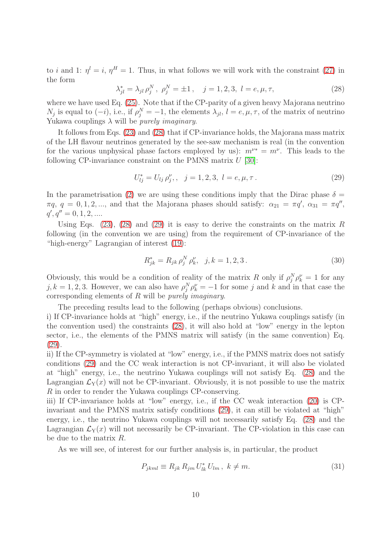to i and 1:  $\eta^l = i$ ,  $\eta^H = 1$ . Thus, in what follows we will work with the constraint [\(27\)](#page-8-1) in the form

$$
\lambda_{jl}^* = \lambda_{jl} \, \rho_j^N \, , \, \rho_j^N = \pm 1 \, , \quad j = 1, 2, 3, \ l = e, \mu, \tau, \tag{28}
$$

<span id="page-9-0"></span>where we have used Eq. [\(25\)](#page-8-2). Note that if the CP-parity of a given heavy Majorana neutrino  $N_j$  is equal to  $(-i)$ , i.e., if  $\rho_j^N = -1$ , the elements  $\lambda_{jl}$ ,  $l = e, \mu, \tau$ , of the matrix of neutrino Yukawa couplings  $\lambda$  will be *purely imaginary*.

It follows from Eqs. [\(23\)](#page-8-0) and [\(28\)](#page-9-0) that if CP-invariance holds, the Majorana mass matrix of the LH flavour neutrinos generated by the see-saw mechanism is real (in the convention for the various unphysical phase factors employed by us):  $m^{\nu*} = m^{\nu}$ . This leads to the following CP-invariance constraint on the PMNS matrix  $U$  [\[30\]](#page-44-8):

$$
U_{ij}^* = U_{lj} \rho_j^{\nu}, \quad j = 1, 2, 3, \ l = e, \mu, \tau. \tag{29}
$$

<span id="page-9-1"></span>In the parametrisation [\(2\)](#page-4-0) we are using these conditions imply that the Dirac phase  $\delta =$  $\pi q$ ,  $q = 0, 1, 2, \dots$ , and that the Majorana phases should satisfy:  $\alpha_{21} = \pi q'$ ,  $\alpha_{31} = \pi q''$ ,  $q', q'' = 0, 1, 2, \dots$ 

Using Eqs. [\(23\)](#page-8-0), [\(28\)](#page-9-0) and [\(29\)](#page-9-1) it is easy to derive the constraints on the matrix R following (in the convention we are using) from the requirement of CP-invariance of the "high-energy" Lagrangian of interest [\(19\)](#page-7-1):

<span id="page-9-2"></span>
$$
R_{jk}^* = R_{jk} \rho_j^N \rho_k^{\nu}, \quad j, k = 1, 2, 3. \tag{30}
$$

Obviously, this would be a condition of reality of the matrix R only if  $\rho_j^N \rho_k^{\nu} = 1$  for any  $j, k = 1, 2, 3$ . However, we can also have  $\rho_j^N \rho_k^{\nu} = -1$  for some j and k and in that case the corresponding elements of R will be *purely imaginary*.

The preceding results lead to the following (perhaps obvious) conclusions.

i) If CP-invariance holds at "high" energy, i.e., if the neutrino Yukawa couplings satisfy (in the convention used) the constraints [\(28\)](#page-9-0), it will also hold at "low" energy in the lepton sector, i.e., the elements of the PMNS matrix will satisfy (in the same convention) Eq. [\(29\)](#page-9-1).

ii) If the CP-symmetry is violated at "low" energy, i.e., if the PMNS matrix does not satisfy conditions [\(29\)](#page-9-1) and the CC weak interaction is not CP-invariant, it will also be violated at "high" energy, i.e., the neutrino Yukawa couplings will not satisfy Eq. [\(28\)](#page-9-0) and the Lagrangian  $\mathcal{L}_Y(x)$  will not be CP-invariant. Obviously, it is not possible to use the matrix R in order to render the Yukawa couplings CP-conserving.

iii) If CP-invariance holds at "low" energy, i.e., if the CC weak interaction [\(20\)](#page-7-0) is CPinvariant and the PMNS matrix satisfy conditions [\(29\)](#page-9-1), it can still be violated at "high" energy, i.e., the neutrino Yukawa couplings will not necessarily satisfy Eq. [\(28\)](#page-9-0) and the Lagrangian  $\mathcal{L}_Y(x)$  will not necessarily be CP-invariant. The CP-violation in this case can be due to the matrix R.

As we will see, of interest for our further analysis is, in particular, the product

$$
P_{jkml} \equiv R_{jk} R_{jm} U_{lk}^* U_{lm}, \ k \neq m. \tag{31}
$$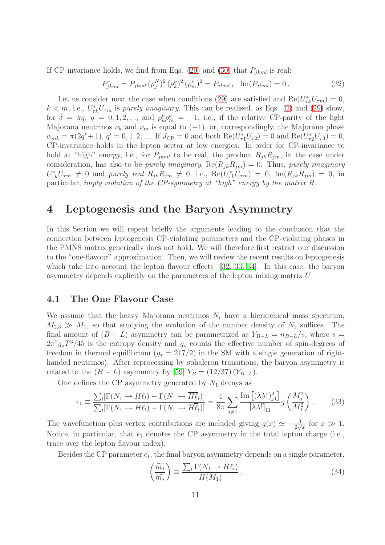If CP-invariance holds, we find from Eqs. [\(29\)](#page-9-1) and [\(30\)](#page-9-2) that  $P_{ikml}$  is real:

$$
P_{jkml}^* = P_{jkml} \left(\rho_j^N\right)^2 \left(\rho_k^{\nu}\right)^2 \left(\rho_m^{\nu}\right)^2 = P_{jkml}, \quad \text{Im}(P_{jkml}) = 0. \tag{32}
$$

Let us consider next the case when conditions [\(29\)](#page-9-1) are satisfied and  $\text{Re}(U_{\tau k}^* U_{\tau m}) = 0$ ,  $k < m$ , i.e.,  $U_{\tau k}^* U_{\tau m}$  is purely imaginary. This can be realised, as Eqs. [\(2\)](#page-4-0) and [\(29\)](#page-9-1) show, for  $\delta = \pi q$ ,  $q = 0, 1, 2, \dots$ , and  $\rho_k^{\nu} \rho_m^{\nu} = -1$ , i.e., if the relative CP-parity of the light Majorana neutrinos  $\nu_k$  and  $\nu_m$  is equal to (-1), or, correspondingly, the Majorana phase  $\alpha_{mk} = \pi(2q'+1), q' = 0, 1, 2, \dots$  If  $J_{\rm CP} = 0$  and both  $\text{Re}(U_{\tau_1}^* U_{\tau_2}) = 0$  and  $\text{Re}(U_{\tau_2}^* U_{\tau_3}) = 0$ , CP-invariance holds in the lepton sector at low energies. In order for CP-invariance to hold at "high" energy, i.e., for  $P_{jkml}$  to be real, the product  $R_{jk}R_{jm}$ , in the case under consideration, has also to be *purely imaginary*,  $\text{Re}(R_{jk}R_{jm}) = 0$ . Thus, *purely imaginary*  $U_{\tau k}^* U_{\tau m} \neq 0$  and purely real  $R_{jk} R_{jm} \neq 0$ , i.e.,  $\text{Re}(U_{\tau k}^* U_{\tau m}) = 0$ ,  $\text{Im}(R_{jk} R_{jm}) = 0$ , in particular, imply violation of the CP-symmetry at "high" energy by the matrix R.

# 4 Leptogenesis and the Baryon Asymmetry

In this Section we will repeat briefly the arguments leading to the conclusion that the connection between leptogenesis CP-violating parameters and the CP-violating phases in the PMNS matrix generically does not hold. We will therefore first restrict our discussion to the "one-flavour" approximation. Then, we will review the recent results on leptogenesis which take into account the lepton flavour effects [\[32,](#page-44-10) [33,](#page-44-11) [34\]](#page-44-12). In this case, the baryon asymmetry depends explicitly on the parameters of the lepton mixing matrix U.

#### 4.1 The One Flavour Case

We assume that the heavy Majorana neutrinos  $N_i$  have a hierarchical mass spectrum,  $M_{2,3} \gg M_1$ , so that studying the evolution of the number density of  $N_1$  suffices. The final amount of  $(B - L)$  asymmetry can be parametrized as  $Y_{B-L} = n_{B-L}/s$ , where s =  $2\pi^2 g_* T^3/45$  is the entropy density and  $g_*$  counts the effective number of spin-degrees of freedom in thermal equilibrium ( $g_* = 217/2$ ) in the SM with a single generation of righthanded neutrinos). After reprocessing by sphaleron transitions, the baryon asymmetry is related to the  $(B - L)$  asymmetry by [\[59\]](#page-45-16)  $Y_B = (12/37) (Y_{B-L})$ .

One defines the CP asymmetry generated by  $N_1$  decays as

$$
\epsilon_1 \equiv \frac{\sum_l [\Gamma(N_1 \to H\ell_l) - \Gamma(N_1 \to \overline{H}\overline{\ell}_l)]}{\sum_l [\Gamma(N_1 \to H\ell_l) + \Gamma(N_1 \to \overline{H}\overline{\ell}_l)]} = \frac{1}{8\pi} \sum_{j \neq 1} \frac{\text{Im}\left[ (\lambda \lambda^{\dagger})^2_{j1} \right]}{\left[ \lambda \lambda^{\dagger} \right]_{11}} g\left( \frac{M_j^2}{M_1^2} \right). \tag{33}
$$

The wavefunction plus vertex contributions are included giving  $g(x) \simeq -\frac{3}{2\sqrt{x}}$  for  $x \gg 1$ . Notice, in particular, that  $\epsilon_1$  denotes the CP asymmetry in the total lepton charge (i.e., trace over the lepton flavour index).

Besides the CP parameter  $\epsilon_1$ , the final baryon asymmetry depends on a single parameter,

$$
\left(\frac{\widetilde{m_1}}{\widetilde{m_*}}\right) \equiv \frac{\sum_l \Gamma(N_1 \to H\ell_l)}{H(M_1)},\tag{34}
$$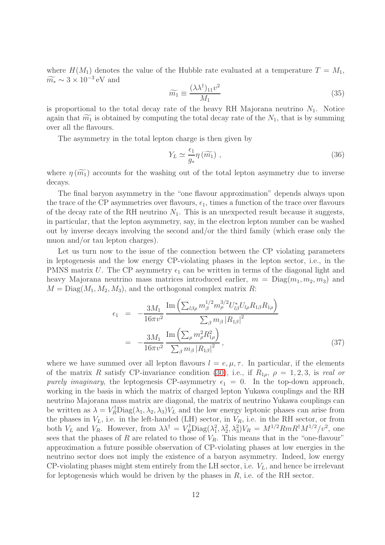where  $H(M_1)$  denotes the value of the Hubble rate evaluated at a temperature  $T = M_1$ ,  $\widetilde{m}_{*} \sim 3 \times 10^{-3} \text{ eV}$  and

$$
\widetilde{m_1} \equiv \frac{(\lambda \lambda^{\dagger})_{11} v^2}{M_1} \tag{35}
$$

is proportional to the total decay rate of the heavy RH Majorana neutrino  $N_1$ . Notice again that  $\widetilde{m_1}$  is obtained by computing the total decay rate of the  $N_1$ , that is by summing over all the flavours.

The asymmetry in the total lepton charge is then given by

$$
Y_L \simeq \frac{\epsilon_1}{g_*} \eta \left( \widetilde{m_1} \right) , \qquad (36)
$$

where  $\eta(\widetilde{m_1})$  accounts for the washing out of the total lepton asymmetry due to inverse decays.

The final baryon asymmetry in the "one flavour approximation" depends always upon the trace of the CP asymmetries over flavours,  $\epsilon_1$ , times a function of the trace over flavours of the decay rate of the RH neutrino  $N_1$ . This is an unexpected result because it suggests, in particular, that the lepton asymmetry, say, in the electron lepton number can be washed out by inverse decays involving the second and/or the third family (which erase only the muon and/or tau lepton charges).

Let us turn now to the issue of the connection between the CP violating parameters in leptogenesis and the low energy CP-violating phases in the lepton sector, i.e., in the PMNS matrix U. The CP asymmetry  $\epsilon_1$  can be written in terms of the diagonal light and heavy Majorana neutrino mass matrices introduced earlier,  $m = \text{Diag}(m_1, m_2, m_3)$  and  $M = \text{Diag}(M_1, M_2, M_3)$ , and the orthogonal complex matrix R:

$$
\epsilon_{1} = -\frac{3M_{1}}{16\pi v^{2}} \frac{\operatorname{Im} \left( \sum_{l\beta\rho} m_{\beta}^{1/2} m_{\rho}^{3/2} U_{l\beta}^{*} U_{l\rho} R_{1\beta} R_{1\rho} \right)}{\sum_{\beta} m_{\beta} |R_{1\beta}|^{2}}
$$
\n
$$
= -\frac{3M_{1}}{16\pi v^{2}} \frac{\operatorname{Im} \left( \sum_{\rho} m_{\rho}^{2} R_{1\rho}^{2} \right)}{\sum_{\beta} m_{\beta} |R_{1\beta}|^{2}}, \tag{37}
$$

where we have summed over all lepton flavours  $l = e, \mu, \tau$ . In particular, if the elements of the matrix R satisfy CP-invariance condition [\(30\)](#page-9-2), i.e., if  $R_{1\rho}$ ,  $\rho = 1, 2, 3$ , is real or purely imaginary, the leptogenesis CP-asymmetry  $\epsilon_1 = 0$ . In the top-down approach, working in the basis in which the matrix of charged lepton Yukawa couplings and the RH neutrino Majorana mass matrix are diagonal, the matrix of neutrino Yukawa couplings can be written as  $\lambda = V_R^{\dagger} \text{Diag}(\lambda_1, \lambda_2, \lambda_3) V_L$  and the low energy leptonic phases can arise from the phases in  $V_L$ , i.e. in the left-handed (LH) sector, in  $V_R$ , i.e. in the RH sector, or from both  $V_L$  and  $V_R$ . However, from  $\lambda \lambda^{\dagger} = V_R^{\dagger} \text{Diag}(\lambda_1^2, \lambda_2^2, \lambda_3^2) V_R = M^{1/2} Rm R^{\dagger} M^{1/2} / v^2$ , one sees that the phases of R are related to those of  $V_R$ . This means that in the "one-flavour" approximation a future possible observation of CP-violating phases at low energies in the neutrino sector does not imply the existence of a baryon asymmetry. Indeed, low energy CP-violating phases might stem entirely from the LH sector, i.e.  $V_L$ , and hence be irrelevant for leptogenesis which would be driven by the phases in  $R$ , i.e. of the RH sector.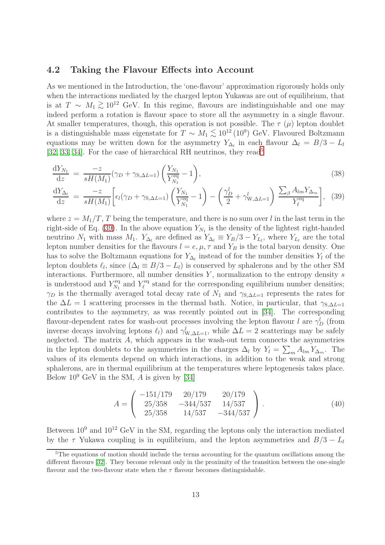#### 4.2 Taking the Flavour Effects into Account

As we mentioned in the Introduction, the 'one-flavour' approximation rigorously holds only when the interactions mediated by the charged lepton Yukawas are out of equilibrium, that is at  $T \sim M_1 \gtrsim 10^{12}$  GeV. In this regime, flavours are indistinguishable and one may indeed perform a retation is flavour grass to stare all the examinative in a single flavour indeed perform a rotation is flavour space to store all the asymmetry in a single flavour. At smaller temperatures, though, this operation is not possible. The  $\tau$  ( $\mu$ ) lepton doublet is a distinguishable mass eigenstate for  $T \sim M_1 \lesssim 10^{12} (10^9)$  GeV. Flavoured Boltzmann equations may be written down for the asymmetry  $Y_{\Delta_l}$  in each flavour  $\Delta_l = B/3 - L_l$ [\[32,](#page-44-10) [33,](#page-44-11) [34\]](#page-44-12). For the case of hierarchical RH neutrinos, they read<sup>[5](#page-12-0)</sup>

<span id="page-12-1"></span>
$$
\frac{dY_{N_1}}{dz} = \frac{-z}{sH(M_1)} (\gamma_D + \gamma_{S,\Delta L=1}) \left( \frac{Y_{N_1}}{Y_{N_1}^{eq}} - 1 \right),\tag{38}
$$

$$
\frac{\mathrm{d}Y_{\Delta_l}}{\mathrm{d}z} = \frac{-z}{sH(M_1)} \bigg[ \epsilon_l (\gamma_D + \gamma_{\text{S},\Delta L=1}) \left( \frac{Y_{N_1}}{Y_{N_1}^{\text{eq}}} - 1 \right) - \left( \frac{\gamma_D^l}{2} + \gamma_{\text{W},\Delta L=1}^l \right) \frac{\sum_{\beta} A_{lm} Y_{\Delta_m}}{Y_{\ell}^{\text{eq}}} \bigg], \tag{39}
$$

where  $z = M_1/T$ , T being the temperature, and there is no sum over l in the last term in the right-side of Eq. [\(39\)](#page-12-1). In the above equation  $Y_{N_1}$  is the density of the lightest right-handed neutrino  $N_1$  with mass  $M_1$ .  $Y_{\Delta_l}$  are defined as  $Y_{\Delta_l} \equiv Y_B/3 - Y_{L_l}$ , where  $Y_{L_l}$  are the total lepton number densities for the flavours  $l = e, \mu, \tau$  and  $Y_B$  is the total baryon density. One has to solve the Boltzmann equations for  $Y_{\Delta_l}$  instead of for the number densities  $Y_l$  of the lepton doublets  $\ell_l$ , since  $(\Delta_l \equiv B/3 - L_l)$  is conserved by sphalerons and by the other SM interactions. Furthermore, all number densities  $Y$ , normalization to the entropy density  $s$ is understood and  $Y_{N_1}^{\text{eq}}$  $Y_{N_1}^{\text{eq}}$  and  $Y_{\ell}^{\text{eq}}$  $\ell^{\text{eq}}$  stand for the corresponding equilibrium number densities;  $\gamma_D$  is the thermally averaged total decay rate of  $N_1$  and  $\gamma_{S,\Delta L=1}$  represents the rates for the  $\Delta L = 1$  scattering processes in the thermal bath. Notice, in particular, that  $\gamma_{S,\Delta L=1}$ contributes to the asymmetry, as was recently pointed out in [\[34\]](#page-44-12). The corresponding flavour-dependent rates for wash-out processes involving the lepton flavour l are  $\gamma_D^l$  (from inverse decays involving leptons  $\ell_l$ ) and  $\gamma_{W,\Delta L=1}^l$ , while  $\Delta L = 2$  scatterings may be safely neglected. The matrix  $A$ , which appears in the wash-out term connects the asymmetries in the lepton doublets to the asymmetries in the charges  $\Delta_l$  by  $Y_l = \sum_m A_{lm} Y_{\Delta_m}$ . The values of its elements depend on which interactions, in addition to the weak and strong sphalerons, are in thermal equilibrium at the temperatures where leptogenesis takes place. Below  $10^9$  GeV in the SM, A is given by [\[34\]](#page-44-12)

$$
A = \begin{pmatrix} -151/179 & 20/179 & 20/179 \\ 25/358 & -344/537 & 14/537 \\ 25/358 & 14/537 & -344/537 \end{pmatrix} . \tag{40}
$$

Between  $10^9$  and  $10^{12}$  GeV in the SM, regarding the leptons only the interaction mediated by the  $\tau$  Yukawa coupling is in equilibrium, and the lepton asymmetries and  $B/3 - L_l$ 

<span id="page-12-0"></span><sup>&</sup>lt;sup>5</sup>The equations of motion should include the terms accounting for the quantum oscillations among the different flavours [\[32\]](#page-44-10). They become relevant only in the proximity of the transition between the one-single flavour and the two-flavour state when the  $\tau$  flavour becomes distinguishable.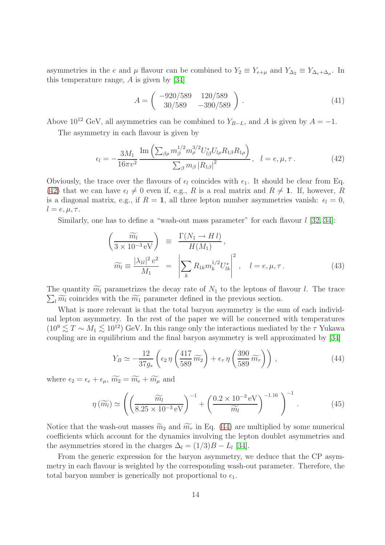asymmetries in the e and  $\mu$  flavour can be combined to  $Y_2 \equiv Y_{e+\mu}$  and  $Y_{\Delta_2} \equiv Y_{\Delta_e+\Delta_\mu}$ . In this temperature range,  $A$  is given by [\[34\]](#page-44-12)

$$
A = \begin{pmatrix} -920/589 & 120/589 \\ 30/589 & -390/589 \end{pmatrix}.
$$
 (41)

Above 10<sup>12</sup> GeV, all asymmetries can be combined to  $Y_{B-L}$ , and A is given by  $A = -1$ .

The asymmetry in each flavour is given by

$$
\epsilon_{l} = -\frac{3M_{1}}{16\pi v^{2}} \frac{\operatorname{Im} \left( \sum_{\beta \rho} m_{\beta}^{1/2} m_{\rho}^{3/2} U_{l\beta}^{*} U_{l\rho} R_{1\beta} R_{1\rho} \right)}{\sum_{\beta} m_{\beta} |R_{1\beta}|^{2}}, \quad l = e, \mu, \tau. \tag{42}
$$

<span id="page-13-0"></span>Obviously, the trace over the flavours of  $\epsilon_l$  coincides with  $\epsilon_1$ . It should be clear from Eq. [\(42\)](#page-13-0) that we can have  $\epsilon_l \neq 0$  even if, e.g., R is a real matrix and  $R \neq 1$ . If, however, R is a diagonal matrix, e.g., if  $R = 1$ , all three lepton number asymmetries vanish:  $\epsilon_l = 0$ ,  $l = e, \mu, \tau.$ 

<span id="page-13-2"></span>Similarly, one has to define a "wash-out mass parameter" for each flavour  $l$  [\[32,](#page-44-10) [34\]](#page-44-12):

$$
\left(\frac{\widetilde{m_l}}{3 \times 10^{-3} \text{ eV}}\right) \equiv \frac{\Gamma(N_1 \to H \, l)}{H(M_1)},
$$
\n
$$
\widetilde{m_l} \equiv \frac{|\lambda_{1l}|^2 v^2}{M_1} = \left|\sum_k R_{1k} m_k^{1/2} U_{lk}^*\right|^2, \quad l = e, \mu, \tau.
$$
\n(43)

 $\sum_l \widetilde{m_l}$  coincides with the  $\widetilde{m_1}$  parameter defined in the previous section. The quantity  $\widetilde{m_l}$  parametrizes the decay rate of  $N_1$  to the leptons of flavour l. The trace

What is more relevant is that the total baryon asymmetry is the sum of each individual lepton asymmetry. In the rest of the paper we will be concerned with temperatures  $(10^9 \lesssim T \sim M_1 \lesssim 10^{12})$  GeV. In this range only the interactions mediated by the  $\tau$  Yukawa coupling are in equilibrium and the final baryon asymmetry is well approximated by [\[34\]](#page-44-12)

$$
Y_B \simeq -\frac{12}{37g_*} \left( \epsilon_2 \eta \left( \frac{417}{589} \widetilde{m_2} \right) + \epsilon_\tau \eta \left( \frac{390}{589} \widetilde{m_\tau} \right) \right) , \qquad (44)
$$

<span id="page-13-1"></span>where  $\epsilon_2 = \epsilon_e + \epsilon_\mu$ ,  $\widetilde{m_2} = \widetilde{m_e} + \widetilde{m_\mu}$  and

$$
\eta\left(\widetilde{m_l}\right) \simeq \left( \left(\frac{\widetilde{m_l}}{8.25 \times 10^{-3} \,\mathrm{eV}}\right)^{-1} + \left(\frac{0.2 \times 10^{-3} \,\mathrm{eV}}{\widetilde{m_l}}\right)^{-1.16}\right)^{-1}.\tag{45}
$$

<span id="page-13-3"></span>Notice that the wash-out masses  $\widetilde{m}_2$  and  $\widetilde{m}_{\tau}$  in Eq. [\(44\)](#page-13-1) are multiplied by some numerical coefficients which account for the dynamics involving the lepton doublet asymmetries and the asymmetries stored in the charges  $\Delta_l = (1/3)B - L_l$  [\[34\]](#page-44-12).

From the generic expression for the baryon asymmetry, we deduce that the CP asymmetry in each flavour is weighted by the corresponding wash-out parameter. Therefore, the total baryon number is generically not proportional to  $\epsilon_1$ .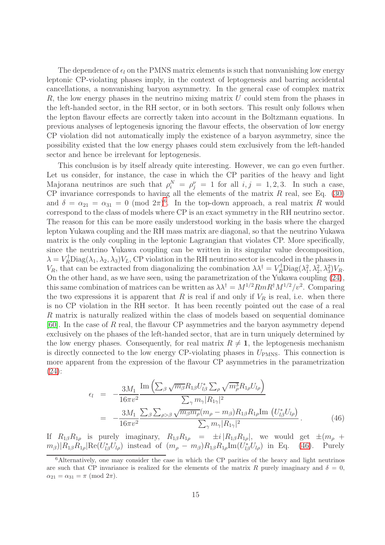The dependence of  $\epsilon_l$  on the PMNS matrix elements is such that nonvanishing low energy leptonic CP-violating phases imply, in the context of leptogenesis and barring accidental cancellations, a nonvanishing baryon asymmetry. In the general case of complex matrix R, the low energy phases in the neutrino mixing matrix  $U$  could stem from the phases in the left-handed sector, in the RH sector, or in both sectors. This result only follows when the lepton flavour effects are correctly taken into account in the Boltzmann equations. In previous analyses of leptogenesis ignoring the flavour effects, the observation of low energy CP violation did not automatically imply the existence of a baryon asymmetry, since the possibility existed that the low energy phases could stem exclusively from the left-handed sector and hence be irrelevant for leptogenesis.

This conclusion is by itself already quite interesting. However, we can go even further. Let us consider, for instance, the case in which the CP parities of the heavy and light Majorana neutrinos are such that  $\rho_i^N = \rho_j^{\nu} = 1$  for all  $i, j = 1, 2, 3$ . In such a case, CP invariance corresponds to having all the elements of the matrix  $R$  real, see Eq. [\(30\)](#page-9-2) and  $\delta = \alpha_{21} = \alpha_{31} = 0 \pmod{2\pi}^6$  $\delta = \alpha_{21} = \alpha_{31} = 0 \pmod{2\pi}^6$ . In the top-down approach, a real matrix R would correspond to the class of models where CP is an exact symmetry in the RH neutrino sector. The reason for this can be more easily understood working in the basis where the charged lepton Yukawa coupling and the RH mass matrix are diagonal, so that the neutrino Yukawa matrix is the only coupling in the leptonic Lagrangian that violates CP. More specifically, since the neutrino Yukawa coupling can be written in its singular value decomposition,  $\lambda = V_R^{\dagger}$ Diag $(\lambda_1, \lambda_2, \lambda_3) V_L$ , CP violation in the RH neutrino sector is encoded in the phases in  $V_R$ , that can be extracted from diagonalizing the combination  $\lambda \lambda^{\dagger} = V_R^{\dagger} \text{Diag}(\lambda_1^2, \lambda_2^2, \lambda_3^2) V_R$ . On the other hand, as we have seen, using the parametrization of the Yukawa coupling [\(24\)](#page-8-3), this same combination of matrices can be written as  $\lambda \lambda^{\dagger} = M^{1/2} Rm R^{\dagger} M^{1/2} / v^2$ . Comparing the two expressions it is apparent that R is real if and only if  $V_R$  is real, i.e. when there is no CP violation in the RH sector. It has been recently pointed out the case of a real R matrix is naturally realized within the class of models based on sequential dominance [\[60\]](#page-45-17). In the case of  $R$  real, the flavour CP asymmetries and the baryon asymmetry depend exclusively on the phases of the left-handed sector, that are in turn uniquely determined by the low energy phases. Consequently, for real matrix  $R \neq 1$ , the leptogenesis mechanism is directly connected to the low energy CP-violating phases in  $U_{PMNS}$ . This connection is more apparent from the expression of the flavour CP asymmetries in the parametrization [\(24\)](#page-8-3):

$$
\epsilon_{l} = -\frac{3M_{1}}{16\pi v^{2}} \frac{\operatorname{Im}\left(\sum_{\beta} \sqrt{m_{\beta}} R_{1\beta} U_{l\beta}^{*} \sum_{\rho} \sqrt{m_{\rho}^{3}} R_{1\rho} U_{l\rho}\right)}{\sum_{\gamma} m_{\gamma} |R_{1\gamma}|^{2}} = -\frac{3M_{1}}{16\pi v^{2}} \frac{\sum_{\beta} \sum_{\rho > \beta} \sqrt{m_{\beta} m_{\rho}} (m_{\rho} - m_{\beta}) R_{1\beta} R_{1\rho} \operatorname{Im}\left(U_{l\beta}^{*} U_{l\rho}\right)}{\sum_{\gamma} m_{\gamma} |R_{1\gamma}|^{2}}.
$$
\n(46)

<span id="page-14-1"></span>If  $R_{1\beta}R_{1\rho}$  is purely imaginary,  $R_{1\beta}R_{1\rho} = \pm i |R_{1\beta}R_{1\rho}|$ , we would get  $\pm (m_{\rho} +$  $(m_\beta)|R_{1\beta}R_{1\rho}|\text{Re}(U_{l\beta}^*U_{l\rho})$  instead of  $(m_\rho - m_\beta)R_{1\beta}R_{1\rho} \text{Im}(U_{l\beta}^*U_{l\rho})$  in Eq. [\(46\)](#page-14-1). Purely

<span id="page-14-0"></span><sup>&</sup>lt;sup>6</sup>Alternatively, one may consider the case in which the CP parities of the heavy and light neutrinos are such that CP invariance is realized for the elements of the matrix R purely imaginary and  $\delta = 0$ ,  $\alpha_{21} = \alpha_{31} = \pi \pmod{2\pi}.$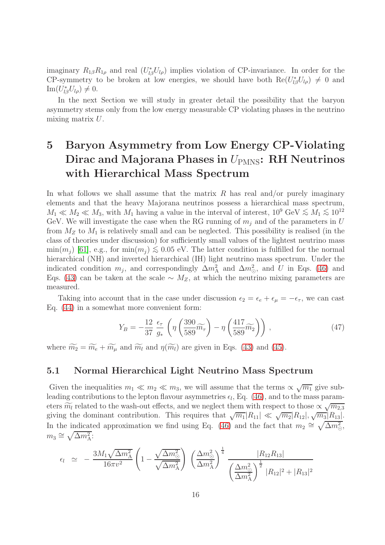imaginary  $R_{1\beta}R_{1\rho}$  and real  $(U_{l\beta}^*U_{l\rho})$  implies violation of CP-invariance. In order for the CP-symmetry to be broken at low energies, we should have both  $\text{Re}(U_{l\beta}^*U_{l\rho}) \neq 0$  and  $\text{Im}(U_{l\beta}^*U_{l\rho})\neq 0.$ 

In the next Section we will study in greater detail the possibility that the baryon asymmetry stems only from the low energy measurable CP violating phases in the neutrino mixing matrix U.

# 5 Baryon Asymmetry from Low Energy CP-Violating Dirac and Majorana Phases in  $U_{PMNS}$ : RH Neutrinos with Hierarchical Mass Spectrum

In what follows we shall assume that the matrix  $R$  has real and/or purely imaginary elements and that the heavy Majorana neutrinos possess a hierarchical mass spectrum,  $M_1 \ll M_2 \ll M_3$ , with  $M_1$  having a value in the interval of interest,  $10^9 \text{ GeV} \lesssim M_1 \lesssim 10^{12}$ GeV. We will investigate the case when the RG running of  $m_j$  and of the parameters in U from  $M_Z$  to  $M_1$  is relatively small and can be neglected. This possibility is realised (in the class of theories under discussion) for sufficiently small values of the lightest neutrino mass min $(m_i)$  [\[61\]](#page-45-18), e.g., for min $(m_i) \lesssim 0.05$  eV. The latter condition is fulfilled for the normal hierarchical (NH) and inverted hierarchical (IH) light neutrino mass spectrum. Under the indicated condition  $m_j$ , and correspondingly  $\Delta m_{\rm A}^2$  and  $\Delta m_{\rm \odot}^2$ , and U in Eqs. [\(46\)](#page-14-1) and Eqs. [\(43\)](#page-13-2) can be taken at the scale  $\sim M_Z$ , at which the neutrino mixing parameters are measured.

Taking into account that in the case under discussion  $\epsilon_2 = \epsilon_e + \epsilon_\mu = -\epsilon_\tau$ , we can cast Eq. [\(44\)](#page-13-1) in a somewhat more convenient form:

$$
Y_B = -\frac{12}{37} \frac{\epsilon_\tau}{g_*} \left( \eta \left( \frac{390}{589} \widetilde{m_\tau} \right) - \eta \left( \frac{417}{589} \widetilde{m_2} \right) \right) ,\qquad (47)
$$

<span id="page-15-2"></span><span id="page-15-1"></span>where  $\widetilde{m_2} = \widetilde{m_e} + \widetilde{m_\mu}$  and  $\widetilde{m_l}$  and  $\eta(\widetilde{m_l})$  are given in Eqs. [\(43\)](#page-13-2) and [\(45\)](#page-13-3).

### 5.1 Normal Hierarchical Light Neutrino Mass Spectrum

Given the inequalities  $m_1 \ll m_2 \ll m_3$ , we will assume that the terms  $\propto \sqrt{m_1}$  give subleading contributions to the lepton flavour asymmetries  $\epsilon_l$ , Eq. [\(46\)](#page-14-1), and to the mass parameters  $m_l$  related to the wash-out effects, and we neglect them with respect to those  $\propto \sqrt{m_{2,3}}$ giving the dominant contribution. This requires that  $\sqrt{m_1}|R_{11}| \ll \sqrt{m_2}|R_{12}|, \sqrt{m_3}|R_{13}|.$ In the indicated approximation we find using Eq. [\(46\)](#page-14-1) and the fact that  $m_2 \cong \sqrt{\Delta m^2_{\odot}}$ ,  $m_3 \cong \sqrt{\Delta m_{\rm A}^2}$ :

<span id="page-15-0"></span>
$$
\epsilon_{l} \simeq -\frac{3M_{1}\sqrt{\Delta m_{\rm A}^{2}}}{16\pi v^{2}} \left(1 - \frac{\sqrt{\Delta m_{\odot}^{2}}}{\sqrt{\Delta m_{\rm A}^{2}}}\right) \left(\frac{\Delta m_{\odot}^{2}}{\Delta m_{\rm A}^{2}}\right)^{\frac{1}{4}} \frac{|R_{12}R_{13}|}{\left(\frac{\Delta m_{\odot}^{2}}{\Delta m_{\rm A}^{2}}\right)^{\frac{1}{2}}|R_{12}|^{2} + |R_{13}|^{2}}
$$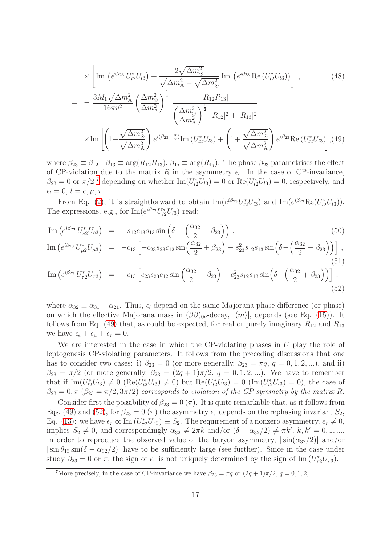$$
\times \left[ \text{Im} \, \left( e^{i \beta_{23}} \, U_{l2}^* U_{l3} \right) + \frac{2 \sqrt{\Delta m_{\odot}^2}}{\sqrt{\Delta m_{\rm A}^2} - \sqrt{\Delta m_{\odot}^2}} \, \text{Im} \, \left( e^{i \beta_{23}} \, \text{Re} \left( U_{l2}^* U_{l3} \right) \right) \right], \tag{48}
$$

$$
= -\frac{3M_1\sqrt{\Delta m_{\rm A}^2}}{16\pi v^2} \left(\frac{\Delta m_{\rm O}^2}{\Delta m_{\rm A}^2}\right)^{\frac{1}{4}} \frac{|R_{12}R_{13}|}{\left(\frac{\Delta m_{\rm O}^2}{\Delta m_{\rm A}^2}\right)^{\frac{1}{2}}|R_{12}|^2 + |R_{13}|^2}
$$

$$
\times \text{Im}\left[\left(1 - \frac{\sqrt{\Delta m_{\rm O}^2}}{\sqrt{\Delta m_{\rm A}^2}}\right) e^{i(\beta_{23} + \frac{\pi}{2})} \text{Im}\left(U_{l2}^* U_{l3}\right) + \left(1 + \frac{\sqrt{\Delta m_{\rm O}^2}}{\sqrt{\Delta m_{\rm A}^2}}\right) e^{i\beta_{23}} \text{Re}\left(U_{l2}^* U_{l3}\right)\right], (49)
$$

where  $\beta_{23} \equiv \beta_{12} + \beta_{13} \equiv \arg(R_{12}R_{13}), \beta_{1j} \equiv \arg(R_{1j}).$  The phase  $\beta_{23}$  parametrises the effect of CP-violation due to the matrix R in the asymmetry  $\epsilon_l$ . In the case of CP-invariance,  $\beta_{23} = 0$  or  $\pi/2$ <sup>[7](#page-16-0)</sup> depending on whether  $\text{Im}(U_{l2}^*U_{l3}) = 0$  or  $\text{Re}(U_{l2}^*U_{l3}) = 0$ , respectively, and  $\epsilon_l = 0, l = e, \mu, \tau.$ 

From Eq. [\(2\)](#page-4-0), it is straightforward to obtain  $\text{Im}(e^{i\beta_{23}}U_{l2}^*U_{l3})$  and  $\text{Im}(e^{i\beta_{23}}\text{Re}(U_{l2}^*U_{l3}))$ . The expressions, e.g., for  $\text{Im}(e^{i\beta_{23}}U_{l2}^*U_{l3})$  read:

<span id="page-16-1"></span>Im 
$$
(e^{i\beta_{23}} U_{e2}^* U_{e3}) = -s_{12} c_{13} s_{13} \sin \left(\delta - \left(\frac{\alpha_{32}}{2} + \beta_{23}\right)\right)
$$
,  
\nIm  $(e^{i\beta_{23}} U_{\mu 2}^* U_{\mu 3}) = -c_{13} \left[ -c_{23} s_{23} c_{12} \sin \left(\frac{\alpha_{32}}{2} + \beta_{23}\right) - s_{23}^2 s_{12} s_{13} \sin \left(\delta - \left(\frac{\alpha_{32}}{2} + \beta_{23}\right)\right) \right]$ , (51)

Im 
$$
(e^{i\beta_{23}} U_{\tau 2}^* U_{\tau 3}) = -c_{13} \left[ c_{23} s_{23} c_{12} \sin \left( \frac{\alpha_{32}}{2} + \beta_{23} \right) - c_{23}^2 s_{12} s_{13} \sin \left( \delta - \left( \frac{\alpha_{32}}{2} + \beta_{23} \right) \right) \right],
$$
 (52)

where  $\alpha_{32} \equiv \alpha_{31} - \alpha_{21}$ . Thus,  $\epsilon_l$  depend on the same Majorana phase difference (or phase) on which the effective Majorana mass in  $(\beta\beta)_{0\nu}$ -decay,  $|\langle m \rangle|$ , depends (see Eq. [\(15\)](#page-6-1)). It follows from Eq. [\(49\)](#page-15-0) that, as could be expected, for real or purely imaginary  $R_{12}$  and  $R_{13}$ we have  $\epsilon_e + \epsilon_{\mu} + \epsilon_{\tau} = 0$ .

We are interested in the case in which the CP-violating phases in  $U$  play the role of leptogenesis CP-violating parameters. It follows from the preceding discussions that one has to consider two cases: i)  $\beta_{23} = 0$  (or more generally,  $\beta_{23} = \pi q$ ,  $q = 0, 1, 2, ...$ ), and ii)  $\beta_{23} = \pi/2$  (or more generally,  $\beta_{23} = (2q+1)\pi/2$ ,  $q = 0, 1, 2, ...$ ). We have to remember that if  $\text{Im}(U_{12}^*U_{13}) \neq 0$  ( $\text{Re}(U_{12}^*U_{13}) \neq 0$ ) but  $\text{Re}(U_{12}^*U_{13}) = 0$  ( $\text{Im}(U_{12}^*U_{13}) = 0$ ), the case of  $\beta_{23} = 0, \pi \ (\beta_{23} = \pi/2, 3\pi/2)$  corresponds to violation of the CP-symmetry by the matrix R.

Consider first the possibility of  $\beta_{23} = 0 \ (\pi)$ . It is quite remarkable that, as it follows from Eqs. [\(49\)](#page-15-0) and [\(52\)](#page-16-1), for  $\beta_{23} = 0 \ (\pi)$  the asymmetry  $\epsilon_{\tau}$  depends on the rephasing invariant  $S_2$ , Eq. [\(13\)](#page-6-2): we have  $\epsilon_{\tau} \propto \text{Im}(U_{\tau 2}^* U_{\tau 3}) \equiv S_2$ . The requirement of a nonzero asymmetry,  $\epsilon_{\tau} \neq 0$ , implies  $S_2 \neq 0$ , and correspondingly  $\alpha_{32} \neq 2\pi k$  and/or  $(\delta - \alpha_{32}/2) \neq \pi k'$ ,  $k, k' = 0, 1, ...$ In order to reproduce the observed value of the baryon asymmetry,  $|\sin(\alpha_{32}/2)|$  and/or  $|\sin \theta_{13} \sin(\delta - \alpha_{32}/2)|$  have to be sufficiently large (see further). Since in the case under study  $\beta_{23} = 0$  or  $\pi$ , the sign of  $\epsilon_{\tau}$  is not uniquely determined by the sign of Im  $(U_{\tau 2}^* U_{\tau 3})$ .

<span id="page-16-0"></span><sup>&</sup>lt;sup>7</sup>More precisely, in the case of CP-invariance we have  $\beta_{23} = \pi q$  or  $(2q + 1)\pi/2$ ,  $q = 0, 1, 2, ...$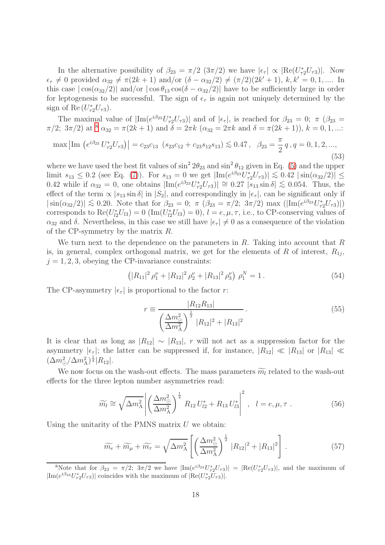In the alternative possibility of  $\beta_{23} = \pi/2 \left(3\pi/2\right)$  we have  $|\epsilon_{\tau}| \propto |\text{Re}(U_{\tau 2}^* U_{\tau 3})|$ . Now  $\epsilon_{\tau} \neq 0$  provided  $\alpha_{32} \neq \pi(2k+1)$  and/or  $(\delta - \alpha_{32}/2) \neq (\pi/2)(2k'+1)$ ,  $k, k' = 0, 1, \dots$  In this case  $|\cos(\alpha_{32}/2)|$  and/or  $|\cos\theta_{13}\cos(\delta-\alpha_{32}/2)|$  have to be sufficiently large in order for leptogenesis to be successful. The sign of  $\epsilon_{\tau}$  is again not uniquely determined by the sign of Re $(U_{\tau 2}^*U_{\tau 3})$ .

The maximal value of  $|\text{Im}(e^{i\beta_{23}}U_{\tau_2}^*U_{\tau_3})|$  and of  $|\epsilon_{\tau}|$ , is reached for  $\beta_{23} = 0$ ;  $\pi$  ( $\beta_{23} = 0$ )  $\pi/2$ ;  $3\pi/2$ ) at <sup>[8](#page-17-0)</sup>  $\alpha_{32} = \pi(2k+1)$  and  $\delta = 2\pi k$   $(\alpha_{32} = 2\pi k$  and  $\delta = \pi(2k+1)$ ,  $k = 0, 1, ...$ 

$$
\max |\text{Im} \left( e^{i\beta_{23}} U_{\tau 2}^* U_{\tau 3} \right)| = c_{23} c_{13} \left( s_{23} c_{12} + c_{23} s_{12} s_{13} \right) \lesssim 0.47, \ \ \beta_{23} = \frac{\pi}{2} q, q = 0, 1, 2, \dots, \tag{53}
$$

where we have used the best fit values of  $\sin^2 2\theta_{23}$  and  $\sin^2 \theta_{12}$  given in Eq. [\(5\)](#page-4-1) and the upper limit  $s_{13} \leq 0.2$  (see Eq. [\(7\)](#page-4-2)). For  $s_{13} = 0$  we get  $|\text{Im}(e^{i\beta_{23}}U_{72}^*U_{73})| \lesssim 0.42 |\sin(\alpha_{32}/2)| \le$ 0.42 while if  $\alpha_{32} = 0$ , one obtains  $|\text{Im}(e^{i\beta_{23}}U_{\tau_2}^*U_{\tau_3})| \approx 0.27 |\tilde{s}_{13} \sin \delta| \lesssim 0.054$ . Thus, the effect of the term  $\propto$   $|s_{13} \sin \delta|$  in  $|S_2|$ , and correspondingly in  $|\epsilon_{\tau}|$ , can be significant only if  $|\sin(\alpha_{32}/2)| \lesssim 0.20$ . Note that for  $\beta_{23} = 0$ ;  $\pi (\beta_{23} = \pi/2; 3\pi/2)$  max  $(|Im(e^{i\beta_{23}}U_{\tau2}^*U_{\tau3})|)$ corresponds to  $\text{Re}(U_{l2}^*U_{l3})=0$   $(\text{Im}(U_{l2}^*U_{l3})=0), l=e,\mu,\tau$ , i.e., to CP-conserving values of  $\alpha_{32}$  and  $\delta$ . Nevertheless, in this case we still have  $|\epsilon_{\tau}| \neq 0$  as a consequence of the violation of the CP-symmetry by the matrix R.

We turn next to the dependence on the parameters in  $R$ . Taking into account that  $R$ is, in general, complex orthogonal matrix, we get for the elements of  $R$  of interest,  $R_{1j}$ ,  $j = 1, 2, 3$ , obeying the CP-invariance constraints:

<span id="page-17-3"></span>
$$
(|R_{11}|^2 \rho_1^{\nu} + |R_{12}|^2 \rho_2^{\nu} + |R_{13}|^2 \rho_3^{\nu}) \rho_1^N = 1.
$$
 (54)

The CP-asymmetry  $|\epsilon_{\tau}|$  is proportional to the factor r:

$$
r \equiv \frac{|R_{12}R_{13}|}{\left(\frac{\Delta m_{\odot}^2}{\Delta m_{\rm A}^2}\right)^{\frac{1}{2}}|R_{12}|^2 + |R_{13}|^2}.
$$
\n(55)

It is clear that as long as  $|R_{12}| \sim |R_{13}|$ , r will not act as a suppression factor for the asymmetry  $|\epsilon_{\tau}|$ ; the latter can be suppressed if, for instance,  $|R_{12}| \ll |R_{13}|$  or  $|R_{13}| \ll$  $(\Delta m_{\odot}^2 / \Delta m_{\rm A}^2)^{\frac{1}{4}} |R_{12}|.$ 

We now focus on the wash-out effects. The mass parameters  $\widetilde{m}_l$  related to the wash-out effects for the three lepton number asymmetries read:

$$
\widetilde{m_l} \cong \sqrt{\Delta m_{\rm A}^2} \left| \left( \frac{\Delta m_{\odot}^2}{\Delta m_{\rm A}^2} \right)^{\frac{1}{4}} R_{12} U_{l2}^* + R_{13} U_{l3}^* \right|^2, \quad l = e, \mu, \tau \; . \tag{56}
$$

<span id="page-17-2"></span><span id="page-17-1"></span>Using the unitarity of the PMNS matrix  $U$  we obtain:

$$
\widetilde{m_e} + \widetilde{m_\mu} + \widetilde{m_\tau} = \sqrt{\Delta m_\text{A}^2} \left[ \left( \frac{\Delta m_\odot^2}{\Delta m_\text{A}^2} \right)^{\frac{1}{2}} |R_{12}|^2 + |R_{13}|^2 \right]. \tag{57}
$$

<span id="page-17-0"></span><sup>8</sup>Note that for  $\beta_{23} = \pi/2$ ;  $3\pi/2$  we have  $|\text{Im}(e^{i\beta_{23}}U_{\tau_2}^*U_{\tau_3})| = |\text{Re}(U_{\tau_2}^*U_{\tau_3})|$ , and the maximum of  $|\text{Im}(e^{i\beta_{23}}U_{\tau 2}^*U_{\tau 3})|$  coincides with the maximum of  $|\text{Re}(U_{\tau 2}^*U_{\tau 3})|$ .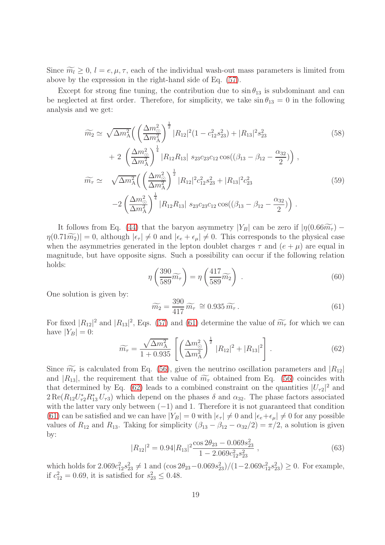Since  $\widetilde{m_l} \geq 0$ ,  $l = e, \mu, \tau$ , each of the individual wash-out mass parameters is limited from above by the expression in the right-hand side of Eq. [\(57\)](#page-17-1).

Except for strong fine tuning, the contribution due to  $\sin \theta_{13}$  is subdominant and can be neglected at first order. Therefore, for simplicity, we take  $\sin \theta_{13} = 0$  in the following analysis and we get:

$$
\widetilde{m_2} \simeq \sqrt{\Delta m_A^2} \left( \left( \frac{\Delta m_\odot^2}{\Delta m_A^2} \right)^{\frac{1}{2}} |R_{12}|^2 (1 - c_{12}^2 s_{23}^2) + |R_{13}|^2 s_{23}^2 \right)
$$
\n
$$
+ 2 \left( \frac{\Delta m_\odot^2}{\Delta m_A^2} \right)^{\frac{1}{4}} |R_{12} R_{13}| s_{23} c_{23} c_{12} \cos((\beta_{13} - \beta_{12} - \frac{\alpha_{32}}{2})) \right),
$$
\n
$$
\widetilde{m_\tau} \simeq \sqrt{\Delta m_A^2} \left( \left( \frac{\Delta m_\odot^2}{\Delta m_A^2} \right)^{\frac{1}{2}} |R_{12}|^2 c_{12}^2 s_{23}^2 + |R_{13}|^2 c_{23}^2 \right)
$$
\n
$$
-2 \left( \frac{\Delta m_\odot^2}{\Delta m_A^2} \right)^{\frac{1}{4}} |R_{12} R_{13}| s_{23} c_{23} c_{12} \cos((\beta_{13} - \beta_{12} - \frac{\alpha_{32}}{2})) \right).
$$
\n(59)

It follows from Eq. [\(44\)](#page-13-1) that the baryon asymmetry  $|Y_B|$  can be zero if  $|\eta(0.66\widetilde{m_{\tau}})$  –  $\eta(0.71\widetilde{m_2})|=0$ , although  $|\epsilon_{\tau}| \neq 0$  and  $|\epsilon_{\epsilon}+\epsilon_{\mu}| \neq 0$ . This corresponds to the physical case when the asymmetries generated in the lepton doublet charges  $\tau$  and  $(e + \mu)$  are equal in magnitude, but have opposite signs. Such a possibility can occur if the following relation holds:

<span id="page-18-2"></span>
$$
\eta\left(\frac{390}{589}\widetilde{m}_{\tau}\right) = \eta\left(\frac{417}{589}\widetilde{m}_{2}\right) \tag{60}
$$

One solution is given by:

$$
\widetilde{m_2} = \frac{390}{417} \widetilde{m_\tau} \cong 0.935 \widetilde{m_\tau} \,. \tag{61}
$$

For fixed  $|R_{12}|^2$  and  $|R_{13}|^2$ , Eqs. [\(57\)](#page-17-1) and [\(61\)](#page-18-0) determine the value of  $\widetilde{m}_{\tau}$  for which we can have  $|Y_B| = 0$ :

<span id="page-18-0"></span>
$$
\widetilde{m_{\tau}} = \frac{\sqrt{\Delta m_{\rm A}^2}}{1 + 0.935} \left[ \left( \frac{\Delta m_{\odot}^2}{\Delta m_{\rm A}^2} \right)^{\frac{1}{2}} |R_{12}|^2 + |R_{13}|^2 \right]. \tag{62}
$$

<span id="page-18-1"></span>Since  $\widetilde{m_{\tau}}$  is calculated from Eq. [\(56\)](#page-17-2), given the neutrino oscillation parameters and  $|R_{12}|$ and  $|R_{13}|$ , the requirement that the value of  $\widetilde{m}_{\tau}$  obtained from Eq. [\(56\)](#page-17-2) coincides with that determined by Eq. [\(62\)](#page-18-1) leads to a combined constraint on the quantities  $|U_{\tau2}|^2$  and  $2 \text{Re}(R_{12} U_{\tau_2}^* R_{13}^* U_{\tau_3})$  which depend on the phases  $\delta$  and  $\alpha_{32}$ . The phase factors associated with the latter vary only between  $(-1)$  and 1. Therefore it is not guaranteed that condition [\(61\)](#page-18-0) can be satisfied and we can have  $|Y_B| = 0$  with  $|\epsilon_{\tau}| \neq 0$  and  $|\epsilon_{e} + \epsilon_{\mu}| \neq 0$  for any possible values of  $R_{12}$  and  $R_{13}$ . Taking for simplicity  $(\beta_{13} - \beta_{12} - \alpha_{32}/2) = \pi/2$ , a solution is given by:

$$
|R_{12}|^2 = 0.94|R_{13}|^2 \frac{\cos 2\theta_{23} - 0.069s_{23}^2}{1 - 2.069c_{12}^2 s_{23}^2},
$$
\n(63)

which holds for  $2.069c_{12}^2s_{23}^2 \neq 1$  and  $(\cos 2\theta_{23}-0.069s_{23}^2)/(1-2.069c_{12}^2s_{23}^2) \geq 0$ . For example, if  $c_{12}^2 = 0.69$ , it is satisfied for  $s_{23}^2 \le 0.48$ .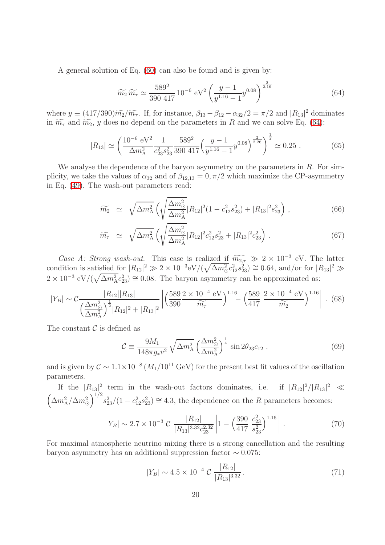<span id="page-19-0"></span>A general solution of Eq. [\(60\)](#page-18-2) can also be found and is given by:

$$
\widetilde{m_2}\,\widetilde{m_\tau} \simeq \frac{589^2}{390\ 417}\,10^{-6}\,\mathrm{eV}^2 \left(\frac{y-1}{y^{1.16}-1}y^{0.08}\right)^{\frac{2}{2.16}}\tag{64}
$$

where  $y \equiv (417/390)\widetilde{m}_2/\widetilde{m}_{\tau}$ . If, for instance,  $\beta_{13} - \beta_{12} - \alpha_{32}/2 = \pi/2$  and  $|R_{13}|^2$  dominates in  $\widetilde{m_{\tau}}$  and  $\widetilde{m_2}$ , y does no depend on the parameters in R and we can solve Eq. [\(64\)](#page-19-0):

$$
|R_{13}| \simeq \left(\frac{10^{-6} \text{ eV}^2}{\Delta m_{\text{A}}^2} \frac{1}{c_{23}^2 s_{23}^2} \frac{589^2}{390 \cdot 417} \left(\frac{y-1}{y^{1.16}-1} y^{0.08}\right)^{\frac{2}{2.26}}\right)^{\frac{1}{4}} \simeq 0.25 \ . \tag{65}
$$

We analyse the dependence of the baryon asymmetry on the parameters in  $R$ . For simplicity, we take the values of  $\alpha_{32}$  and of  $\beta_{12,13} = 0, \pi/2$  which maximize the CP-asymmetry in Eq. [\(49\)](#page-15-0). The wash-out parameters read:

$$
\widetilde{m_2} \simeq \sqrt{\Delta m_A^2} \left( \sqrt{\frac{\Delta m_\odot^2}{\Delta m_A^2}} |R_{12}|^2 (1 - c_{12}^2 s_{23}^2) + |R_{13}|^2 s_{23}^2 \right), \tag{66}
$$

$$
\widetilde{m}_{\tau} \simeq \sqrt{\Delta m_{\rm A}^2} \left( \sqrt{\frac{\Delta m_{\odot}^2}{\Delta m_{\rm A}^2}} |R_{12}|^2 c_{12}^2 s_{23}^2 + |R_{13}|^2 c_{23}^2 \right) . \tag{67}
$$

Case A: Strong wash-out. This case is realized if  $\widetilde{m_{2,7}} \gg 2 \times 10^{-3}$  eV. The latter condition is satisfied for  $|R_{12}|^2 \gg 2 \times 10^{-3} \text{eV}/(\sqrt{\Delta m^2_{\odot}} c_{12}^2 s_{23}^2) \approx 0.64$ , and/or for  $|R_{13}|^2 \gg$  $2 \times 10^{-3} \text{ eV}/(\sqrt{\Delta m_{\text{A}}^2 c_{23}^2}) \approx 0.08$ . The baryon asymmetry can be approximated as:

$$
|Y_B| \sim C \frac{|R_{12}| |R_{13}|}{\left(\frac{\Delta m_{\odot}^2}{\Delta m_{\rm A}^2}\right)^{\frac{1}{2}} |R_{12}|^2 + |R_{13}|^2} \left| \left(\frac{589 \ 2 \times 10^{-4} \ \text{eV}}{390} \frac{1.16}{\widetilde{m}_{\tau}} - \left(\frac{589}{417} \frac{2 \times 10^{-4} \ \text{eV}}{\widetilde{m}_{2}}\right)^{1.16} \right| \ . \tag{68}
$$

The constant  $\mathcal C$  is defined as

$$
\mathcal{C} \equiv \frac{9M_1}{148\pi g_* v^2} \sqrt{\Delta m_A^2} \left(\frac{\Delta m_\odot^2}{\Delta m_A^2}\right)^{\frac{1}{4}} \sin 2\theta_{23} c_{12} ,\qquad (69)
$$

and is given by  $C \sim 1.1 \times 10^{-8} (M_1/10^{11} \text{ GeV})$  for the present best fit values of the oscillation parameters.

If the  $|R_{13}|^2$  term in the wash-out factors dominates, i.e. if  $|R_{12}|^2/|R_{13}|^2 \ll$  $\left(\Delta m_{\rm A}^2/\Delta m_{\odot}^2\right)$  $\int_{0}^{1/2} s_{23}^2/(1 - c_{12}^2 s_{23}^2) \approx 4.3$ , the dependence on the R parameters becomes:

$$
|Y_B| \sim 2.7 \times 10^{-3} \mathcal{C} \frac{|R_{12}|}{|R_{13}|^{3.32} c_{23}^{2.32}} \left| 1 - \left( \frac{390}{417} \frac{c_{23}^2}{s_{23}^2} \right)^{1.16} \right| \,. \tag{70}
$$

For maximal atmospheric neutrino mixing there is a strong cancellation and the resulting baryon asymmetry has an additional suppression factor  $\sim 0.075$ :

$$
|Y_B| \sim 4.5 \times 10^{-4} \mathcal{C} \frac{|R_{12}|}{|R_{13}|^{3.32}}.
$$
 (71)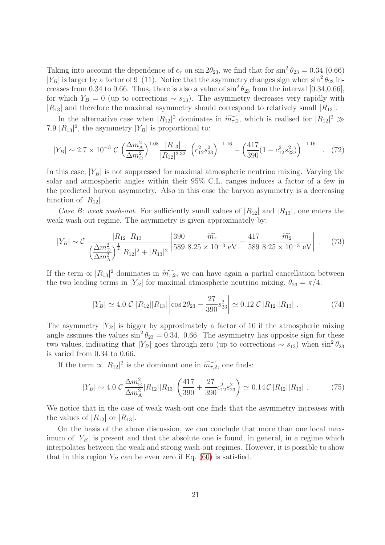Taking into account the dependence of  $\epsilon_{\tau}$  on  $\sin 2\theta_{23}$ , we find that for  $\sin^2 \theta_{23} = 0.34$  (0.66)  $|Y_B|$  is larger by a factor of 9 (11). Notice that the asymmetry changes sign when  $\sin^2 \theta_{23}$  increases from 0.34 to 0.66. Thus, there is also a value of  $\sin^2 \theta_{23}$  from the interval [0.34,0.66], for which  $Y_B = 0$  (up to corrections ~  $s_{13}$ ). The asymmetry decreases very rapidly with  $|R_{13}|$  and therefore the maximal asymmetry should correspond to relatively small  $|R_{13}|$ .

In the alternative case when  $|R_{12}|^2$  dominates in  $\widetilde{m_{\tau,2}}$ , which is realised for  $|R_{12}|^2 \gg |R_{\tau}|^2$ 7.9  $|R_{13}|^2$ , the asymmetry  $|Y_B|$  is proportional to:

$$
|Y_B| \sim 2.7 \times 10^{-3} \mathcal{C} \left(\frac{\Delta m_A^2}{\Delta m_\odot^2}\right)^{1.08} \frac{|R_{13}|}{|R_{12}|^{3.32}} \left| \left(c_{12}^2 s_{23}^2\right)^{-1.16} - \left(\frac{417}{390} (1 - c_{12}^2 s_{23}^2)\right)^{-1.16} \right| \ . \tag{72}
$$

In this case,  $|Y_B|$  is not suppressed for maximal atmospheric neutrino mixing. Varying the solar and atmospheric angles within their 95% C.L. ranges induces a factor of a few in the predicted baryon asymmetry. Also in this case the baryon asymmetry is a decreasing function of  $|R_{12}|$ .

Case B: weak wash-out. For sufficiently small values of  $|R_{12}|$  and  $|R_{13}|$ , one enters the weak wash-out regime. The asymmetry is given approximately by:

$$
|Y_B| \sim C \frac{|R_{12}| |R_{13}|}{\left(\frac{\Delta m_{\odot}^2}{\Delta m_{\rm A}^2}\right)^{\frac{1}{2}} |R_{12}|^2 + |R_{13}|^2} \left| \frac{390}{589} \frac{\widetilde{m_{\tau}}}{8.25 \times 10^{-3} \text{ eV}} - \frac{417}{589} \frac{\widetilde{m_{2}}}{8.25 \times 10^{-3} \text{ eV}} \right| \ . \tag{73}
$$

If the term  $\propto |R_{13}|^2$  dominates in  $\widetilde{m_{7,2}}$ , we can have again a partial cancellation between the two leading terms in  $|Y_B|$  for maximal atmospheric neutrino mixing,  $\theta_{23} = \pi/4$ :

$$
|Y_B| \simeq 4.0 \ \mathcal{C} \ |R_{12}||R_{13}| \left| \cos 2\theta_{23} - \frac{27}{390} s_{23}^2 \right| \simeq 0.12 \ \mathcal{C} \ |R_{12}||R_{13}| \ . \tag{74}
$$

The asymmetry  $|Y_B|$  is bigger by approximately a factor of 10 if the atmospheric mixing angle assumes the values  $\sin^2 \theta_{23} = 0.34$ , 0.66. The asymmetry has opposite sign for these two values, indicating that  $|Y_B|$  goes through zero (up to corrections  $\sim s_{13}$ ) when  $\sin^2 \theta_{23}$ is varied from 0.34 to 0.66.

If the term  $\propto |R_{12}|^2$  is the dominant one in  $\widetilde{m_{\tau,2}}$ , one finds:

$$
|Y_B| \sim 4.0 \mathcal{C} \frac{\Delta m_{\odot}^2}{\Delta m_{\rm A}^2} |R_{12}| |R_{13}| \left( \frac{417}{390} + \frac{27}{390} c_{12}^2 s_{23}^2 \right) \simeq 0.14 \mathcal{C} |R_{12}| |R_{13}| \,. \tag{75}
$$

We notice that in the case of weak wash-out one finds that the asymmetry increases with the values of  $|R_{12}|$  or  $|R_{13}|$ .

On the basis of the above discussion, we can conclude that more than one local maximum of  $|Y_B|$  is present and that the absolute one is found, in general, in a regime which interpolates between the weak and strong wash-out regimes. However, it is possible to show that in this region  $Y_B$  can be even zero if Eq. [\(60\)](#page-18-2) is satisfied.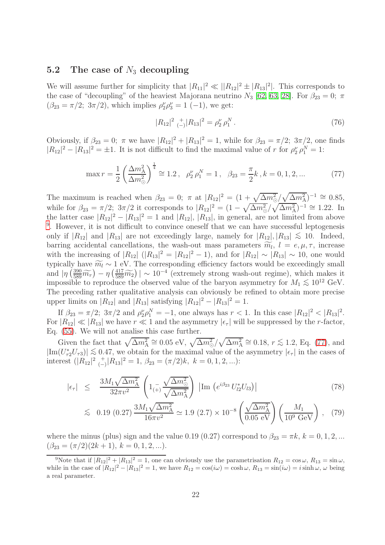#### 5.2 The case of  $N_3$  decoupling

We will assume further for simplicity that  $|R_{11}|^2 \ll ||R_{12}|^2 \pm |R_{13}|^2$ . This corresponds to the case of "decoupling" of the heaviest Majorana neutrino  $N_3$  [\[62,](#page-45-19) [63,](#page-46-0) [28\]](#page-44-6). For  $\beta_{23} = 0$ ;  $\pi$  $(\beta_{23} = \pi/2; 3\pi/2)$ , which implies  $\rho_2^{\nu} \rho_3^{\nu} = 1$  (-1), we get:

$$
|R_{12}|^2 \underset{(-)}{+} |R_{13}|^2 = \rho_2^{\nu} \rho_1^N. \tag{76}
$$

Obviously, if  $\beta_{23} = 0$ ;  $\pi$  we have  $|R_{12}|^2 + |R_{13}|^2 = 1$ , while for  $\beta_{23} = \pi/2$ ;  $3\pi/2$ , one finds  $|R_{12}|^2 - |R_{13}|^2 = \pm 1$ . It is not difficult to find the maximal value of r for  $\rho_2^{\nu} \rho_1^N = 1$ :

$$
\max r = \frac{1}{2} \left( \frac{\Delta m_A^2}{\Delta m_{\odot}^2} \right)^{\frac{1}{4}} \cong 1.2 \,, \quad \rho_2^{\nu} \, \rho_1^N = 1 \,, \quad \beta_{23} = \frac{\pi}{2} k \,, k = 0, 1, 2, \dots \tag{77}
$$

<span id="page-21-1"></span>The maximum is reached when  $\beta_{23} = 0$ ;  $\pi$  at  $|R_{12}|^2 = \left(1 + \sqrt{\Delta m_{\odot}^2}/\sqrt{\Delta m_{\rm A}^2}\right)^{-1} \cong 0.85$ , while for  $\beta_{23} = \pi/2$ ;  $3\pi/2$  it corresponds to  $|R_{12}|^2 = (1 - \sqrt{\Delta m_{\odot}^2}/\sqrt{\Delta m_{\rm A}^2})^{-1} \approx 1.22$ . In the latter case  $|R_{12}|^2 - |R_{13}|^2 = 1$  and  $|R_{12}|$ ,  $|R_{13}|$ , in general, are not limited from above <sup>[9](#page-21-0)</sup>. However, it is not difficult to convince oneself that we can have successful leptogenesis only if  $|R_{12}|$  and  $|R_{13}|$  are not exceedingly large, namely for  $|R_{12}|, |R_{13}| \lesssim 10$ . Indeed, barring accidental cancellations, the wash-out mass parameters  $\widetilde{m}_l$ ,  $l = e, \mu, \tau$ , increase with the increasing of  $|R_{12}| (|R_{13}|^2 = |R_{12}|^2 - 1)$ , and for  $|R_{12}| \sim |R_{13}| \sim 10$ , one would typically have  $\widetilde{m_l} \sim 1$  eV. The corresponding efficiency factors would be exceedingly small and  $|\eta(\frac{390}{589}\widetilde{m}_7) - \eta(\frac{417}{589}\widetilde{m}_2)| \sim 10^{-4}$  (extremely strong wash-out regime), which makes it impossible to reproduce the observed value of the baryon asymmetry for  $M_1 \lesssim 10^{12}$  GeV. The preceding rather qualitative analysis can obviously be refined to obtain more precise upper limits on  $|R_{12}|$  and  $|R_{13}|$  satisfying  $|R_{12}|^2 - |R_{13}|^2 = 1$ .

If  $\beta_{23} = \pi/2$ ;  $3\pi/2$  and  $\rho_2^{\nu} \rho_1^N = -1$ , one always has  $r < 1$ . In this case  $|R_{12}|^2 < |R_{13}|^2$ . For  $|R_{12}| \ll |R_{13}|$  we have  $r \ll 1$  and the asymmetry  $|\epsilon_r|$  will be suppressed by the r-factor, Eq. [\(55\)](#page-17-3). We will not analise this case further.

Given the fact that  $\sqrt{\Delta m_{\rm A}^2} \cong 0.05$  eV,  $\sqrt{\Delta m_{\odot}^2}/\sqrt{\Delta m_{\rm A}^2} \cong 0.18$ ,  $r \lesssim 1.2$ , Eq. [\(77\)](#page-21-1), and  $|\text{Im}(U_{\tau2}^*U_{\tau3})| \lesssim 0.47$ , we obtain for the maximal value of the asymmetry  $|\epsilon_{\tau}|$  in the cases of interest  $(|R_{12}|^2 \underset{(-)}{+}$  $\binom{+}{-} |R_{13}|^2 = 1, \ \beta_{23} = (\pi/2)k, \ k = 0, 1, 2, \ldots$ :

<span id="page-21-2"></span>
$$
|\epsilon_{\tau}| \leq \frac{3M_1\sqrt{\Delta m_{\rm A}^2}}{32\pi v^2} \left(1_{(+)} \frac{\sqrt{\Delta m_{\rm \odot}^2}}{\sqrt{\Delta m_{\rm A}^2}}\right) \left|\text{Im}\left(e^{i\beta_{23}} U_{l2}^* U_{l3}\right)\right| \tag{78}
$$

$$
\lesssim 0.19 (0.27) \frac{3M_1 \sqrt{\Delta m_{\rm A}^2}}{16\pi v^2} \simeq 1.9 (2.7) \times 10^{-8} \left(\frac{\sqrt{\Delta m_{\rm A}^2}}{0.05 \text{ eV}}\right) \left(\frac{M_1}{10^9 \text{ GeV}}\right), (79)
$$

where the minus (plus) sign and the value 0.19 (0.27) correspond to  $\beta_{23} = \pi k, k = 0, 1, 2, ...$  $(\beta_{23} = (\pi/2)(2k+1), k = 0, 1, 2, ...).$ 

<span id="page-21-0"></span><sup>&</sup>lt;sup>9</sup>Note that if  $|R_{12}|^2 + |R_{13}|^2 = 1$ , one can obviously use the parametrisation  $R_{12} = \cos \omega$ ,  $R_{13} = \sin \omega$ , while in the case of  $|R_{12}|^2 - |R_{13}|^2 = 1$ , we have  $R_{12} = \cos(i\omega) = \cosh \omega$ ,  $R_{13} = \sin(i\omega) = i \sinh \omega$ ,  $\omega$  being a real parameter.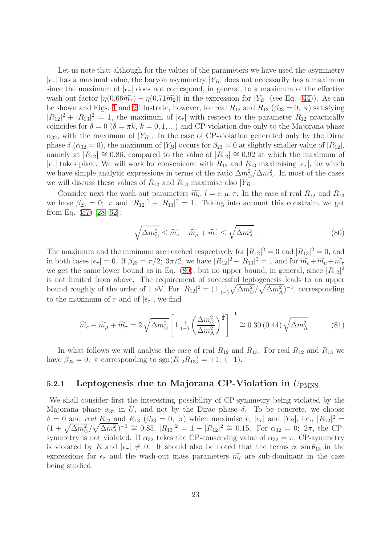Let us note that although for the values of the parameters we have used the asymmetry  $|\epsilon_{\tau}|$  has a maximal value, the baryon asymmetry  $|Y_B|$  does not necessarily has a maximum since the maximum of  $|\epsilon_{\tau}|$  does not correspond, in general, to a maximum of the effective wash-out factor  $|\eta(0.66\widetilde{m}_{\tau}) - \eta(0.71\widetilde{m}_2)|$  in the expression for  $|Y_B|$  (see Eq. [\(44\)](#page-13-1)). As can be shown and Figs. [1](#page-47-0) and [2](#page-47-1) illustrate, however, for real  $R_{12}$  and  $R_{13}$  ( $\beta_{23} = 0$ ;  $\pi$ ) satisfying  $|R_{12}|^2 + |R_{13}|^2 = 1$ , the maximum of  $|\epsilon_\tau|$  with respect to the parameter  $R_{12}$  practically coincides for  $\delta = 0$  ( $\delta = \pi k$ ,  $k = 0, 1, ...$ ) and CP-violation due only to the Majorana phase  $\alpha_{32}$ , with the maximum of  $|Y_B|$ . In the case of CP-violation generated only by the Dirac phase  $\delta (\alpha_{32} = 0)$ , the maximum of  $|Y_B|$  occurs for  $\beta_{23} = 0$  at slightly smaller value of  $|R_{12}|$ , namely at  $|R_{12}| \cong 0.86$ , compared to the value of  $|R_{12}| \cong 0.92$  at which the maximum of  $|\epsilon_{\tau}|$  takes place. We will work for convenience with  $R_{12}$  and  $R_{13}$  maximising  $|\epsilon_{\tau}|$ , for which we have simple analytic expressions in terms of the ratio  $\Delta m^2 \Delta m^2$ . In most of the cases we will discuss these values of  $R_{12}$  and  $R_{13}$  maximise also  $|Y_B|$ .

Consider next the wash-out parameters  $\widetilde{m}_l$ ,  $l = e, \mu, \tau$ . In the case of real  $R_{12}$  and  $R_{13}$ we have  $\beta_{23} = 0$ ;  $\pi$  and  $|R_{12}|^2 + |R_{13}|^2 = 1$ . Taking into account this constraint we get from Eq. [\(57\)](#page-17-1) [\[28,](#page-44-6) [62\]](#page-45-19):

$$
\sqrt{\Delta m_{\odot}^2} \le \widetilde{m_e} + \widetilde{m_\mu} + \widetilde{m_\tau} \le \sqrt{\Delta m_{\rm A}^2} \,. \tag{80}
$$

<span id="page-22-0"></span>The maximum and the minimum are reached respectively for  $|R_{12}|^2 = 0$  and  $|R_{13}|^2 = 0$ , and in both cases  $|\epsilon_{\tau}| = 0$ . If  $\beta_{23} = \pi/2$ ;  $3\pi/2$ , we have  $|R_{12}|^2 - |R_{13}|^2 = 1$  and for  $\widetilde{m_e} + \widetilde{m_\mu} + \widetilde{m_\tau}$ we get the same lower bound as in Eq. [\(80\)](#page-22-0), but no upper bound, in general, since  $|R_{12}|^2$ is not limited from above. The requirement of successful leptogenesis leads to an upper bound roughly of the order of 1 eV. For  $|R_{12}|^2 = (1 \frac{1}{(-)})$  $\sqrt{\Delta m_{\odot}^2}/\sqrt{\Delta m_{\rm A}^2}$ <sup>-1</sup>, corresponding to the maximum of r and of  $|\epsilon_{\tau}|$ , we find

$$
\widetilde{m_e} + \widetilde{m_\mu} + \widetilde{m_\tau} = 2\sqrt{\Delta m_\odot^2} \left[ 1 \underset{(-)}{+} \left( \frac{\Delta m_\odot^2}{\Delta m_\mathrm{A}^2} \right)^{\frac{1}{2}} \right]^{-1} \cong 0.30 \,(0.44) \sqrt{\Delta m_\mathrm{A}^2} \,. \tag{81}
$$

In what follows we will analyse the case of real  $R_{12}$  and  $R_{13}$ . For real  $R_{12}$  and  $R_{13}$  we have  $\beta_{23} = 0$ ;  $\pi$  corresponding to  $sgn(R_{12}R_{13}) = +1$ ; (-1).

#### 5.2.1 Leptogenesis due to Majorana CP-Violation in  $U_{\text{PMNS}}$

We shall consider first the interesting possibility of CP-symmetry being violated by the Majorana phase  $\alpha_{32}$  in U, and not by the Dirac phase  $\delta$ . To be concrete, we choose  $\delta = 0$  and real  $R_{12}$  and  $R_{13}$  ( $\beta_{23} = 0$ ;  $\pi$ ) which maximise r,  $|\epsilon_{\tau}|$  and  $|Y_B|$ , i.e.,  $|R_{12}|^2 =$  $(1 + \sqrt{\Delta m_{\odot}^2}/\sqrt{\Delta m_{\rm A}^2})^{-1} \cong 0.85$ ,  $|R_{13}|^2 = 1 - |R_{12}|^2 \cong 0.15$ . For  $\alpha_{32} = 0$ ;  $2\pi$ , the CPsymmetry is not violated. If  $\alpha_{32}$  takes the CP-conserving value of  $\alpha_{32} = \pi$ , CP-symmetry is violated by R and  $|\epsilon_{\tau}| \neq 0$ . It should also be noted that the terms  $\propto \sin \theta_{13}$  in the expressions for  $\epsilon_{\tau}$  and the wash-out mass parameters  $\widetilde{m_l}$  are sub-dominant in the case being studied.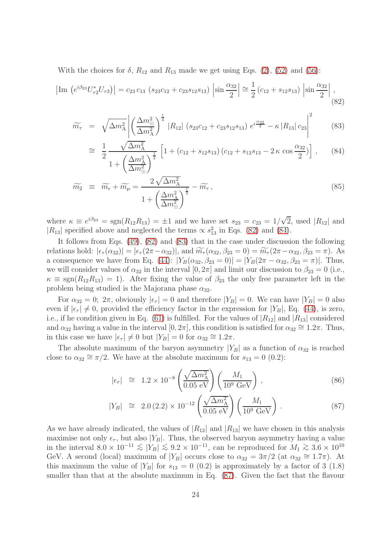With the choices for  $\delta$ ,  $R_{12}$  and  $R_{13}$  made we get using Eqs. [\(2\)](#page-4-0), [\(52\)](#page-16-1) and [\(56\)](#page-17-2):

<span id="page-23-0"></span>
$$
\left| \text{Im} \left( e^{i\beta_{23}} U_{\tau 2}^* U_{\tau 3} \right) \right| = c_{23} c_{13} \left( s_{23} c_{12} + c_{23} s_{12} s_{13} \right) \left| \sin \frac{\alpha_{32}}{2} \right| \cong \frac{1}{2} \left( c_{12} + s_{12} s_{13} \right) \left| \sin \frac{\alpha_{32}}{2} \right|,
$$
\n(82)

<span id="page-23-1"></span>
$$
\widetilde{m}_{\tau} = \sqrt{\Delta m_{\rm A}^2} \left| \left( \frac{\Delta m_{\odot}^2}{\Delta m_{\rm A}^2} \right)^{\frac{1}{4}} |R_{12}| \left( s_{23} c_{12} + c_{23} s_{12} s_{13} \right) e^{i \frac{\alpha_{32}}{2}} - \kappa |R_{13}| c_{23} \right|^2 \tag{83}
$$

$$
\cong \frac{1}{2} \frac{\sqrt{\Delta m_{\rm A}^2}}{1 + \left(\frac{\Delta m_{\rm A}^2}{\Delta m_{\odot}^2}\right)^{\frac{1}{2}}} \left[1 + (c_{12} + s_{12}s_{13})\left(c_{12} + s_{12}s_{13} - 2\kappa\cos\frac{\alpha_{32}}{2}\right)\right], \quad (84)
$$

$$
\widetilde{m_2} \equiv \widetilde{m_e} + \widetilde{m_\mu} = \frac{2\sqrt{\Delta m_\text{A}^2}}{1 + \left(\frac{\Delta m_\text{A}^2}{\Delta m_\odot^2}\right)^{\frac{1}{2}}} - \widetilde{m_\tau},\tag{85}
$$

where  $\kappa \equiv e^{i\beta_{23}} = \text{sgn}(R_{12}R_{13}) = \pm 1$  and we have set  $s_{23} = c_{23} = 1/\sqrt{2}$ , used  $|R_{12}|$  and  $|R_{13}|$  specified above and neglected the terms  $\propto s_{13}^2$  in Eqs. [\(82\)](#page-23-0) and [\(84\)](#page-23-1).

It follows from Eqs. [\(49\)](#page-15-0), [\(82\)](#page-23-0) and [\(83\)](#page-23-1) that in the case under discussion the following relations hold:  $|\epsilon_{\tau}(\alpha_{32})| = |\epsilon_{\tau}(2\pi - \alpha_{32})|$ , and  $\widetilde{m}_{\tau}(\alpha_{32}, \beta_{23} = 0) = \widetilde{m}_{\tau}(2\pi - \alpha_{32}, \beta_{23} = \pi)$ . As a consequence we have from Eq. [\(44\)](#page-13-1):  $|Y_B(\alpha_{32}, \beta_{23} = 0)| = |Y_B(2\pi - \alpha_{32}, \beta_{23} = \pi)|$ . Thus, we will consider values of  $\alpha_{32}$  in the interval  $[0, 2\pi]$  and limit our discussion to  $\beta_{23} = 0$  (i.e.,  $\kappa \equiv \text{sgn}(R_{12}R_{13}) = 1$ ). After fixing the value of  $\beta_{23}$  the only free parameter left in the problem being studied is the Majorana phase  $\alpha_{32}$ .

For  $\alpha_{32} = 0$ ;  $2\pi$ , obviously  $|\epsilon_{\tau}| = 0$  and therefore  $|Y_B| = 0$ . We can have  $|Y_B| = 0$  also even if  $|\epsilon_{\tau}| \neq 0$ , provided the efficiency factor in the expression for  $|Y_B|$ , Eq. [\(44\)](#page-13-1), is zero, i.e., if he condition given in Eq. [\(61\)](#page-18-0) is fulfilled. For the values of  $|R_{12}|$  and  $|R_{13}|$  considered and  $\alpha_{32}$  having a value in the interval  $[0, 2\pi]$ , this condition is satisfied for  $\alpha_{32} \cong 1.2\pi$ . Thus, in this case we have  $|\epsilon_{\tau}| \neq 0$  but  $|Y_B| = 0$  for  $\alpha_{32} \cong 1.2\pi$ .

<span id="page-23-2"></span>The absolute maximum of the baryon asymmetry  $|Y_B|$  as a function of  $\alpha_{32}$  is reached close to  $\alpha_{32} \cong \pi/2$ . We have at the absolute maximum for  $s_{13} = 0$  (0.2):

$$
|\epsilon_{\tau}| \cong 1.2 \times 10^{-8} \left( \frac{\sqrt{\Delta m_{\rm A}^2}}{0.05 \text{ eV}} \right) \left( \frac{M_1}{10^9 \text{ GeV}} \right) ,\qquad (86)
$$

$$
|Y_B| \cong 2.0 (2.2) \times 10^{-12} \left( \frac{\sqrt{\Delta m_A^2}}{0.05 \text{ eV}} \right) \left( \frac{M_1}{10^9 \text{ GeV}} \right). \tag{87}
$$

As we have already indicated, the values of  $|R_{12}|$  and  $|R_{13}|$  we have chosen in this analysis maximise not only  $\epsilon_{\tau}$ , but also |Y<sub>B</sub>|. Thus, the observed baryon asymmetry having a value in the interval  $8.0 \times 10^{-11} \le |Y_B| \le 9.2 \times 10^{-11}$ , can be reproduced for  $M_1 \ge 3.6 \times 10^{10}$ GeV. A second (local) maximum of  $|Y_B|$  occurs close to  $\alpha_{32} = 3\pi/2$  (at  $\alpha_{32} \approx 1.7\pi$ ). At this maximum the value of  $|Y_B|$  for  $s_{13} = 0$  (0.2) is approximately by a factor of 3 (1.8) smaller than that at the absolute maximum in Eq. [\(87\)](#page-23-2). Given the fact that the flavour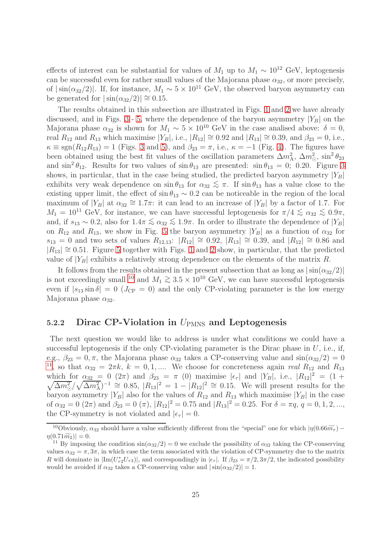effects of interest can be substantial for values of  $M_1$  up to  $M_1 \sim 10^{12}$  GeV, leptogenesis can be successful even for rather small values of the Majorana phase  $\alpha_{32}$ , or more precisely, of  $|\sin(\alpha_{32}/2)|$ . If, for instance,  $M_1 \sim 5 \times 10^{11}$  GeV, the observed baryon asymmetry can be generated for  $|\sin(\alpha_{32}/2)| \approx 0.15$ .

The results obtained in this subsection are illustrated in Figs. [1](#page-47-0) and [2](#page-47-1) we have already discussed, and in Figs. [3](#page-48-0)- [5,](#page-49-0) where the dependence of the baryon asymmetry  $|Y_B|$  on the Majorana phase  $\alpha_{32}$  is shown for  $M_1 \sim 5 \times 10^{10}$  GeV in the case analised above:  $\delta = 0$ , real  $R_{12}$  and  $R_{13}$  which maximise  $|Y_B|$ , i.e.,  $|R_{12}| \cong 0.92$  and  $|R_{13}| \cong 0.39$ , and  $\beta_{23} = 0$ , i.e.,  $\kappa \equiv \text{sgn}(R_{12}R_{13}) = 1$  (Figs. [3](#page-48-0) and [5\)](#page-49-0), and  $\beta_{23} = \pi$ , i.e.,  $\kappa = -1$  (Fig. [4\)](#page-48-1). The figures have been obtained using the best fit values of the oscillation parameters  $\Delta m_A^2$ ,  $\Delta m_\odot^2$ ,  $\sin^2 \theta_{23}$ and  $\sin^2 \theta_{12}$ . Results for two values of  $\sin \theta_{13}$  are presented:  $\sin \theta_{13} = 0$ ; 0.20. Figure [3](#page-48-0) shows, in particular, that in the case being studied, the predicted baryon asymmetry  $|Y_B|$ exhibits very weak dependence on  $\sin \theta_{13}$  for  $\alpha_{32} \leq \pi$ . If  $\sin \theta_{13}$  has a value close to the existing upper limit, the effect of  $\sin \theta_{13} \sim 0.2$  can be noticeable in the region of the local maximum of  $|Y_B|$  at  $\alpha_{32} \cong 1.7\pi$ : it can lead to an increase of  $|Y_B|$  by a factor of 1.7. For  $M_1 = 10^{11}$  GeV, for instance, we can have successful leptogenesis for  $\pi/4 \lesssim \alpha_{32} \lesssim 0.9\pi$ , and, if  $s_{13} \sim 0.2$ , also for  $1.4\pi \lesssim \alpha_{32} \lesssim 1.9\pi$ . In order to illustrate the dependence of  $|Y_B|$ on  $R_{12}$  and  $R_{13}$ , we show in Fig. [5](#page-49-0) the baryon asymmetry  $|Y_B|$  as a function of  $\alpha_{32}$  for  $s_{13} = 0$  and two sets of values  $R_{12,13}$ :  $|R_{12}| \cong 0.92$ ,  $|R_{13}| \cong 0.39$ , and  $|R_{12}| \cong 0.86$  and  $|R_{13}| \approx 0.51$ . Figure [5](#page-49-0) together with Figs. [1](#page-47-0) and [2](#page-47-1) show, in particular, that the predicted value of  $|Y_B|$  exhibits a relatively strong dependence on the elements of the matrix R.

It follows from the results obtained in the present subsection that as long as  $|\sin(\alpha_{32}/2)|$ is not exceedingly small <sup>[10](#page-24-0)</sup> and  $M_1 \gtrsim 3.5 \times 10^{10}$  GeV, we can have successful leptogenesis even if  $|s_{13} \sin \delta| = 0$  ( $J_{CP} = 0$ ) and the only CP-violating parameter is the low energy Majorana phase  $\alpha_{32}$ .

### 5.2.2 Dirac CP-Violation in  $U_{PMNS}$  and Leptogenesis

The next question we would like to address is under what conditions we could have a successful leptogenesis if the only CP-violating parameter is the Dirac phase in  $U$ , i.e., if, e.g.,  $\beta_{23} = 0, \pi$ , the Majorana phase  $\alpha_{32}$  takes a CP-conserving value and  $\sin(\alpha_{32}/2) = 0$ <sup>[11](#page-24-1)</sup>, so that  $\alpha_{32} = 2\pi k$ ,  $k = 0, 1, ...$  We choose for concreteness again *real*  $R_{12}$  and  $R_{13}$ which for  $\alpha_{32} = 0$  (2π) and  $\beta_{23} = \pi$  (0) maximise  $|\epsilon_{\tau}|$  and  $|Y_B|$ , i.e.,  $|R_{12}|^2 = (1 +$  $\sqrt{\Delta m_{\odot}^2}/\sqrt{\Delta m_{\rm A}^2}$ )<sup>-1</sup>  $\cong$  0.85,  $|R_{13}|^2 = 1 - |R_{12}|^2 \cong 0.15$ . We will present results for the baryon asymmetry  $|Y_B|$  also for the values of  $R_{12}$  and  $R_{13}$  which maximise  $|Y_B|$  in the case of  $\alpha_{32} = 0$  (2 $\pi$ ) and  $\beta_{23} = 0$  ( $\pi$ ),  $|R_{12}|^2 = 0.75$  and  $|R_{13}|^2 = 0.25$ . For  $\delta = \pi q$ ,  $q = 0, 1, 2, ...$ , the CP-symmetry is not violated and  $|\epsilon_{\tau}| = 0$ .

<span id="page-24-0"></span><sup>&</sup>lt;sup>10</sup>Obviously,  $\alpha_{32}$  should have a value sufficiently different from the "special" one for which  $|\eta(0.66\widetilde{m_{\tau}}) \eta(0.71\widetilde{m}_2)| = 0.$ 

<span id="page-24-1"></span><sup>&</sup>lt;sup>11</sup> By imposing the condition  $\sin(\alpha_{32}/2) = 0$  we exclude the possibility of  $\alpha_{32}$  taking the CP-conserving values  $\alpha_{32} = \pi, 3\pi$ , in which case the term associated with the violation of CP-symmetry due to the matrix R will dominate in  $|\text{Im}(U_{\tau_2}^*U_{\tau_3})|$ , and correspondingly in  $|\epsilon_{\tau}|$ . If  $\beta_{23} = \pi/2, 3\pi/2$ , the indicated possibility would be avoided if  $\alpha_{32}$  takes a CP-conserving value and  $|\sin(\alpha_{32}/2)| = 1$ .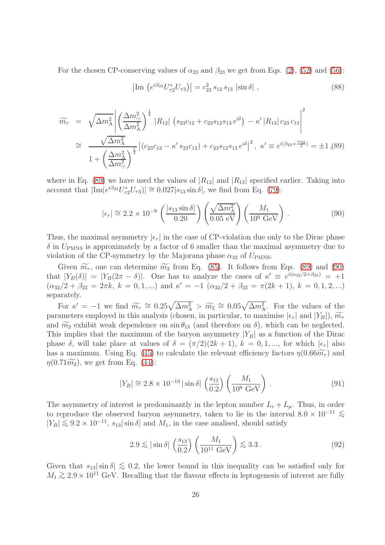For the chosen CP-conserving values of  $\alpha_{23}$  and  $\beta_{23}$  we get from Eqs. [\(2\)](#page-4-0), [\(52\)](#page-16-1) and [\(56\)](#page-17-2):

$$
\left| \text{Im} \left( e^{i\beta_{23}} U_{\tau 2}^* U_{\tau 3} \right) \right| = c_{23}^2 \, s_{12} \, s_{13} \, \left| \sin \delta \right| \,, \tag{88}
$$

<span id="page-25-0"></span>
$$
\widetilde{m_{\tau}} = \sqrt{\Delta m_{\rm A}^2} \left| \left( \frac{\Delta m_{\odot}^2}{\Delta m_{\rm A}^2} \right)^{\frac{1}{4}} |R_{12}| \left( s_{23} c_{12} + c_{23} s_{12} s_{13} e^{i\delta} \right) - \kappa' |R_{13}| \left( c_{23} c_{13} \right)^2 \right|
$$
\n
$$
\approx \frac{\sqrt{\Delta m_{\rm A}^2}}{1 + \left( \frac{\Delta m_{\rm A}^2}{\Delta m_{\odot}^2} \right)^{\frac{1}{2}} \left| \left( c_{23} c_{13} - \kappa' s_{23} c_{12} \right) + c_{23} s_{12} s_{13} e^{i\delta} \right|^2, \ \kappa' \equiv e^{i(\beta_{23} + \frac{\alpha_{32}}{2})} = \pm 1, (89)
$$

where in Eq. [\(89\)](#page-25-0) we have used the values of  $|R_{12}|$  and  $|R_{13}|$  specified earlier. Taking into account that  $|\text{Im}(e^{i\beta_{23}}U_{\tau 2}^*U_{\tau 3})| \cong 0.027|s_{13}\sin\delta|$ , we find from Eq. [\(79\)](#page-21-2):

$$
|\epsilon_{\tau}| \cong 2.2 \times 10^{-9} \left( \frac{|s_{13} \sin \delta|}{0.20} \right) \left( \frac{\sqrt{\Delta m_{\rm A}^2}}{0.05 \text{ eV}} \right) \left( \frac{M_1}{10^9 \text{ GeV}} \right). \tag{90}
$$

<span id="page-25-1"></span>Thus, the maximal asymmetry  $|\epsilon_{\tau}|$  in the case of CP-violation due only to the Dirac phase  $\delta$  in  $U_{\text{PMNS}}$  is approximately by a factor of 6 smaller than the maximal asymmetry due to violation of the CP-symmetry by the Majorana phase  $\alpha_{32}$  of  $U_{PMNS}$ .

Given  $\widetilde{m_{\tau}}$ , one can determine  $\widetilde{m_2}$  from Eq. [\(85\)](#page-23-1). It follows from Eqs. [\(89\)](#page-25-0) and [\(90\)](#page-25-1) that  $|Y_B(\delta)| = |Y_B(2\pi - \delta)|$ . One has to analyze the cases of  $\kappa' \equiv e^{i(\alpha_{32}/2 + \beta_{23})} = +1$ .  $(\alpha_{32}/2 + \beta_{23} = 2\pi k, k = 0, 1, ...)$  and  $\kappa' = -1$   $(\alpha_{32}/2 + \beta_{23} = \pi(2k + 1), k = 0, 1, 2, ...)$ separately.

For  $\kappa' = -1$  we find  $\widetilde{m}_{\tau} \cong 0.25\sqrt{\Delta m_{\rm A}^2} > \widetilde{m}_{2} \cong 0.05\sqrt{\Delta m_{\rm A}^2}$ . For the values of the parameters employed in this analysis (chosen, in particular, to maximise  $|\epsilon_{\tau}|$  and  $|Y_B|$ ),  $\widetilde{m_{\tau}}$ and  $\widetilde{m_2}$  exhibit weak dependence on  $\sin \theta_{13}$  (and therefore on  $\delta$ ), which can be neglected. This implies that the maximum of the baryon asymmetry  $|Y_B|$  as a function of the Dirac phase  $\delta$ , will take place at values of  $\delta = (\pi/2)(2k+1)$ ,  $k = 0, 1, ...$ , for which  $|\epsilon_{\tau}|$  also has a maximum. Using Eq. [\(45\)](#page-13-3) to calculate the relevant efficiency factors  $\eta(0.66\widetilde{m}_{\tau})$  and  $\eta(0.71\widetilde{m_2})$ , we get from Eq. [\(44\)](#page-13-1):

$$
|Y_B| \cong 2.8 \times 10^{-13} \, |\sin \delta| \, \left(\frac{s_{13}}{0.2}\right) \left(\frac{M_1}{10^9 \, \text{GeV}}\right) \,. \tag{91}
$$

The asymmetry of interest is predominantly in the lepton number  $L_e + L_\mu$ . Thus, in order to reproduce the observed baryon asymmetry, taken to lie in the interval  $8.0 \times 10^{-11}$   $\lesssim$  $|Y_B| \lesssim 9.2 \times 10^{-11}$ ,  $s_{13}|\sin \delta|$  and  $M_1$ , in the case analised, should satisfy

$$
2.9 \lesssim |\sin \delta| \left(\frac{s_{13}}{0.2}\right) \left(\frac{M_1}{10^{11} \text{ GeV}}\right) \lesssim 3.3. \tag{92}
$$

Given that  $s_{13}|\sin \delta| \lesssim 0.2$ , the lower bound in this inequality can be satisfied only for  $M_1 \gtrsim 2.9 \times 10^{11}$  GeV. Recalling that the flavour effects in leptogenesis of interest are fully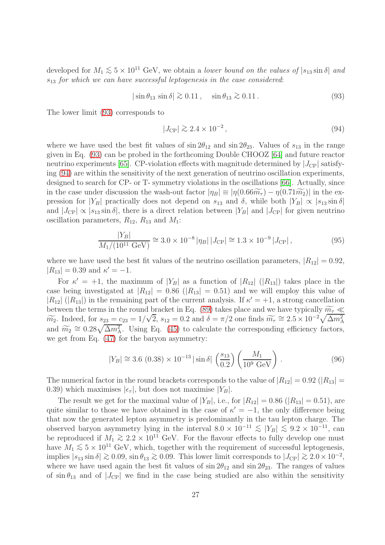developed for  $M_1 \lesssim 5 \times 10^{11}$  GeV, we obtain a *lower bound on the values of*  $|s_{13} \sin \delta|$  and  $s_{13}$  for which we can have successful leptogenesis in the case considered:

<span id="page-26-1"></span>
$$
|\sin \theta_{13} \sin \delta| \gtrsim 0.11, \quad \sin \theta_{13} \gtrsim 0.11. \tag{93}
$$

<span id="page-26-0"></span>The lower limit [\(93\)](#page-26-0) corresponds to

$$
|J_{\rm CP}| \gtrsim 2.4 \times 10^{-2},\tag{94}
$$

where we have used the best fit values of  $\sin 2\theta_{12}$  and  $\sin 2\theta_{23}$ . Values of  $s_{13}$  in the range given in Eq. [\(93\)](#page-26-0) can be probed in the forthcoming Double CHOOZ [\[64\]](#page-46-1) and future reactor neutrino experiments [\[65\]](#page-46-2). CP-violation effects with magnitude determined by  $|J_{\rm CP}|$  satisfying [\(94\)](#page-26-1) are within the sensitivity of the next generation of neutrino oscillation experiments, designed to search for CP- or T- symmetry violations in the oscillations [\[66\]](#page-46-3). Actually, since in the case under discussion the wash-out factor  $|\eta_B| \equiv |\eta(0.66\widetilde{m}_{\tau}) - \eta(0.71\widetilde{m}_2)|$  in the expression for |Y<sub>B</sub>| practically does not depend on  $s_{13}$  and  $\delta$ , while both  $|Y_B| \propto |s_{13} \sin \delta|$ and  $|J_{\text{CP}}| \propto |s_{13} \sin \delta|$ , there is a direct relation between  $|Y_B|$  and  $|J_{\text{CP}}|$  for given neutrino oscillation parameters,  $R_{12}$ ,  $R_{13}$  and  $M_1$ :

$$
\frac{|Y_B|}{M_1/(10^{11} \text{ GeV})} \cong 3.0 \times 10^{-8} |\eta_B| |J_{\text{CP}}| \cong 1.3 \times 10^{-9} |J_{\text{CP}}| ,\tag{95}
$$

where we have used the best fit values of the neutrino oscillation parameters,  $|R_{12}| = 0.92$ ,  $|R_{13}| = 0.39$  and  $\kappa' = -1$ .

For  $\kappa' = +1$ , the maximum of  $|Y_B|$  as a function of  $|R_{12}|$  ( $|R_{13}|$ ) takes place in the case being investigated at  $|R_{12}| = 0.86$  ( $|R_{13}| = 0.51$ ) and we will employ this value of  $|R_{12}|$  ( $|R_{13}|$ ) in the remaining part of the current analysis. If  $\kappa' = +1$ , a strong cancellation between the terms in the round bracket in Eq. [\(89\)](#page-25-0) takes place and we have typically  $\widetilde{m}_{\tau} \ll$  $m_2$ . Indeed, for  $s_{23} = c_{23} = 1/\sqrt{2}$ ,  $s_{12} = 0.2$  and  $\delta = \pi/2$  one finds  $\widetilde{m_{\tau}} \cong 2.5 \times 10^{-2} \sqrt{\Delta m_{\rm A}^2}$ and  $\widetilde{m_2} \cong 0.28\sqrt{\Delta m_{\rm A}^2}$ . Using Eq. [\(45\)](#page-13-3) to calculate the corresponding efficiency factors, we get from Eq. [\(47\)](#page-15-1) for the baryon asymmetry:

$$
|Y_B| \cong 3.6 (0.38) \times 10^{-13} |\sin \delta| \left(\frac{s_{13}}{0.2}\right) \left(\frac{M_1}{10^9 \text{ GeV}}\right). \tag{96}
$$

<span id="page-26-2"></span>The numerical factor in the round brackets corresponds to the value of  $|R_{12}| = 0.92$  ( $|R_{13}| =$ 0.39) which maximises  $|\epsilon_{\tau}|$ , but does not maximise  $|Y_B|$ .

The result we get for the maximal value of  $|Y_B|$ , i.e., for  $|R_{12}| = 0.86$  ( $|R_{13}| = 0.51$ ), are quite similar to those we have obtained in the case of  $\kappa' = -1$ , the only difference being that now the generated lepton asymmetry is predominantly in the tau lepton charge. The observed baryon asymmetry lying in the interval  $8.0 \times 10^{-11} \le |Y_B| \le 9.2 \times 10^{-11}$ , can be reproduced if  $M_1 \gtrsim 2.2 \times 10^{11}$  GeV. For the flavour effects to fully develop one must have  $M_1 \lesssim 5 \times 10^{11}$  GeV, which, together with the requirement of successful leptogenesis, implies  $|s_{13} \sin \delta| \gtrsim 0.09$ ,  $\sin \theta_{13} \gtrsim 0.09$ . This lower limit corresponds to  $|J_{\rm CP}| \gtrsim 2.0 \times 10^{-2}$ , where we have used again the best fit values of  $\sin 2\theta_{12}$  and  $\sin 2\theta_{23}$ . The ranges of values of  $\sin \theta_{13}$  and of  $|J_{\text{CP}}|$  we find in the case being studied are also within the sensitivity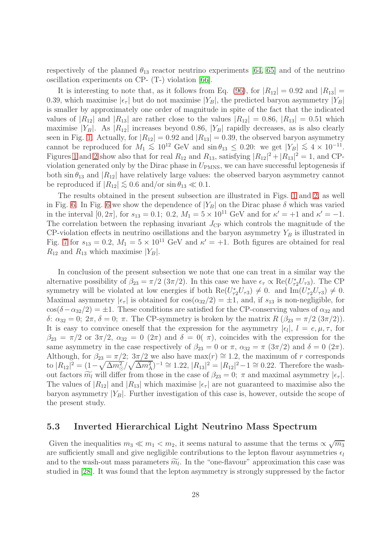respectively of the planned  $\theta_{13}$  reactor neutrino experiments [\[64,](#page-46-1) [65\]](#page-46-2) and of the neutrino oscillation experiments on CP- (T-) violation [\[66\]](#page-46-3).

It is interesting to note that, as it follows from Eq. [\(96\)](#page-26-2), for  $|R_{12}| = 0.92$  and  $|R_{13}| =$ 0.39, which maximise  $|\epsilon_{\tau}|$  but do not maximise  $|Y_B|$ , the predicted baryon asymmetry  $|Y_B|$ is smaller by approximately one order of magnitude in spite of the fact that the indicated values of  $|R_{12}|$  and  $|R_{13}|$  are rather close to the values  $|R_{12}| = 0.86$ ,  $|R_{13}| = 0.51$  which maximise  $|Y_B|$ . As  $|R_{12}|$  increases beyond 0.86,  $|Y_B|$  rapidly decreases, as is also clearly seen in Fig. [1.](#page-47-0) Actually, for  $|R_{12}| = 0.92$  and  $|R_{13}| = 0.39$ , the observed baryon asymmetry cannot be reproduced for  $M_1 \lesssim 10^{12}$  GeV and  $\sin \theta_{13} \leq 0.20$ : we get  $|Y_B| \lesssim 4 \times 10^{-11}$ . Figures [1](#page-47-0) and [2](#page-47-1) show also that for real  $R_{12}$  and  $R_{13}$ , satisfying  $|R_{12}|^2 + |R_{13}|^2 = 1$ , and CPviolation generated only by the Dirac phase in  $U_{PMNS}$ , we can have successful leptogenesis if both  $\sin \theta_{13}$  and  $|R_{12}|$  have relatively large values: the observed baryon asymmetry cannot be reproduced if  $|R_{12}| \lesssim 0.6$  and/or  $\sin \theta_{13} \ll 0.1$ .

The results obtained in the present subsection are illustrated in Figs. [1](#page-47-0) and [2,](#page-47-1) as well in Fig. [6.](#page-49-1) In Fig. [6](#page-49-1) we show the dependence of  $|Y_B|$  on the Dirac phase  $\delta$  which was varied in the interval  $[0, 2\pi]$ , for  $s_{13} = 0.1$ ; 0.2,  $M_1 = 5 \times 10^{11}$  GeV and for  $\kappa' = +1$  and  $\kappa' = -1$ . The correlation between the rephasing invariant  $J_{\rm CP}$  which controls the magnitude of the CP-violation effects in neutrino oscillations and the baryon asymmetry  $Y_B$  is illustrated in Fig. [7](#page-50-0) for  $s_{13} = 0.2$ ,  $M_1 = 5 \times 10^{11}$  GeV and  $\kappa' = +1$ . Both figures are obtained for real  $R_{12}$  and  $R_{13}$  which maximise  $|Y_B|$ .

In conclusion of the present subsection we note that one can treat in a similar way the alternative possibility of  $\beta_{23} = \pi/2 \left(3\pi/2\right)$ . In this case we have  $\epsilon_{\tau} \propto \text{Re}(U_{\tau 2}^* U_{\tau 3})$ . The CP symmetry will be violated at low energies if both  $\text{Re}(U_{\tau 2}^*U_{\tau 3}) \neq 0$ . and  $\text{Im}(U_{\tau 2}^*U_{\tau 3}) \neq 0$ . Maximal asymmetry  $|\epsilon_{\tau}|$  is obtained for  $\cos(\alpha_{32}/2) = \pm 1$ , and, if  $s_{13}$  is non-negligible, for  $\cos(\delta-\alpha_{32}/2) = \pm 1$ . These conditions are satisfied for the CP-conserving values of  $\alpha_{32}$  and δ:  $\alpha_{32} = 0$ ;  $2\pi$ ,  $\delta = 0$ ;  $\pi$ . The CP-symmetry is broken by the matrix  $R$  ( $\beta_{23} = \pi/2$  (3π/2)). It is easy to convince oneself that the expression for the asymmetry  $|\epsilon_l|$ ,  $l = e, \mu, \tau$ , for  $\beta_{23} = \pi/2$  or  $3\pi/2$ ,  $\alpha_{32} = 0$   $(2\pi)$  and  $\delta = 0(\pi)$ , coincides with the expression for the same asymmetry in the case respectively of  $\beta_{23} = 0$  or  $\pi$ ,  $\alpha_{32} = \pi (3\pi/2)$  and  $\delta = 0 (2\pi)$ . Although, for  $\beta_{23} = \pi/2$ ;  $3\pi/2$  we also have max $(r) \approx 1.2$ , the maximum of r corresponds to  $|R_{12}|^2 = (1 - \sqrt{\Delta m_0^2}/\sqrt{\Delta m_A^2})^{-1} \cong 1.22$ ,  $|R_{13}|^2 = |R_{12}|^2 - 1 \cong 0.22$ . Therefore the washout factors  $\widetilde{m_l}$  will differ from those in the case of  $\beta_{23} = 0$ ;  $\pi$  and maximal asymmetry  $|\epsilon_{\tau}|$ . The values of  $|R_{12}|$  and  $|R_{13}|$  which maximise  $|\epsilon_{\tau}|$  are not guaranteed to maximise also the baryon asymmetry  $|Y_B|$ . Further investigation of this case is, however, outside the scope of the present study.

#### 5.3 Inverted Hierarchical Light Neutrino Mass Spectrum

Given the inequalities  $m_3 \ll m_1 < m_2$ , it seems natural to assume that the terms  $\propto \sqrt{m_3}$ are sufficiently small and give negligible contributions to the lepton flavour asymmetries  $\epsilon_l$ and to the wash-out mass parameters  $\widetilde{m_l}$ . In the "one-flavour" approximation this case was studied in [\[28\]](#page-44-6). It was found that the lepton asymmetry is strongly suppressed by the factor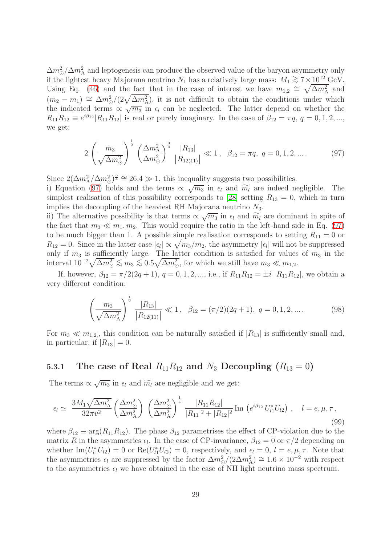$\Delta m_{\odot}^2/\Delta m_{\rm A}^2$  and leptogenesis can produce the observed value of the baryon asymmetry only if the lightest heavy Majorana neutrino  $N_1$  has a relatively large mass:  $M_1 \gtrsim 7 \times 10^{12}$  GeV. Using Eq. [\(46\)](#page-14-1) and the fact that in the case of interest we have  $m_{1,2} \cong \sqrt{\Delta m_A^2}$  and  $(m_2 - m_1) \cong \Delta m_{\odot}^2/(2\sqrt{\Delta m_{\rm A}^2})$ , it is not difficult to obtain the conditions under which the indicated terms  $\propto \sqrt{m_3}$  in  $\epsilon_l$  can be neglected. The latter depend on whether the  $R_{11}R_{12} \equiv e^{i\beta_{12}}|R_{11}R_{12}|$  is real or purely imaginary. In the case of  $\beta_{12} = \pi q$ ,  $q = 0, 1, 2, ...,$ we get:

$$
2\left(\frac{m_3}{\sqrt{\Delta m^2_{\odot}}}\right)^{\frac{1}{2}}\left(\frac{\Delta m^2_{\rm A}}{\Delta m^2_{\rm \odot}}\right)^{\frac{3}{4}}\frac{|R_{13}|}{|R_{12(11)}|} \ll 1, \ \ \beta_{12} = \pi q, \ q = 0, 1, 2, \dots \tag{97}
$$

<span id="page-28-0"></span>Since  $2(\Delta m_A^2/\Delta m_{\odot}^2)^{\frac{3}{4}} \cong 26.4 \gg 1$ , this inequality suggests two possibilities.

i) Equation [\(97\)](#page-28-0) holds and the terms  $\propto \sqrt{m_3}$  in  $\epsilon_l$  and  $\widetilde{m_l}$  are indeed negligible. The simplest realisation of this possibility corresponds to [\[28\]](#page-44-6) setting  $R_{13} = 0$ , which in turn implies the decoupling of the heaviest RH Majorana neutrino  $N_3$ .

ii) The alternative possibility is that terms  $\propto \sqrt{m_3}$  in  $\epsilon_l$  and  $\widetilde{m_l}$  are dominant in spite of the fact that  $m_3 \ll m_1, m_2$ . This would require the ratio in the left-hand side in Eq. [\(97\)](#page-28-0) to be much bigger than 1. A possible simple realisation corresponds to setting  $R_{11} = 0$  or  $R_{12} = 0$ . Since in the latter case  $|\epsilon_l| \propto \sqrt{m_3/m_2}$ , the asymmetry  $|\epsilon_l|$  will not be suppressed only if  $m_3$  is sufficiently large. The latter condition is satisfied for values of  $m_3$  in the interval  $10^{-2}\sqrt{\Delta m_{\odot}^2} \lesssim m_3 \lesssim 0.5\sqrt{\Delta m_{\odot}^2}$ , for which we still have  $m_3 \ll m_{1,2}$ .

If, however,  $\beta_{12} = \pi/2(2q+1), q = 0, 1, 2, \dots$ , i.e., if  $R_{11}R_{12} = \pm i |R_{11}R_{12}|$ , we obtain a very different condition:

$$
\left(\frac{m_3}{\sqrt{\Delta m_{\rm A}^2}}\right)^{\frac{1}{2}} \frac{|R_{13}|}{|R_{12(11)}|} \ll 1, \ \ \beta_{12} = (\pi/2)(2q+1), \ q = 0, 1, 2, \dots \tag{98}
$$

<span id="page-28-1"></span>For  $m_3 \ll m_{1,2}$ , this condition can be naturally satisfied if  $|R_{13}|$  is sufficiently small and, in particular, if  $|R_{13}| = 0$ .

## 5.3.1 The case of Real  $R_{11}R_{12}$  and  $N_3$  Decoupling  $(R_{13}=0)$

The terms  $\propto \sqrt{m_3}$  in  $\epsilon_l$  and  $\widetilde{m_l}$  are negligible and we get:

$$
\epsilon_l \simeq \frac{3M_1\sqrt{\Delta m_{\rm A}^2}}{32\pi v^2} \left(\frac{\Delta m_{\rm O}^2}{\Delta m_{\rm A}^2}\right) \left(\frac{\Delta m_{\rm O}^2}{\Delta m_{\rm A}^2}\right)^{\frac{1}{4}} \frac{|R_{11}R_{12}|}{|R_{11}|^2 + |R_{12}|^2} \text{Im}\left(e^{i\beta_{12}}U_{l1}^*U_{l2}\right), \quad l = e, \mu, \tau,
$$
\n(99)

where  $\beta_{12} \equiv \arg(R_{11}R_{12})$ . The phase  $\beta_{12}$  parametrises the effect of CP-violation due to the matrix R in the asymmetries  $\epsilon_l$ . In the case of CP-invariance,  $\beta_{12} = 0$  or  $\pi/2$  depending on whether  $\text{Im}(U_{l1}^*U_{l2})=0$  or  $\text{Re}(U_{l1}^*U_{l2})=0$ , respectively, and  $\epsilon_l=0$ ,  $l=e,\mu,\tau$ . Note that the asymmetries  $\epsilon_l$  are suppressed by the factor  $\Delta m_\odot^2/(2\Delta m_\text{A}^2) \approx 1.6 \times 10^{-2}$  with respect to the asymmetries  $\epsilon_l$  we have obtained in the case of NH light neutrino mass spectrum.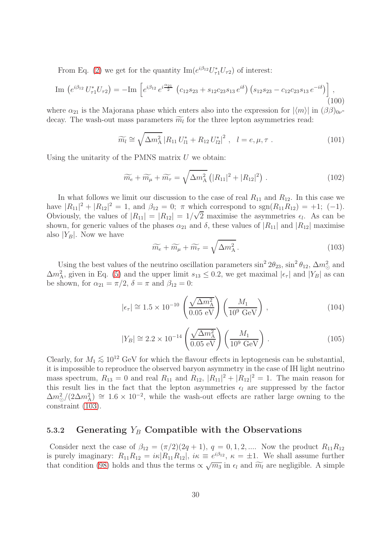From Eq. [\(2\)](#page-4-0) we get for the quantity  $\text{Im}(e^{i\beta_{12}}U_{\tau1}^*U_{\tau2})$  of interest:

$$
\text{Im}\,\left(e^{i\beta_{12}}\,U_{\tau1}^*U_{\tau2}\right) = -\text{Im}\,\left[e^{i\beta_{12}}\,e^{i\frac{\alpha_{21}}{2}}\,\left(c_{12}s_{23} + s_{12}c_{23}s_{13}\,e^{i\delta}\right)\left(s_{12}s_{23} - c_{12}c_{23}s_{13}\,e^{-i\delta}\right)\right],\tag{100}
$$

where  $\alpha_{21}$  is the Majorana phase which enters also into the expression for  $|\langle m \rangle|$  in  $(\beta \beta)_{0\nu}$ decay. The wash-out mass parameters  $\widetilde{m_l}$  for the three lepton asymmetries read:

$$
\widetilde{m_l} \cong \sqrt{\Delta m_A^2} \left| R_{11} U_{l1}^* + R_{12} U_{l2}^* \right|^2, \quad l = e, \mu, \tau \; . \tag{101}
$$

Using the unitarity of the PMNS matrix  $U$  we obtain:

$$
\widetilde{m_e} + \widetilde{m_\mu} + \widetilde{m_\tau} = \sqrt{\Delta m_\text{A}^2} \left( |R_{11}|^2 + |R_{12}|^2 \right) \,. \tag{102}
$$

In what follows we limit our discussion to the case of real  $R_{11}$  and  $R_{12}$ . In this case we have  $|R_{11}|^2 + |R_{12}|^2 = 1$ , and  $\beta_{12} = 0$ ;  $\pi$  which correspond to  $sgn(R_{11}R_{12}) = +1$ ; (-1). Obviously, the values of  $|R_{11}| = |R_{12}| = 1/\sqrt{2}$  maximise the asymmetries  $\epsilon_l$ . As can be shown, for generic values of the phases  $\alpha_{21}$  and  $\delta$ , these values of  $|R_{11}|$  and  $|R_{12}|$  maximise also  $|Y_B|$ . Now we have

<span id="page-29-0"></span>
$$
\widetilde{m_e} + \widetilde{m_\mu} + \widetilde{m_\tau} = \sqrt{\Delta m_\text{A}^2} \,. \tag{103}
$$

Using the best values of the neutrino oscillation parameters  $\sin^2 2\theta_{23}$ ,  $\sin^2 \theta_{12}$ ,  $\Delta m^2_{\odot}$  and  $\Delta m_A^2$ , given in Eq. [\(5\)](#page-4-1) and the upper limit  $s_{13} \leq 0.2$ , we get maximal  $|\epsilon_{\tau}|$  and  $|Y_B|$  as can be shown, for  $\alpha_{21} = \pi/2$ ,  $\delta = \pi$  and  $\beta_{12} = 0$ :

$$
|\epsilon_{\tau}| \cong 1.5 \times 10^{-10} \left( \frac{\sqrt{\Delta m_{\rm A}^2}}{0.05 \text{ eV}} \right) \left( \frac{M_1}{10^9 \text{ GeV}} \right), \tag{104}
$$

$$
|Y_B| \cong 2.2 \times 10^{-14} \left( \frac{\sqrt{\Delta m_A^2}}{0.05 \text{ eV}} \right) \left( \frac{M_1}{10^9 \text{ GeV}} \right). \tag{105}
$$

Clearly, for  $M_1 \lesssim 10^{12}$  GeV for which the flavour effects in leptogenesis can be substantial, it is impossible to reproduce the observed baryon asymmetry in the case of IH light neutrino mass spectrum,  $R_{13} = 0$  and real  $R_{11}$  and  $R_{12}$ ,  $|R_{11}|^2 + |R_{12}|^2 = 1$ . The main reason for this result lies in the fact that the lepton asymmetries  $\epsilon_l$  are suppressed by the factor  $\Delta m_{\odot}^2/(2\Delta m_{\rm A}^2) \approx 1.6 \times 10^{-2}$ , while the wash-out effects are rather large owning to the constraint [\(103\)](#page-29-0).

### 5.3.2 Generating  $Y_B$  Compatible with the Observations

Consider next the case of  $\beta_{12} = (\pi/2)(2q+1), q = 0, 1, 2, ...$  Now the product  $R_{11}R_{12}$ is purely imaginary:  $R_{11}R_{12} = i\kappa |R_{11}R_{12}|$ ,  $i\kappa = e^{i\beta_{12}}$ ,  $\kappa = \pm 1$ . We shall assume further that condition [\(98\)](#page-28-1) holds and thus the terms  $\propto \sqrt{m_3}$  in  $\epsilon_l$  and  $\widetilde{m_l}$  are negligible. A simple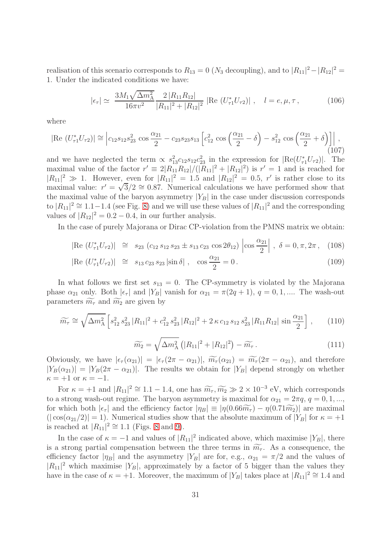realisation of this scenario corresponds to  $R_{13} = 0$  ( $N_3$  decoupling), and to  $|R_{11}|^2 - |R_{12}|^2 =$ 1. Under the indicated conditions we have:

$$
|\epsilon_{\tau}| \simeq \frac{3M_1 \sqrt{\Delta m_{\rm A}^2}}{16\pi v^2} \frac{2\left|R_{11}R_{12}\right|}{|R_{11}|^2 + |R_{12}|^2} \left|\text{Re}\left(U_{\tau 1}^* U_{\tau 2}\right)\right| \,, \quad l = e, \mu, \tau \,, \tag{106}
$$

where

$$
|\text{Re } (U_{\tau 1}^* U_{\tau 2})| \cong \left| c_{12} s_{12} s_{23}^2 \cos \frac{\alpha_{21}}{2} - c_{23} s_{23} s_{13} \left[ c_{12}^2 \cos \left( \frac{\alpha_{21}}{2} - \delta \right) - s_{12}^2 \cos \left( \frac{\alpha_{21}}{2} + \delta \right) \right] \right|,
$$
\n(107)

and we have neglected the term  $\propto s_{13}^2 c_{12} s_{12} c_{23}^2$  in the expression for  $|\text{Re}(U_{\tau_1}^* U_{\tau_2})|$ . The maximal value of the factor  $r' \equiv 2|R_{11}R_{12}|/(|R_{11}|^2 + |R_{12}|^2)$  is  $r' = 1$  and is reached for  $|R_{11}|^2 \gg 1$ . However, even for  $|R_{11}|^2 = 1.5$  and  $|R_{12}|^2 = 0.5$ , r' is rather close to its maximal value:  $r' = \sqrt{3}/2 \approx 0.87$ . Numerical calculations we have performed show that the maximal value of the baryon asymmetry  $|Y_B|$  in the case under discussion corresponds to  $|R_{11}|^2 \cong 1.1-1.4$  (see Fig. [8\)](#page-51-0) and we will use these values of  $|R_{11}|^2$  and the corresponding values of  $|R_{12}|^2 = 0.2 - 0.4$ , in our further analysis.

In the case of purely Majorana or Dirac CP-violation from the PMNS matrix we obtain:

$$
|\text{Re } (U_{\tau 1}^* U_{\tau 2})| \cong s_{23} (c_{12} s_{12} s_{23} \pm s_{13} c_{23} \cos 2\theta_{12}) |\cos \frac{\alpha_{21}}{2}|, \delta = 0, \pi, 2\pi, (108)
$$

$$
|\text{Re } (U_{\tau 1}^* U_{\tau 2})| \cong s_{13} c_{23} s_{23} |\sin \delta|, \cos \frac{\alpha_{21}}{2} = 0.
$$
 (109)

In what follows we first set  $s_{13} = 0$ . The CP-symmetry is violated by the Majorana phase  $\alpha_{21}$  only. Both  $|\epsilon_{\tau}|$  and  $|Y_B|$  vanish for  $\alpha_{21} = \pi(2q + 1), q = 0, 1, \dots$  The wash-out parameters  $\widetilde{m}_{\tau}$  and  $\widetilde{m}_{2}$  are given by

$$
\widetilde{m}_{\tau} \cong \sqrt{\Delta m_{\rm A}^2} \left[ s_{12}^2 s_{23}^2 |R_{11}|^2 + c_{12}^2 s_{23}^2 |R_{12}|^2 + 2 \kappa c_{12} s_{12} s_{23}^2 |R_{11} R_{12}| \sin \frac{\alpha_{21}}{2} \right],\tag{110}
$$

$$
\widetilde{m_2} = \sqrt{\Delta m_{\rm A}^2} \left( |R_{11}|^2 + |R_{12}|^2 \right) - \widetilde{m}_{\tau} \,. \tag{111}
$$

Obviously, we have  $|\epsilon_{\tau}(\alpha_{21})| = |\epsilon_{\tau}(2\pi - \alpha_{21})|$ ,  $\widetilde{m}_{\tau}(\alpha_{21}) = \widetilde{m}_{\tau}(2\pi - \alpha_{21})$ , and therefore  $|Y_B(\alpha_{21})| = |Y_B(2\pi - \alpha_{21})|$ . The results we obtain for  $|Y_B|$  depend strongly on whether  $\kappa = +1$  or  $\kappa = -1$ .

For  $\kappa = +1$  and  $|R_{11}|^2 \cong 1.1 - 1.4$ , one has  $\widetilde{m}_{\tau}, \widetilde{m}_2 \gg 2 \times 10^{-3}$  eV, which corresponds to a strong wash-out regime. The baryon asymmetry is maximal for  $\alpha_{21} = 2\pi q, q = 0, 1, \ldots$ for which both  $|\epsilon_{\tau}|$  and the efficiency factor  $|\eta_B| \equiv |\eta(0.66\widetilde{m}_{\tau}) - \eta(0.71\widetilde{m}_2)|$  are maximal  $(|\cos(\alpha_{21}/2)|=1)$ . Numerical studies show that the absolute maximum of  $|Y_B|$  for  $\kappa=+1$ is reached at  $|R_{11}|^2 \cong 1.1$  (Figs. [8](#page-51-0) and [9\)](#page-52-0).

In the case of  $\kappa = -1$  and values of  $|R_{11}|^2$  indicated above, which maximise  $|Y_B|$ , there is a strong partial compensation between the three terms in  $\widetilde{m_{\tau}}$ . As a consequence, the efficiency factor  $|\eta_B|$  and the asymmetry  $|Y_B|$  are for, e.g.,  $\alpha_{21} = \pi/2$  and the values of  $|R_{11}|^2$  which maximise  $|Y_B|$ , approximately by a factor of 5 bigger than the values they have in the case of  $\kappa = +1$ . Moreover, the maximum of  $|Y_B|$  takes place at  $|R_{11}|^2 \cong 1.4$  and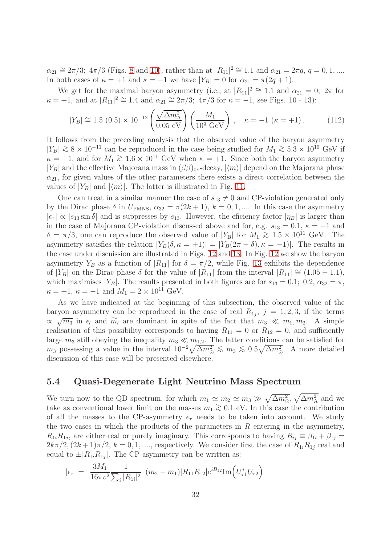$\alpha_{21} \cong 2\pi/3$ ;  $4\pi/3$  (Figs. [8](#page-51-0) and [10\)](#page-52-1), rather than at  $|R_{11}|^2 \cong 1.1$  and  $\alpha_{21} = 2\pi q$ ,  $q = 0, 1, ...$ In both cases of  $\kappa = +1$  and  $\kappa = -1$  we have  $|Y_B| = 0$  for  $\alpha_{21} = \pi(2q + 1)$ .

We get for the maximal baryon asymmetry (i.e., at  $|R_{11}|^2 \cong 1.1$  and  $\alpha_{21} = 0$ ;  $2\pi$  for  $\kappa = +1$ , and at  $|R_{11}|^2 \cong 1.4$  and  $\alpha_{21} \cong 2\pi/3$ ;  $4\pi/3$  for  $\kappa = -1$ , see Figs. 10 - 13):

$$
|Y_B| \cong 1.5 (0.5) \times 10^{-12} \left( \frac{\sqrt{\Delta m_A^2}}{0.05 \text{ eV}} \right) \left( \frac{M_1}{10^9 \text{ GeV}} \right), \quad \kappa = -1 \ (\kappa = +1). \tag{112}
$$

It follows from the preceding analysis that the observed value of the baryon asymmetry  $|Y_B| \gtrsim 8 \times 10^{-11}$  can be reproduced in the case being studied for  $M_1 \gtrsim 5.3 \times 10^{10}$  GeV if  $\kappa = -1$ , and for  $M_1 \gtrsim 1.6 \times 10^{11}$  GeV when  $\kappa = +1$ . Since both the baryon asymmetry |Y<sub>B</sub>| and the effective Majorana mass in  $(\beta\beta)_{0\nu}$ -decay,  $|\langle m \rangle|$  depend on the Majorana phase  $\alpha_{21}$ , for given values of the other parameters there exists a direct correlation between the values of  $|Y_B|$  and  $|\langle m \rangle|$ . The latter is illustrated in Fig. [11.](#page-53-0)

One can treat in a similar manner the case of  $s_{13} \neq 0$  and CP-violation generated only by the Dirac phase  $\delta$  in  $U_{\text{PMNS}}$ ,  $\alpha_{32} = \pi(2k+1)$ ,  $k = 0, 1, \dots$  In this case the asymmetry  $|\epsilon_{\tau}| \propto |s_{13} \sin \delta|$  and is suppresses by  $s_{13}$ . However, the eficiency factor  $|\eta_B|$  is larger than in the case of Majorana CP-violation discussed above and for, e.g.  $s_{13} = 0.1$ ,  $\kappa = +1$  and  $\delta = \pi/3$ , one can reproduce the observed value of  $|Y_B|$  for  $M_1 \gtrsim 1.5 \times 10^{11}$  GeV. The asymmetry satisfies the relation  $|Y_B(\delta, \kappa = +1)| = |Y_B(2\pi - \delta), \kappa = -1|$ . The results in the case under discuission are illustrated in Figs. [12](#page-53-1) and [13.](#page-54-0) In Fig. [12](#page-53-1) we show the baryon asymmetry  $Y_B$  as a function of  $|R_{11}|$  for  $\delta = \pi/2$ , while Fig. [13](#page-54-0) exhibits the dependence of  $|Y_B|$  on the Dirac phase  $\delta$  for the value of  $|R_{11}|$  from the interval  $|R_{11}| \cong (1.05 - 1.1)$ , which maximises |Y<sub>B</sub>|. The results presented in both figures are for  $s_{13} = 0.1$ ; 0.2,  $\alpha_{32} = \pi$ ,  $\kappa = +1, \, \kappa = -1$  and  $M_1 = 2 \times 10^{11}$  GeV.

As we have indicated at the beginning of this subsection, the observed value of the baryon asymmetry can be reproduced in the case of real  $R_{1j}, j = 1, 2, 3$ , if the terms  $\propto \sqrt{m_3}$  in  $\epsilon_l$  and  $\widetilde{m_l}$  are dominant in spite of the fact that  $m_3 \ll m_1, m_2$ . A simple realisation of this possibility corresponds to having  $R_{11} = 0$  or  $R_{12} = 0$ , and sufficiently large  $m_3$  still obeying the inequality  $m_3 \ll m_{1,2}$ . The latter conditions can be satisfied for  $m_3$  possessing a value in the interval  $10^{-2}\sqrt{\Delta m_{\odot}^2} \lesssim m_3 \lesssim 0.5\sqrt{\Delta m_{\odot}^2}$ . A more detailed discussion of this case will be presented elsewhere.

### 5.4 Quasi-Degenerate Light Neutrino Mass Spectrum

We turn now to the QD spectrum, for which  $m_1 \simeq m_2 \simeq m_3 \gg \sqrt{\Delta m^2_{\odot}}, \sqrt{\Delta m^2_{\rm A}}$  and we take as conventional lower limit on the masses  $m_1 \geq 0.1$  eV. In this case the contribution of all the masses to the CP-asymmetry  $\epsilon_{\tau}$  needs to be taken into account. We study the two cases in which the products of the parameters in  $R$  entering in the asymmetry,  $R_{1i}R_{1j}$ , are either real or purely imaginary. This corresponds to having  $B_{ij} \equiv \beta_{1i} + \beta_{1j} =$  $2k\pi/2$ ,  $(2k+1)\pi/2$ ,  $k = 0, 1, \ldots$ , respectively. We consider first the case of  $R_{1i}R_{1j}$  real and equal to  $\pm |R_{1i}R_{1j}|$ . The CP-asymmetry can be written as:

<span id="page-31-0"></span>
$$
|\epsilon_{\tau}| = \frac{3M_1}{16\pi v^2} \frac{1}{\sum_i |R_{1i}|^2} |(m_2 - m_1)| R_{11} R_{12} | e^{iB_{12}} \text{Im}(U_{\tau 1}^* U_{\tau 2})
$$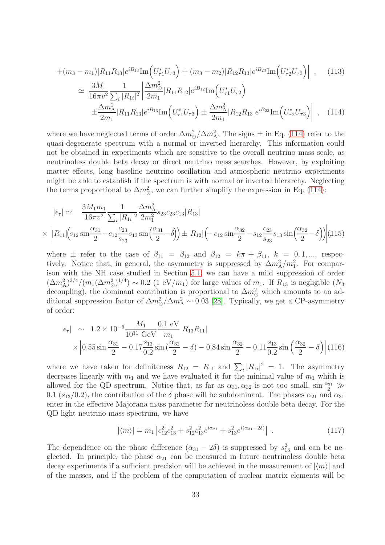$$
+(m_3 - m_1)|R_{11}R_{13}|e^{iB_{13}}\text{Im}\left(U_{\tau1}^*U_{\tau3}\right) + (m_3 - m_2)|R_{12}R_{13}|e^{iB_{23}}\text{Im}\left(U_{\tau2}^*U_{\tau3}\right)|,
$$
(113)  

$$
\simeq \frac{3M_1}{16\pi v^2} \frac{1}{\sum_i |R_{1i}|^2} \left|\frac{\Delta m_{\odot}^2}{2m_1}|R_{11}R_{12}|e^{iB_{12}}\text{Im}\left(U_{\tau1}^*U_{\tau2}\right) + \frac{\Delta m_A^2}{2m_1}|R_{11}R_{13}|e^{iB_{13}}\text{Im}\left(U_{\tau1}^*U_{\tau3}\right) + \frac{\Delta m_A^2}{2m_1}|R_{12}R_{13}|e^{iB_{23}}\text{Im}\left(U_{\tau2}^*U_{\tau3}\right)\right|,
$$
(114)

where we have neglected terms of order  $\Delta m_{\odot}^2/\Delta m_{\rm A}^2$ . The signs  $\pm$  in Eq. [\(114\)](#page-31-0) refer to the quasi-degenerate spectrum with a normal or inverted hierarchy. This information could not be obtained in experiments which are sensitive to the overall neutrino mass scale, as neutrinoless double beta decay or direct neutrino mass searches. However, by exploiting matter effects, long baseline neutrino oscillation and atmospheric neutrino experiments might be able to establish if the spectrum is with normal or inverted hierarchy. Neglecting the terms proportional to  $\Delta m_{\odot}^2$ , we can further simplify the expression in Eq. [\(114\)](#page-31-0):

$$
|\epsilon_{\tau}| \simeq \frac{3M_{1}m_{1}}{16\pi v^{2}} \frac{1}{\sum_{i} |R_{1i}|^{2}} \frac{\Delta m_{A}^{2}}{2m_{1}^{2}} s_{23} c_{23} c_{13} |R_{13}|
$$
  
 
$$
\times \left| |R_{11}| \left( s_{12} \sin \frac{\alpha_{31}}{2} - c_{12} \frac{c_{23}}{s_{23}} s_{13} \sin \left( \frac{\alpha_{31}}{2} - \delta \right) \right) \pm |R_{12}| \left( -c_{12} \sin \frac{\alpha_{32}}{2} - s_{12} \frac{c_{23}}{s_{23}} s_{13} \sin \left( \frac{\alpha_{32}}{2} - \delta \right) \right) \right| (115)
$$

where  $\pm$  refer to the case of  $\beta_{11} = \beta_{12}$  and  $\beta_{12} = k\pi + \beta_{11}$ ,  $k = 0, 1, ...,$  respectively. Notice that, in general, the asymmetry is suppressed by  $\Delta m_A^2/m_1^2$ . For comparison with the NH case studied in Section [5.1,](#page-15-2) we can have a mild suppression of order  $(\Delta m_{\rm A}^2)^{3/4}/(m_1(\Delta m_{\odot}^2)^{1/4}) \sim 0.2$  (1 eV/m<sub>1</sub>) for large values of m<sub>1</sub>. If  $R_{13}$  is negligible (N<sub>3</sub>) decoupling), the dominant contribution is proportional to  $\Delta m_{\odot}^2$  which amounts to an additional suppression factor of  $\Delta m_{\odot}^2/\Delta m_{\rm A}^2 \sim 0.03$  [\[28\]](#page-44-6). Typically, we get a CP-asymmetry of order:

$$
|\epsilon_{\tau}| \sim 1.2 \times 10^{-6} \frac{M_1}{10^{11} \text{ GeV}} \frac{0.1 \text{ eV}}{m_1} |R_{13} R_{11}|
$$
  
 
$$
\times \left| 0.55 \sin \frac{\alpha_{31}}{2} - 0.17 \frac{s_{13}}{0.2} \sin \left( \frac{\alpha_{31}}{2} - \delta \right) - 0.84 \sin \frac{\alpha_{32}}{2} - 0.11 \frac{s_{13}}{0.2} \sin \left( \frac{\alpha_{32}}{2} - \delta \right) \right| (116)
$$

where we have taken for definiteness  $R_{12} = R_{11}$  and  $\sum_i |R_{1i}|^2 = 1$ . The asymmetry decreases linearly with  $m_1$  and we have evaluated it for the minimal value of  $m_1$  which is allowed for the QD spectrum. Notice that, as far as  $\alpha_{31}, \alpha_{32}$  is not too small,  $\sin \frac{\alpha_{31}}{2} \gg$ 0.1 ( $s_{13}/0.2$ ), the contribution of the  $\delta$  phase will be subdominant. The phases  $\alpha_{21}$  and  $\alpha_{31}$ enter in the effective Majorana mass parameter for neutrinoless double beta decay. For the QD light neutrino mass spectrum, we have

$$
|\langle m \rangle| = m_1 \left| c_{12}^2 c_{13}^2 + s_{12}^2 c_{13}^2 e^{i\alpha_{21}} + s_{13}^2 e^{i(\alpha_{31} - 2\delta)} \right| \tag{117}
$$

The dependence on the phase difference  $(\alpha_{31} - 2\delta)$  is suppressed by  $s_{13}^2$  and can be neglected. In principle, the phase  $\alpha_{21}$  can be measured in future neutrinoless double beta decay experiments if a sufficient precision will be achieved in the measurement of  $|\langle m \rangle|$  and of the masses, and if the problem of the computation of nuclear matrix elements will be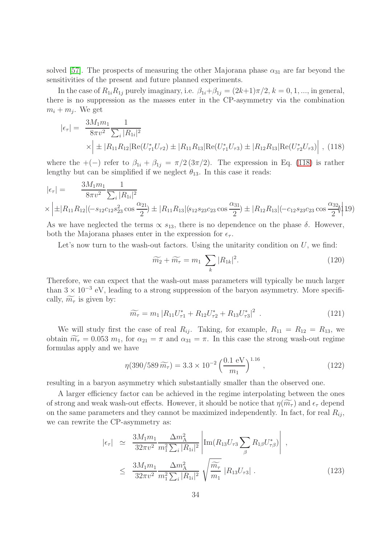solved [\[57\]](#page-45-14). The prospects of measuring the other Majorana phase  $\alpha_{31}$  are far beyond the sensitivities of the present and future planned experiments.

In the case of  $R_{1i}R_{1j}$  purely imaginary, i.e.  $\beta_{1i}+\beta_{1j}=(2k+1)\pi/2$ ,  $k=0,1,...$ , in general, there is no suppression as the masses enter in the CP-asymmetry via the combination  $m_i + m_j$ . We get

<span id="page-33-0"></span>
$$
|\epsilon_{\tau}| = \frac{3M_1m_1}{8\pi v^2} \frac{1}{\sum_{i} |R_{1i}|^2} \times \left| \pm |R_{11}R_{12}|\text{Re}(U_{\tau_1}^*U_{\tau_2}) \pm |R_{11}R_{13}|\text{Re}(U_{\tau_1}^*U_{\tau_3}) \pm |R_{12}R_{13}|\text{Re}(U_{\tau_2}^*U_{\tau_3}) \right|, (118)
$$

where the  $+(-)$  refer to  $\beta_{1i} + \beta_{1j} = \pi/2(3\pi/2)$ . The expression in Eq. [\(118\)](#page-33-0) is rather lengthy but can be simplified if we neglect  $\theta_{13}$ . In this case it reads:

$$
|\epsilon_{\tau}| = \frac{3M_1m_1}{8\pi v^2} \frac{1}{\sum_i |R_{1i}|^2}
$$
  
 
$$
\times |\pm|R_{11}R_{12}|(-s_{12}c_{12}s_{23}^2 \cos \frac{\alpha_{21}}{2}) \pm |R_{11}R_{13}|(s_{12}s_{23}c_{23} \cos \frac{\alpha_{31}}{2}) \pm |R_{12}R_{13}|(-c_{12}s_{23}c_{23} \cos \frac{\alpha_{32}}{2})|19\rangle
$$

As we have neglected the terms  $\propto s_{13}$ , there is no dependence on the phase  $\delta$ . However, both the Majorana phases enter in the expression for  $\epsilon_{\tau}$ .

Let's now turn to the wash-out factors. Using the unitarity condition on  $U$ , we find:

$$
\widetilde{m_2} + \widetilde{m_\tau} = m_1 \sum_k |R_{1k}|^2. \tag{120}
$$

Therefore, we can expect that the wash-out mass parameters will typically be much larger than  $3 \times 10^{-3}$  eV, leading to a strong suppression of the baryon asymmetry. More specifically,  $\widetilde{m_{\tau}}$  is given by:

$$
\widetilde{m_{\tau}} = m_1 |R_{11} U_{\tau 1}^* + R_{12} U_{\tau 2}^* + R_{13} U_{\tau 3}^*|^2 \tag{121}
$$

We will study first the case of real  $R_{ij}$ . Taking, for example,  $R_{11} = R_{12} = R_{13}$ , we obtain  $\widetilde{m_{\tau}} = 0.053$   $m_1$ , for  $\alpha_{21} = \pi$  and  $\alpha_{31} = \pi$ . In this case the strong wash-out regime formulas apply and we have

$$
\eta(390/589 \,\widetilde{m}_{\tau}) = 3.3 \times 10^{-2} \left(\frac{0.1 \text{ eV}}{m_1}\right)^{1.16},\tag{122}
$$

resulting in a baryon asymmetry which substantially smaller than the observed one.

A larger efficiency factor can be achieved in the regime interpolating between the ones of strong and weak wash-out effects. However, it should be notice that  $\eta(\widetilde{m_{\tau}})$  and  $\epsilon_{\tau}$  depend on the same parameters and they cannot be maximized independently. In fact, for real  $R_{ij}$ , we can rewrite the CP-asymmetry as:

$$
|\epsilon_{\tau}| \simeq \frac{3M_{1}m_{1}}{32\pi v^{2}} \frac{\Delta m_{\text{A}}^{2}}{m_{1}^{2} \sum_{i} |R_{1i}|^{2}} \left| \text{Im}(R_{13}U_{\tau 3} \sum_{\beta} R_{1\beta} U_{\tau\beta}^{*}) \right| ,
$$
  
 
$$
\leq \frac{3M_{1}m_{1}}{32\pi v^{2}} \frac{\Delta m_{\text{A}}^{2}}{m_{1}^{2} \sum_{i} |R_{1i}|^{2}} \sqrt{\frac{\widetilde{m}_{\tau}}{m_{1}}} |R_{13}U_{\tau 3}| . \qquad (123)
$$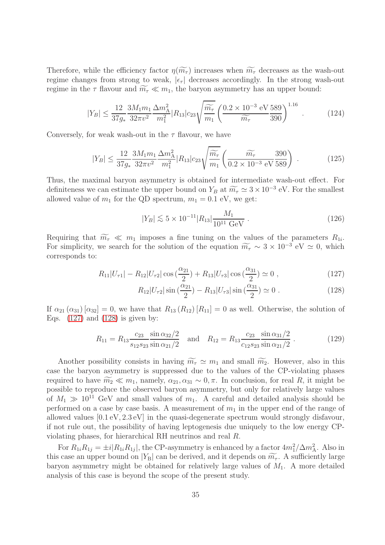Therefore, while the efficiency factor  $\eta(\widetilde{m_{\tau}})$  increases when  $\widetilde{m_{\tau}}$  decreases as the wash-out regime changes from strong to weak,  $|\epsilon_{\tau}|$  decreases accordingly. In the strong wash-out regime in the  $\tau$  flavour and  $\widetilde{m_{\tau}} \ll m_1$ , the baryon asymmetry has an upper bound:

$$
|Y_B| \le \frac{12}{37g_*} \frac{3M_1m_1}{32\pi v^2} \frac{\Delta m_A^2}{m_1^2} |R_{13}| c_{23} \sqrt{\frac{\widetilde{m}_{\tau}}{m_1}} \left(\frac{0.2 \times 10^{-3} \text{ eV } 589}{\widetilde{m}_{\tau}} \frac{589}{390}\right)^{1.16} \tag{124}
$$

Conversely, for weak wash-out in the  $\tau$  flavour, we have

$$
|Y_B| \le \frac{12}{37g_*} \frac{3M_1m_1}{32\pi v^2} \frac{\Delta m_A^2}{m_1^2} |R_{13}| c_{23} \sqrt{\frac{\widetilde{m_\tau}}{m_1}} \left(\frac{\widetilde{m_\tau}}{0.2 \times 10^{-3} \text{ eV}} \frac{390}{589}\right) \,. \tag{125}
$$

Thus, the maximal baryon asymmetry is obtained for intermediate wash-out effect. For definiteness we can estimate the upper bound on  $Y_B$  at  $\widetilde{m_{\tau}} \simeq 3 \times 10^{-3}$  eV. For the smallest allowed value of  $m_1$  for the QD spectrum,  $m_1 = 0.1$  eV, we get:

$$
|Y_B| \lesssim 5 \times 10^{-11} |R_{13}| \frac{M_1}{10^{11} \text{ GeV}} \,. \tag{126}
$$

<span id="page-34-0"></span>Requiring that  $\widetilde{m_{\tau}} \ll m_1$  imposes a fine tuning on the values of the parameters  $R_{1i}$ . For simplicity, we search for the solution of the equation  $\widetilde{m_{\tau}} \sim 3 \times 10^{-3}$  eV  $\simeq 0$ , which corresponds to:

$$
R_{11}|U_{\tau 1}| - R_{12}|U_{\tau 2}| \cos\left(\frac{\alpha_{21}}{2}\right) + R_{13}|U_{\tau 3}| \cos\left(\frac{\alpha_{31}}{2}\right) \simeq 0 ,\qquad (127)
$$

$$
R_{12}|U_{\tau 2}| \sin\left(\frac{\alpha_{21}}{2}\right) - R_{13}|U_{\tau 3}| \sin\left(\frac{\alpha_{31}}{2}\right) \simeq 0. \tag{128}
$$

If  $\alpha_{21}(\alpha_{31}) [\alpha_{32}] = 0$ , we have that  $R_{13}(R_{12}) [R_{11}] = 0$  as well. Otherwise, the solution of Eqs.  $(127)$  and  $(128)$  is given by:

$$
R_{11} = R_{13} \frac{c_{23}}{s_{12} s_{23}} \frac{\sin \alpha_{32}/2}{\sin \alpha_{21}/2} \quad \text{and} \quad R_{12} = R_{13} \frac{c_{23}}{c_{12} s_{23}} \frac{\sin \alpha_{31}/2}{\sin \alpha_{21}/2} \,. \tag{129}
$$

Another possibility consists in having  $\widetilde{m_{\tau}} \simeq m_1$  and small  $\widetilde{m_2}$ . However, also in this case the baryon asymmetry is suppressed due to the values of the CP-violating phases required to have  $\widetilde{m_2} \ll m_1$ , namely,  $\alpha_{21}, \alpha_{31} \sim 0, \pi$ . In conclusion, for real R, it might be possible to reproduce the observed baryon asymmetry, but only for relatively large values of  $M_1 \gg 10^{11}$  GeV and small values of  $m_1$ . A careful and detailed analysis should be performed on a case by case basis. A measurement of  $m_1$  in the upper end of the range of allowed values [0.1 eV, 2.3 eV] in the quasi-degenerate spectrum would strongly disfavour, if not rule out, the possibility of having leptogenesis due uniquely to the low energy CPviolating phases, for hierarchical RH neutrinos and real R.

For  $R_{1i}R_{1j} = \pm i|R_{1i}R_{1j}|$ , the CP-asymmetry is enhanced by a factor  $4m_1^2/\Delta m_A^2$ . Also in this case an upper bound on  $|Y_B|$  can be derived, and it depends on  $\widetilde{m_{\tau}}$ . A sufficiently large baryon asymmetry might be obtained for relatively large values of  $M_1$ . A more detailed analysis of this case is beyond the scope of the present study.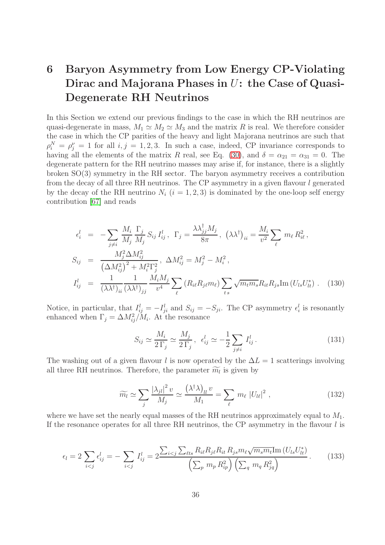# 6 Baryon Asymmetry from Low Energy CP-Violating Dirac and Majorana Phases in U: the Case of Quasi-Degenerate RH Neutrinos

In this Section we extend our previous findings to the case in which the RH neutrinos are quasi-degenerate in mass,  $M_1 \simeq M_2 \simeq M_3$  and the matrix R is real. We therefore consider the case in which the CP parities of the heavy and light Majorana neutrinos are such that  $\rho_i^N = \rho_j^{\nu} = 1$  for all  $i, j = 1, 2, 3$ . In such a case, indeed, CP invariance corresponds to having all the elements of the matrix R real, see Eq. [\(30\)](#page-9-2), and  $\delta = \alpha_{21} = \alpha_{31} = 0$ . The degenerate pattern for the RH neutrino masses may arise if, for instance, there is a slightly broken SO(3) symmetry in the RH sector. The baryon asymmetry receives a contribution from the decay of all three RH neutrinos. The CP asymmetry in a given flavour l generated by the decay of the RH neutrino  $N_i$   $(i = 1, 2, 3)$  is dominated by the one-loop self energy contribution [\[67\]](#page-46-4) and reads

<span id="page-35-0"></span>
$$
\epsilon_{i}^{l} = -\sum_{j \neq i} \frac{M_{i}}{M_{j}} \frac{\Gamma_{j}}{M_{j}} S_{ij} I_{ij}^{l}, \ \Gamma_{j} = \frac{\lambda \lambda_{jj}^{\dagger} M_{j}}{8\pi}, \ (\lambda \lambda^{\dagger})_{ii} = \frac{M_{i}}{v^{2}} \sum_{\ell} m_{\ell} R_{i\ell}^{2},
$$
\n
$$
S_{ij} = \frac{M_{j}^{2} \Delta M_{ij}^{2}}{(\Delta M_{ij}^{2})^{2} + M_{i}^{2} \Gamma_{j}^{2}}, \ \Delta M_{ij}^{2} = M_{j}^{2} - M_{i}^{2},
$$
\n
$$
I_{ij}^{l} = \frac{1}{(\lambda \lambda^{\dagger})_{ii}} \frac{1}{(\lambda \lambda^{\dagger})_{jj}} \frac{M_{i} M_{j}}{v^{4}} \sum_{\ell} (R_{i\ell} R_{j\ell} m_{\ell}) \sum_{ts} \sqrt{m_{t} m_{s}} R_{it} R_{js} \text{Im} (U_{ls} U_{lt}^{*}). \tag{130}
$$

Notice, in particular, that  $I_{ij}^l = -I_{ji}^l$  and  $S_{ij} = -S_{ji}$ . The CP asymmetry  $\epsilon_i^l$  is resonantly enhanced when  $\Gamma_j = \Delta M_{ij}^2 / M_i$ . At the resonance

$$
S_{ij} \simeq \frac{M_i}{2\,\Gamma_j} \simeq \frac{M_j}{2\,\Gamma_j}, \ \epsilon_{ij}^l \simeq -\frac{1}{2} \sum_{j \neq i} I_{ij}^l. \tag{131}
$$

The washing out of a given flavour l is now operated by the  $\Delta L = 1$  scatterings involving all three RH neutrinos. Therefore, the parameter  $\widetilde{m_l}$  is given by

$$
\widetilde{m_l} \simeq \sum_j \frac{|\lambda_{jl}|^2 v}{M_j} \simeq \frac{(\lambda^\dagger \lambda)_{ll} v}{M_1} = \sum_\ell m_\ell |U_{l\ell}|^2 , \qquad (132)
$$

where we have set the nearly equal masses of the RH neutrinos approximately equal to  $M_1$ . If the resonance operates for all three RH neutrinos, the CP asymmetry in the flavour  $l$  is

$$
\epsilon_{l} = 2 \sum_{i < j} \epsilon_{ij}^{l} = - \sum_{i < j} I_{ij}^{l} = 2 \frac{\sum_{i < j} \sum_{\ell t s} R_{i\ell} R_{j\ell} R_{i\ell} R_{j s} m_{\ell} \sqrt{m_{s} m_{t}} \text{Im} (U_{ls} U_{lt}^{*})}{\left(\sum_{p} m_{p} R_{ip}^{2}\right) \left(\sum_{q} m_{q} R_{jq}^{2}\right)}.
$$
\n(133)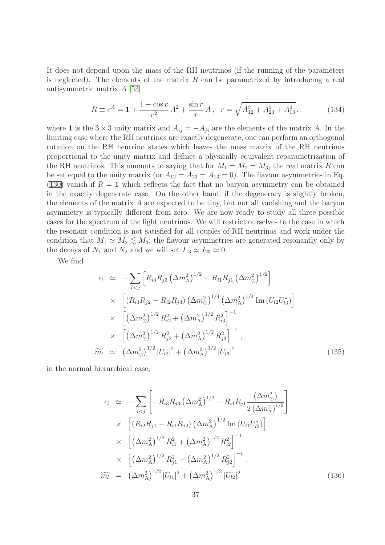It does not depend upon the mass of the RH neutrinos (if the running of the parameters is neglected). The elements of the matrix  $R$  can be parametrized by introducing a real antisymmetric matrix A [\[53\]](#page-45-10)

$$
R \equiv e^{A} = 1 + \frac{1 - \cos r}{r^2} A^2 + \frac{\sin r}{r} A, \quad r = \sqrt{A_{12}^2 + A_{23}^2 + A_{13}^2}, \tag{134}
$$

where 1 is the  $3 \times 3$  unity matrix and  $A_{ij} = -A_{ji}$  are the elements of the matrix A. In the limiting case where the RH neutrinos are exactly degenerate, one can perform an orthogonal rotation on the RH neutrino states which leaves the mass matrix of the RH neutrinos proportional to the unity matrix and defines a physically equivalent reparametrization of the RH neutrinos. This amounts to saying that for  $M_1 = M_2 = M_3$ , the real matrix R can be set equal to the unity matrix (or  $A_{12} = A_{23} = A_{13} = 0$ ). The flavour asymmetries in Eq. [\(130\)](#page-35-0) vanish if  $R = 1$  which reflects the fact that no baryon asymmetry can be obtained in the exactly degenerate case. On the other hand, if the degeneracy is slightly broken, the elements of the matrix  $A$  are expected to be tiny, but not all vanishing and the baryon asymmetry is typically different from zero. We are now ready to study all three possible cases for the spectrum of the light neutrinos. We will restrict ourselves to the case in which the resonant condition is not satisfied for all couples of RH neutrinos and work under the condition that  $M_1 \simeq M_2 \lesssim M_3$ ; the flavour asymmetries are generated resonantly only by the decays of N, and N, and we will set  $I_1 \simeq I_2 \simeq 0$ . the decays of  $N_1$  and  $N_2$  and we will set  $I_{13} \simeq I_{23} \simeq 0$ .

We find

$$
\epsilon_{l} \simeq -\sum_{I < j} \left[ R_{i3} R_{j3} \left( \Delta m_{\rm A}^{2} \right)^{1/2} - R_{i1} R_{j1} \left( \Delta m_{\odot}^{2} \right)^{1/2} \right]
$$
\n
$$
\times \left[ \left( R_{i3} R_{j2} - R_{i2} R_{j3} \right) \left( \Delta m_{\odot}^{2} \right)^{1/4} \left( \Delta m_{\rm A}^{2} \right)^{1/4} \text{Im} \left( U_{l2} U_{l3}^{*} \right) \right]
$$
\n
$$
\times \left[ \left( \Delta m_{\odot}^{2} \right)^{1/2} R_{i2}^{2} + \left( \Delta m_{\rm A}^{2} \right)^{1/2} R_{i3}^{2} \right]^{-1}
$$
\n
$$
\times \left[ \left( \Delta m_{\odot}^{2} \right)^{1/2} R_{j2}^{2} + \left( \Delta m_{\rm A}^{2} \right)^{1/2} R_{j3}^{2} \right]^{-1},
$$
\n
$$
\widetilde{m}_{l} \simeq \left( \Delta m_{\odot}^{2} \right)^{1/2} |U_{l2}|^{2} + \left( \Delta m_{\rm A}^{2} \right)^{1/2} |U_{l3}|^{2} \qquad (135)
$$

in the normal hierarchical case;

$$
\epsilon_{l} \simeq -\sum_{i < j} \left[ -R_{i3}R_{j3} \left( \Delta m_{\rm A}^{2} \right)^{1/2} - R_{i1}R_{j1} \frac{\left( \Delta m_{\odot}^{2} \right)}{2 \left( \Delta m_{\rm A}^{2} \right)^{1/2}} \right] \times \left[ \left( R_{i2}R_{j1} - R_{i1}R_{j2} \right) \left( \Delta m_{\rm A}^{2} \right)^{1/2} \text{Im} \left( U_{l1}U_{l2}^{*} \right) \right] \times \left[ \left( \Delta m_{\rm A}^{2} \right)^{1/2} R_{i1}^{2} + \left( \Delta m_{\rm A}^{2} \right)^{1/2} R_{i2}^{2} \right]^{-1},
$$
\n
$$
\times \left[ \left( \Delta m_{\rm A}^{2} \right)^{1/2} R_{j1}^{2} + \left( \Delta m_{\rm A}^{2} \right)^{1/2} R_{j2}^{2} \right]^{-1},
$$
\n
$$
\widetilde{m}_{l} = \left( \Delta m_{\rm A}^{2} \right)^{1/2} |U_{l1}|^{2} + \left( \Delta m_{\rm A}^{2} \right)^{1/2} |U_{l2}|^{2} \qquad (136)
$$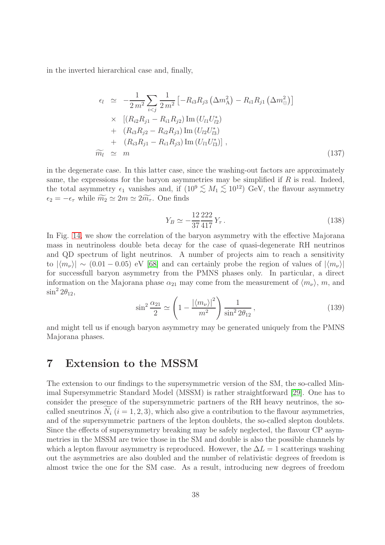in the inverted hierarchical case and, finally,

$$
\epsilon_{l} \simeq -\frac{1}{2m^{2}} \sum_{i < j} \frac{1}{2m^{2}} \left[ -R_{i3} R_{j3} \left( \Delta m_{\rm A}^{2} \right) - R_{i1} R_{j1} \left( \Delta m_{\odot}^{2} \right) \right]
$$
\n
$$
\times \left[ \left( R_{i2} R_{j1} - R_{i1} R_{j2} \right) \text{Im} \left( U_{l1} U_{l2}^{*} \right) \right]
$$
\n
$$
+ \left( R_{i3} R_{j2} - R_{i2} R_{j3} \right) \text{Im} \left( U_{l2} U_{l3}^{*} \right)
$$
\n
$$
+ \left( R_{i3} R_{j1} - R_{i1} R_{j3} \right) \text{Im} \left( U_{l1} U_{l3}^{*} \right) \right],
$$
\n
$$
\widetilde{m}_{l} \simeq m \tag{137}
$$

in the degenerate case. In this latter case, since the washing-out factors are approximately same, the expressions for the baryon asymmetries may be simplified if  $R$  is real. Indeed, the total asymmetry  $\epsilon_1$  vanishes and, if  $(10^9 \lesssim M_1 \lesssim 10^{12})$  GeV, the flavour asymmetry  $\epsilon_2 = -\epsilon_\tau$  while  $\widetilde{m_2} \simeq 2m \simeq 2\widetilde{m_\tau}$ . One finds

$$
Y_B \simeq -\frac{12}{37} \frac{222}{417} Y_\tau \,. \tag{138}
$$

In Fig. [14,](#page-54-1) we show the correlation of the baryon asymmetry with the effective Majorana mass in neutrinoless double beta decay for the case of quasi-degenerate RH neutrinos and QD spectrum of light neutrinos. A number of projects aim to reach a sensitivity to  $|\langle m_\nu \rangle| \sim (0.01 - 0.05)$  eV [\[68\]](#page-46-5) and can certainly probe the region of values of  $|\langle m_\nu \rangle|$ for successfull baryon asymmetry from the PMNS phases only. In particular, a direct information on the Majorana phase  $\alpha_{21}$  may come from the measurement of  $\langle m_{\nu} \rangle$ , m, and  $\sin^2 2\theta_{12}$ ,

$$
\sin^2 \frac{\alpha_{21}}{2} \simeq \left(1 - \frac{|\langle m_\nu \rangle|^2}{m^2}\right) \frac{1}{\sin^2 2\theta_{12}},\tag{139}
$$

and might tell us if enough baryon asymmetry may be generated uniquely from the PMNS Majorana phases.

## 7 Extension to the MSSM

The extension to our findings to the supersymmetric version of the SM, the so-called Minimal Supersymmetric Standard Model (MSSM) is rather straightforward [\[29\]](#page-44-7). One has to consider the presence of the supersymmetric partners of the RH heavy neutrinos, the socalled sneutrinos  $N_i$  ( $i = 1, 2, 3$ ), which also give a contribution to the flavour asymmetries, and of the supersymmetric partners of the lepton doublets, the so-called slepton doublets. Since the effects of supersymmetry breaking may be safely neglected, the flavour CP asymmetries in the MSSM are twice those in the SM and double is also the possible channels by which a lepton flavour asymmetry is reproduced. However, the  $\Delta L = 1$  scatterings washing out the asymmetries are also doubled and the number of relativistic degrees of freedom is almost twice the one for the SM case. As a result, introducing new degrees of freedom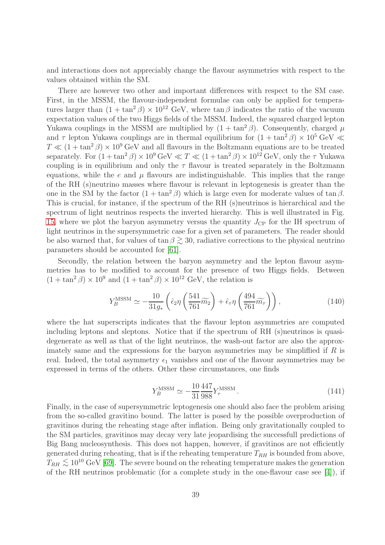and interactions does not appreciably change the flavour asymmetries with respect to the values obtained within the SM.

There are however two other and important differences with respect to the SM case. First, in the MSSM, the flavour-independent formulae can only be applied for temperatures larger than  $(1 + \tan^2 \beta) \times 10^{12}$  GeV, where  $\tan \beta$  indicates the ratio of the vacuum expectation values of the two Higgs fields of the MSSM. Indeed, the squared charged lepton Yukawa couplings in the MSSM are multiplied by  $(1 + \tan^2 \beta)$ . Consequently, charged  $\mu$ and  $\tau$  lepton Yukawa couplings are in thermal equilibrium for  $(1 + \tan^2 \beta) \times 10^5$  GeV  $\ll$  $T \ll (1 + \tan^2 \beta) \times 10^9$  GeV and all flavours in the Boltzmann equations are to be treated separately. For  $(1 + \tan^2 \beta) \times 10^9$  GeV  $\ll T \ll (1 + \tan^2 \beta) \times 10^{12}$  GeV, only the  $\tau$  Yukawa coupling is in equilibrium and only the  $\tau$  flavour is treated separately in the Boltzmann equations, while the e and  $\mu$  flavours are indistinguishable. This implies that the range of the RH (s)neutrino masses where flavour is relevant in leptogenesis is greater than the one in the SM by the factor  $(1 + \tan^2 \beta)$  which is large even for moderate values of tan  $\beta$ . This is crucial, for instance, if the spectrum of the RH (s)neutrinos is hierarchical and the spectrum of light neutrinos respects the inverted hierarchy. This is well illustrated in Fig. [15,](#page-55-0) where we plot the baryon asymmetry versus the quantity  $J_{\rm CP}$  for the IH spectrum of light neutrinos in the supersymmetric case for a given set of parameters. The reader should be also warned that, for values of  $\tan \beta \gtrsim 30$ , radiative corrections to the physical neutrino parameters should be accounted for [\[61\]](#page-45-18).

Secondly, the relation between the baryon asymmetry and the lepton flavour asymmetries has to be modified to account for the presence of two Higgs fields. Between  $(1 + \tan^2 \beta) \times 10^9$  and  $(1 + \tan^2 \beta) \times 10^{12}$  GeV, the relation is

$$
Y_B^{\text{MSSM}} \simeq -\frac{10}{31g_*} \left( \hat{\epsilon}_2 \eta \left( \frac{541}{761} \widetilde{m_2} \right) + \hat{\epsilon}_\tau \eta \left( \frac{494}{761} \widetilde{m_\tau} \right) \right), \tag{140}
$$

where the hat superscripts indicates that the flavour lepton asymmetries are computed including leptons and sleptons. Notice that if the spectrum of RH (s)neutrinos is quasidegenerate as well as that of the light neutrinos, the wash-out factor are also the approximately same and the expressions for the baryon asymmetries may be simpliflied if  $R$  is real. Indeed, the total asymmetry  $\epsilon_1$  vanishes and one of the flavour asymmetries may be expressed in terms of the others. Other these circumstances, one finds

$$
Y_B^{\text{MSSM}} \simeq -\frac{10}{31} \frac{447}{988} Y_\tau^{\text{MSSM}}.
$$
\n(141)

Finally, in the case of supersymmetric leptogenesis one should also face the problem arising from the so-called gravitino bound. The latter is posed by the possible overproduction of gravitinos during the reheating stage after inflation. Being only gravitationally coupled to the SM particles, gravitinos may decay very late jeopardising the successfull predictions of Big Bang nucleosynthesis. This does not happen, however, if gravitinos are not efficiently generated during reheating, that is if the reheating temperature  $T_{RH}$  is bounded from above,  $T_{RH} \lesssim 10^{10} \text{ GeV}$  [\[69\]](#page-46-6). The severe bound on the reheating temperature makes the generation of the RH neutrinos problematic (for a complete study in the one-flavour case see [\[4\]](#page-42-3)), if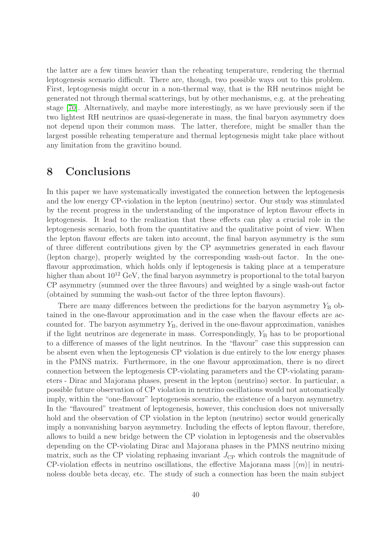the latter are a few times heavier than the reheating temperature, rendering the thermal leptogenesis scenario difficult. There are, though, two possible ways out to this problem. First, leptogenesis might occur in a non-thermal way, that is the RH neutrinos might be generated not through thermal scatterings, but by other mechanisms, e.g. at the preheating stage [\[70\]](#page-46-7). Alternatively, and maybe more interestingly, as we have previously seen if the two lightest RH neutrinos are quasi-degenerate in mass, the final baryon asymmetry does not depend upon their common mass. The latter, therefore, might be smaller than the largest possible reheating temperature and thermal leptogenesis might take place without any limitation from the gravitino bound.

## 8 Conclusions

In this paper we have systematically investigated the connection between the leptogenesis and the low energy CP-violation in the lepton (neutrino) sector. Our study was stimulated by the recent progress in the understanding of the imporatnce of lepton flavour effects in leptogenesis. It lead to the realization that these effects can play a crucial role in the leptogenesis scenario, both from the quantitative and the qualitative point of view. When the lepton flavour effects are taken into account, the final baryon asymmetry is the sum of three different contributions given by the CP asymmetries generated in each flavour (lepton charge), properly weighted by the corresponding wash-out factor. In the oneflavour approximation, which holds only if leptogenesis is taking place at a temperature higher than about  $10^{12}$  GeV, the final baryon asymmetry is proportional to the total baryon CP asymmetry (summed over the three flavours) and weighted by a single wash-out factor (obtained by summing the wash-out factor of the three lepton flavours).

There are many differences between the predictions for the baryon asymmetry  $Y_B$  obtained in the one-flavour approximation and in the case when the flavour effects are accounted for. The baryon asymmetry  $Y_{\text{B}}$ , derived in the one-flavour approximation, vanishes if the light neutrinos are degenerate in mass. Correspondingly,  $Y_B$  has to be proportional to a difference of masses of the light neutrinos. In the "flavour" case this suppression can be absent even when the leptogenesis CP violation is due entirely to the low energy phases in the PMNS matrix. Furthermore, in the one flavour approximation, there is no direct connection between the leptogenesis CP-violating parameters and the CP-violating parameters - Dirac and Majorana phases, present in the lepton (neutrino) sector. In particular, a possible future observation of CP violation in neutrino oscillations would not automatically imply, within the "one-flavour" leptogenesis scenario, the existence of a baryon asymmetry. In the "flavoured" treatment of leptogenesis, however, this conclusion does not universally hold and the observation of CP violation in the lepton (neutrino) sector would generically imply a nonvanishing baryon asymmetry. Including the effects of lepton flavour, therefore, allows to build a new bridge between the CP violation in leptogenesis and the observables depending on the CP-violating Dirac and Majorana phases in the PMNS neutrino mixing matrix, such as the CP violating rephasing invariant  $J_{\rm CP}$  which controls the magnitude of CP-violation effects in neutrino oscillations, the effective Majorana mass  $|\langle m \rangle|$  in neutrinoless double beta decay, etc. The study of such a connection has been the main subject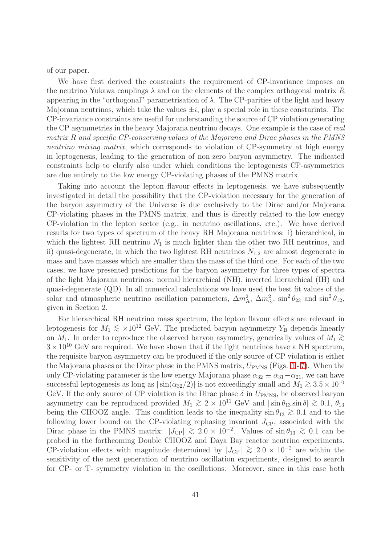of our paper.

We have first derived the constraints the requirement of CP-invariance imposes on the neutrino Yukawa couplings  $\lambda$  and on the elements of the complex orthogonal matrix R appearing in the "orthogonal" parametrisation of  $\lambda$ . The CP-parities of the light and heavy Majorana neutrinos, which take the values  $\pm i$ , play a special role in these constarints. The CP-invariance constraints are useful for understanding the source of CP violation generating the CP asymmetries in the heavy Majorana neutrino decays. One example is the case of real matrix R and specific CP-conserving values of the Majorana and Dirac phases in the PMNS neutrino mixing matrix, which corresponds to violation of CP-symmetry at high energy in leptogenesis, leading to the generation of non-zero baryon asymmetry. The indicated constraints help to clarify also under which conditions the leptogenesis CP-asymmetries are due entirely to the low energy CP-violating phases of the PMNS matrix.

Taking into account the lepton flavour effects in leptogenesis, we have subsequently investigated in detail the possibility that the CP-violation necessary for the generation of the baryon asymmetry of the Universe is due exclusively to the Dirac and/or Majorana CP-violating phases in the PMNS matrix, and thus is directly related to the low energy CP-violation in the lepton sector (e.g., in neutrino oscillations, etc.). We have derived results for two types of spectrum of the heavy RH Majorana neutrinos: i) hierarchical, in which the lightest RH neutrino  $N_1$  is much lighter than the other two RH neutrinos, and ii) quasi-degenerate, in which the two lightest RH neutrinos  $N_{1,2}$  are almost degenerate in mass and have masses which are smaller than the mass of the third one. For each of the two cases, we have presented predictions for the baryon asymmetry for three types of spectra of the light Majorana neutrinos: normal hierarchical (NH), inverted hierarchical (IH) and quasi-degenerate (QD). In all numerical calculations we have used the best fit values of the solar and atmospheric neutrino oscillation parameters,  $\Delta m_A^2$ ,  $\Delta m_{\odot}^2$ ,  $\sin^2 \theta_{23}$  and  $\sin^2 \theta_{12}$ , given in Section 2.

For hierarchical RH neutrino mass spectrum, the lepton flavour effects are relevant in leptogenesis for  $M_1 \lesssim \times 10^{12}$  GeV. The predicted baryon asymmetry Y<sub>B</sub> depends linearly on  $M_1$ . In order to reproduce the observed baryon asymmetry, generically values of  $M_1 \gtrsim$  $3 \times 10^{10}$  GeV are required. We have shown that if the light neutrinos have a NH spectrum, the requisite baryon asymmetry can be produced if the only source of CP violation is either theMajorana phases or the Dirac phase in the PMNS matrix,  $U_{PMNS}$  (Figs. [1](#page-47-0) - [7\)](#page-50-0). When the only CP-violating parameter is the low energy Majorana phase  $\alpha_{32} \equiv \alpha_{31} - \alpha_{21}$ , we can have successful leptogenesis as long as  $|\sin(\alpha_{32}/2)|$  is not exceedingly small and  $M_1 \gtrsim 3.5 \times 10^{10}$ GeV. If the only source of CP violation is the Dirac phase  $\delta$  in  $U_{PMNS}$ , he observed baryon asymmetry can be reproduced provided  $M_1 \gtrsim 2 \times 10^{11}$  GeV and  $|\sin \theta_{13} \sin \delta| \gtrsim 0.1$ ,  $\theta_{13}$ being the CHOOZ angle. This condition leads to the inequality  $\sin \theta_{13} \gtrsim 0.1$  and to the following lower bound on the CP-violating rephasing invariant  $J_{\rm CP}$ , associated with the Dirac phase in the PMNS matrix:  $|J_{\text{CP}}| \gtrsim 2.0 \times 10^{-2}$ . Values of sin  $\theta_{13} \gtrsim 0.1$  can be probed in the forthcoming Double CHOOZ and Daya Bay reactor neutrino experiments. CP-violation effects with magnitude determined by  $|J_{\text{CP}}| \ge 2.0 \times 10^{-2}$  are within the sensitivity of the next generation of neutrino oscillation experiments, designed to search for CP- or T- symmetry violation in the oscillations. Moreover, since in this case both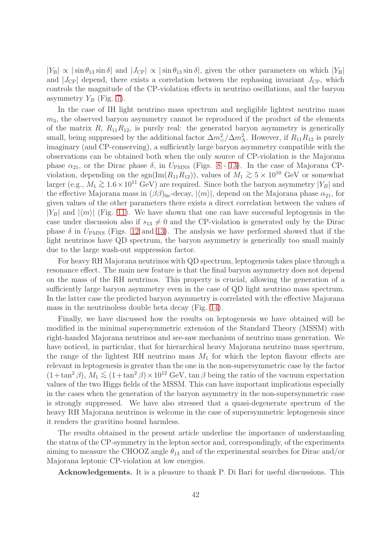$|Y_{\rm B}| \propto |\sin \theta_{13} \sin \delta|$  and  $|J_{\rm CP}| \propto |\sin \theta_{13} \sin \delta|$ , given the other parameters on which  $|Y_{\rm B}|$ and  $|J_{\text{CP}}|$  depend, there exists a correlation between the rephasing invariant  $J_{\text{CP}}$ , which controls the magnitude of the CP-violation effects in neutrino oscillations, and the baryon asymmetry  $Y_B$  (Fig. [7\)](#page-50-0).

In the case of IH light neutrino mass spectrum and negligible lightest neutrino mass  $m<sub>3</sub>$ , the observed baryon asymmetry cannot be reproduced if the product of the elements of the matrix  $R$ ,  $R_{11}R_{12}$ , is purely real: the generated baryon asymmetry is generically small, being suppressed by the additional factor  $\Delta m_{\odot}^2/\Delta m_{\rm A}^2$ . However, if  $R_{11}R_{12}$  is purely imaginary (and CP-conserving), a sufficiently large baryon asymmetry compatible with the observations can be obtained both when the only source of CP-violation is the Majorana phase  $\alpha_{21}$ , or the Dirac phase  $\delta$ , in  $U_{\rm PMNS}$  (Figs. [8](#page-51-0) - [13\)](#page-54-0). In the case of Majorana CPviolation, depending on the sgn(Im( $R_{11}R_{12}$ )), values of  $M_1 \geq 5 \times 10^{10}$  GeV or somewhat larger (e.g.,  $M_1 \gtrsim 1.6 \times 10^{11}$  GeV) are required. Since both the baryon asymmetry  $|Y_B|$  and the effective Majorana mass in  $(\beta\beta)_{0\nu}$ -decay,  $|\langle m \rangle|$ , depend on the Majorana phase  $\alpha_{21}$ , for given values of the other parameters there exists a direct correlation between the values of  $|Y_B|$  and  $|\langle m \rangle|$  (Fig. [11\)](#page-53-0). We have shown that one can have successful leptogensis in the case under discussion also if  $s_{13} \neq 0$  and the CP-violation is generated only by the Dirac phase  $\delta$  in  $U_{\rm PMNS}$  (Figs. [12](#page-53-1) and [13\)](#page-54-0). The anslysis we have performed showed that if the light neutrinos have QD spectrum, the baryon asymmetry is generically too small mainly due to the large wash-out suppression factor.

For heavy RH Majorana neutrinos with QD spectrum, leptogenesis takes place through a resonance effect. The main new feature is that the final baryon asymmetry does not depend on the mass of the RH neutrinos. This property is crucial, allowing the generation of a sufficiently large baryon asymmetry even in the case of QD light neutrino mass spectrum. In the latter case the predicted baryon asymmetry is correlated with the effective Majorana mass in the neutrinoless double beta decay (Fig. [14\)](#page-54-1).

Finally, we have discussed how the results on leptogenesis we have obtained will be modified in the minimal supersymmetric extension of the Standard Theory (MSSM) with right-handed Majorana neutrinos and see-saw mechanism of neutrino mass generation. We have noticed, in particular, that for hierarchical heavy Majorana neutrino mass spectrum, the range of the lightest RH neutrino mass  $M_1$  for which the lepton flavour effects are relevant in leptogenesis is greater than the one in the non-supersymmetric case by the factor  $(1+\tan^2\beta)$ ,  $M_1 \lesssim (1+\tan^2\beta) \times 10^{12}$  GeV, tan  $\beta$  being the ratio of the vacuum expectation values of the two Higgs fields of the MSSM. This can have important implications especially in the cases when the generation of the baryon asymmetry in the non-supersymmetric case is strongly suppressed. We have also stressed that a quasi-degenerate spectrum of the heavy RH Majorana neutrinos is welcome in the case of supersymmetric leptogenesis since it renders the gravitino bound harmless.

The results obtained in the present article underline the importance of understanding the status of the CP-symmetry in the lepton sector and, correspondingly, of the experiments aiming to measure the CHOOZ angle  $\theta_{13}$  and of the experimental searches for Dirac and/or Majorana leptonic CP-violation at low energies.

Acknowledgements. It is a pleasure to thank P. Di Bari for useful discussions. This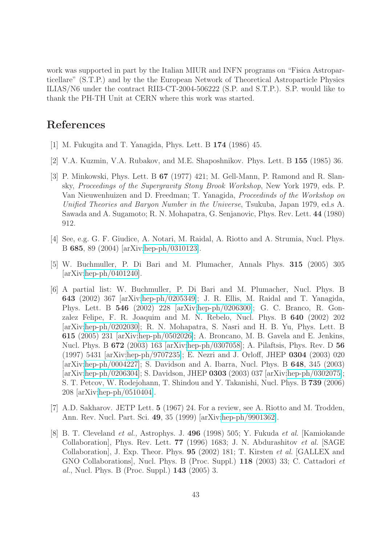work was supported in part by the Italian MIUR and INFN programs on "Fisica Astroparticellare" (S.T.P.) and by the the European Network of Theoretical Astroparticle Physics ILIAS/N6 under the contract RII3-CT-2004-506222 (S.P. and S.T.P.). S.P. would like to thank the PH-TH Unit at CERN where this work was started.

# <span id="page-42-0"></span>References

- <span id="page-42-1"></span>[1] M. Fukugita and T. Yanagida, Phys. Lett. B 174 (1986) 45.
- <span id="page-42-2"></span>[2] V.A. Kuzmin, V.A. Rubakov, and M.E. Shaposhnikov. Phys. Lett. B 155 (1985) 36.
- [3] P. Minkowski, Phys. Lett. B 67 (1977) 421; M. Gell-Mann, P. Ramond and R. Slansky, Proceedings of the Supergravity Stony Brook Workshop, New York 1979, eds. P. Van Nieuwenhuizen and D. Freedman; T. Yanagida, Proceedinds of the Workshop on Unified Theories and Baryon Number in the Universe, Tsukuba, Japan 1979, ed.s A. Sawada and A. Sugamoto; R. N. Mohapatra, G. Senjanovic, Phys. Rev. Lett. 44 (1980) 912.
- <span id="page-42-4"></span><span id="page-42-3"></span>[4] See, e.g. G. F. Giudice, A. Notari, M. Raidal, A. Riotto and A. Strumia, Nucl. Phys. B 685, 89 (2004) [arXiv[:hep-ph/0310123\]](http://it.arXiv.org/abs/hep-ph/0310123).
- <span id="page-42-5"></span>[5] W. Buchmuller, P. Di Bari and M. Plumacher, Annals Phys. 315 (2005) 305  $\arXiv:hep-ph/0401240$ .
- [6] A partial list: W. Buchmuller, P. Di Bari and M. Plumacher, Nucl. Phys. B 643 (2002) 367 [arXiv[:hep-ph/0205349\]](http://it.arXiv.org/abs/hep-ph/0205349); J. R. Ellis, M. Raidal and T. Yanagida, Phys. Lett. B 546 (2002) 228 [arXiv[:hep-ph/0206300\]](http://it.arXiv.org/abs/hep-ph/0206300); G. C. Branco, R. Gonzalez Felipe, F. R. Joaquim and M. N. Rebelo, Nucl. Phys. B 640 (2002) 202 [arXiv[:hep-ph/0202030\]](http://it.arXiv.org/abs/hep-ph/0202030); R. N. Mohapatra, S. Nasri and H. B. Yu, Phys. Lett. B 615 (2005) 231 [arXiv[:hep-ph/0502026\]](http://it.arXiv.org/abs/hep-ph/0502026); A. Broncano, M. B. Gavela and E. Jenkins, Nucl. Phys. B 672 (2003) 163 [arXiv[:hep-ph/0307058\]](http://it.arXiv.org/abs/hep-ph/0307058); A. Pilaftsis, Phys. Rev. D 56 (1997) 5431 [arXiv[:hep-ph/9707235\]](http://it.arXiv.org/abs/hep-ph/9707235); E. Nezri and J. Orloff, JHEP 0304 (2003) 020 [arXiv[:hep-ph/0004227\]](http://it.arXiv.org/abs/hep-ph/0004227); S. Davidson and A. Ibarra, Nucl. Phys. B 648, 345 (2003) [arXiv[:hep-ph/0206304\]](http://it.arXiv.org/abs/hep-ph/0206304); S. Davidson, JHEP 0303 (2003) 037 [arXiv[:hep-ph/0302075\]](http://it.arXiv.org/abs/hep-ph/0302075); S. T. Petcov, W. Rodejohann, T. Shindou and Y. Takanishi, Nucl. Phys. B 739 (2006) 208 [arXiv[:hep-ph/0510404\]](http://it.arXiv.org/abs/hep-ph/0510404).
- <span id="page-42-7"></span><span id="page-42-6"></span>[7] A.D. Sakharov. JETP Lett. 5 (1967) 24. For a review, see A. Riotto and M. Trodden, Ann. Rev. Nucl. Part. Sci. 49, 35 (1999) [arXiv[:hep-ph/9901362\]](http://it.arXiv.org/abs/hep-ph/9901362).
- [8] B. T. Cleveland et al., Astrophys. J. 496 (1998) 505; Y. Fukuda et al. [Kamiokande Collaboration], Phys. Rev. Lett. 77 (1996) 1683; J. N. Abdurashitov et al. [SAGE Collaboration], J. Exp. Theor. Phys. 95 (2002) 181; T. Kirsten et al. [GALLEX and GNO Collaborations], Nucl. Phys. B (Proc. Suppl.) 118 (2003) 33; C. Cattadori et al., Nucl. Phys. B (Proc. Suppl.) 143 (2005) 3.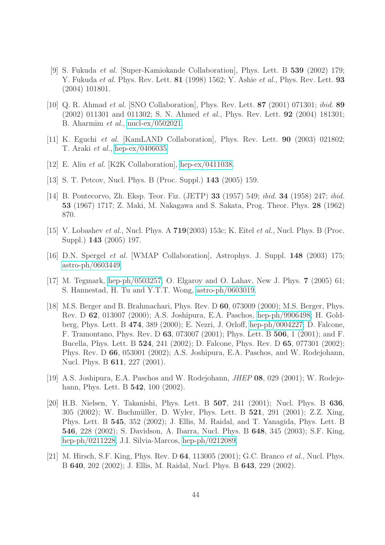- <span id="page-43-0"></span>[9] S. Fukuda et al. [Super-Kamiokande Collaboration], Phys. Lett. B 539 (2002) 179; Y. Fukuda *et al.* Phys. Rev. Lett. **81** (1998) 1562; Y. Ashie *et al.*, Phys. Rev. Lett. **93** (2004) 101801.
- <span id="page-43-1"></span>[10] Q. R. Ahmad et al. [SNO Collaboration], Phys. Rev. Lett. 87 (2001) 071301; ibid. 89 (2002) 011301 and 011302; S. N. Ahmed et al., Phys. Rev. Lett. 92 (2004) 181301; B. Aharmim et al., [nucl-ex/0502021.](http://it.arXiv.org/abs/nucl-ex/0502021)
- <span id="page-43-3"></span><span id="page-43-2"></span>[11] K. Eguchi et al. [KamLAND Collaboration], Phys. Rev. Lett. 90 (2003) 021802; T. Araki et al., [hep-ex/0406035.](http://it.arXiv.org/abs/hep-ex/0406035)
- <span id="page-43-4"></span>[12] E. Aliu et al. [K2K Collaboration], [hep-ex/0411038.](http://it.arXiv.org/abs/hep-ex/0411038)
- <span id="page-43-5"></span>[13] S. T. Petcov, Nucl. Phys. B (Proc. Suppl.) **143** (2005) 159.
- [14] B. Pontecorvo, Zh. Eksp. Teor. Fiz. (JETP) 33 (1957) 549; ibid. 34 (1958) 247; ibid. 53 (1967) 1717; Z. Maki, M. Nakagawa and S. Sakata, Prog. Theor. Phys. 28 (1962) 870.
- <span id="page-43-11"></span><span id="page-43-6"></span>[15] V. Lobashev et al., Nucl. Phys. A  $719(2003)$  153c; K. Eitel et al., Nucl. Phys. B (Proc. Suppl.) 143 (2005) 197.
- [16] D.N. Spergel et al. [WMAP Collaboration], Astrophys. J. Suppl. 148 (2003) 175; [astro-ph/0603449.](http://it.arXiv.org/abs/astro-ph/0603449)
- <span id="page-43-12"></span><span id="page-43-7"></span>[17] M. Tegmark, [hep-ph/0503257;](http://it.arXiv.org/abs/hep-ph/0503257) O. Elgaroy and O. Lahav, New J. Phys. 7 (2005) 61; S. Hannestad, H. Tu and Y.T.T. Wong, [astro-ph/0603019.](http://it.arXiv.org/abs/astro-ph/0603019)
- [18] M.S. Berger and B. Brahmachari, Phys. Rev. D 60, 073009 (2000); M.S. Berger, Phys. Rev. D 62, 013007 (2000); A.S. Joshipura, E.A. Paschos, [hep-ph/9906498;](http://it.arXiv.org/abs/hep-ph/9906498) H. Goldberg, Phys. Lett. B 474, 389 (2000); E. Nezri, J. Orloff, [hep-ph/0004227;](http://it.arXiv.org/abs/hep-ph/0004227) D. Falcone, F. Tramontano, Phys. Rev. D 63, 073007 (2001); Phys. Lett. B 506, 1 (2001); and F. Bucella, Phys. Lett. B 524, 241 (2002); D. Falcone, Phys. Rev. D 65, 077301 (2002); Phys. Rev. D 66, 053001 (2002); A.S. Joshipura, E.A. Paschos, and W. Rodejohann, Nucl. Phys. B 611, 227 (2001).
- <span id="page-43-8"></span>[19] A.S. Joshipura, E.A. Paschos and W. Rodejohann, JHEP 08, 029 (2001); W. Rodejohann, Phys. Lett. B 542, 100 (2002).
- <span id="page-43-9"></span>[20] H.B. Nielsen, Y. Takanishi, Phys. Lett. B 507, 241 (2001); Nucl. Phys. B 636, 305 (2002); W. Buchmüller, D. Wyler, Phys. Lett. B 521, 291 (2001); Z.Z. Xing, Phys. Lett. B 545, 352 (2002); J. Ellis, M. Raidal, and T. Yanagida, Phys. Lett. B 546, 228 (2002); S. Davidson, A. Ibarra, Nucl. Phys. B 648, 345 (2003); S.F. King, [hep-ph/0211228;](http://it.arXiv.org/abs/hep-ph/0211228) J.I. Silvia-Marcos, [hep-ph/0212089.](http://it.arXiv.org/abs/hep-ph/0212089)
- <span id="page-43-10"></span>[21] M. Hirsch, S.F. King, Phys. Rev. D 64, 113005 (2001); G.C. Branco et al., Nucl. Phys. B 640, 202 (2002); J. Ellis, M. Raidal, Nucl. Phys. B 643, 229 (2002).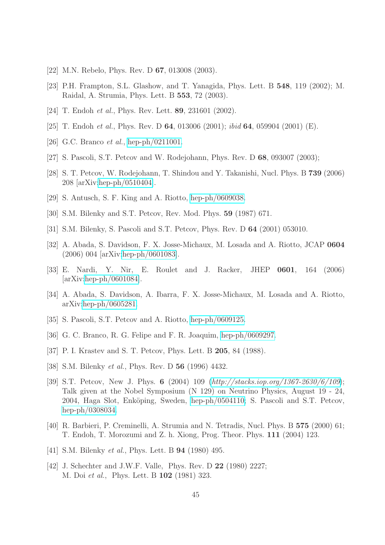- <span id="page-44-1"></span><span id="page-44-0"></span>[22] M.N. Rebelo, Phys. Rev. D **67**, 013008 (2003).
- <span id="page-44-2"></span>[23] P.H. Frampton, S.L. Glashow, and T. Yanagida, Phys. Lett. B 548, 119 (2002); M. Raidal, A. Strumia, Phys. Lett. B 553, 72 (2003).
- <span id="page-44-3"></span>[24] T. Endoh *et al.*, Phys. Rev. Lett. **89**, 231601 (2002).
- <span id="page-44-4"></span>[25] T. Endoh *et al.*, Phys. Rev. D **64**, 013006 (2001); *ibid* **64**, 059904 (2001) (E).
- <span id="page-44-5"></span>[26] G.C. Branco *et al.*, [hep-ph/0211001.](http://it.arXiv.org/abs/hep-ph/0211001)
- <span id="page-44-6"></span>[27] S. Pascoli, S.T. Petcov and W. Rodejohann, Phys. Rev. D 68, 093007 (2003);
- <span id="page-44-7"></span>[28] S. T. Petcov, W. Rodejohann, T. Shindou and Y. Takanishi, Nucl. Phys. B 739 (2006) 208 [arXiv[:hep-ph/0510404\]](http://it.arXiv.org/abs/hep-ph/0510404).
- <span id="page-44-8"></span>[29] S. Antusch, S. F. King and A. Riotto, [hep-ph/0609038.](http://it.arXiv.org/abs/hep-ph/0609038)
- <span id="page-44-9"></span>[30] S.M. Bilenky and S.T. Petcov, Rev. Mod. Phys. 59 (1987) 671.
- <span id="page-44-10"></span>[31] S.M. Bilenky, S. Pascoli and S.T. Petcov, Phys. Rev. D 64 (2001) 053010.
- <span id="page-44-11"></span>[32] A. Abada, S. Davidson, F. X. Josse-Michaux, M. Losada and A. Riotto, JCAP 0604 (2006) 004 [arXiv[:hep-ph/0601083\]](http://it.arXiv.org/abs/hep-ph/0601083).
- [33] E. Nardi, Y. Nir, E. Roulet and J. Racker, JHEP 0601, 164 (2006) [arXiv[:hep-ph/0601084\]](http://it.arXiv.org/abs/hep-ph/0601084).
- <span id="page-44-12"></span>[34] A. Abada, S. Davidson, A. Ibarra, F. X. Josse-Michaux, M. Losada and A. Riotto, arXiv[:hep-ph/0605281.](http://it.arXiv.org/abs/hep-ph/0605281)
- <span id="page-44-14"></span><span id="page-44-13"></span>[35] S. Pascoli, S.T. Petcov and A. Riotto, [hep-ph/0609125.](http://it.arXiv.org/abs/hep-ph/0609125)
- <span id="page-44-15"></span>[36] G. C. Branco, R. G. Felipe and F. R. Joaquim, [hep-ph/0609297.](http://it.arXiv.org/abs/hep-ph/0609297)
- <span id="page-44-16"></span>[37] P. I. Krastev and S. T. Petcov, Phys. Lett. B 205, 84 (1988).
- <span id="page-44-17"></span>[38] S.M. Bilenky *et al.*, Phys. Rev. D **56** (1996) 4432.
- [39] S.T. Petcov, New J. Phys. 6 (2004) 109 (<http://stacks.iop.org/1367-2630/6/109>); Talk given at the Nobel Symposium (N 129) on Neutrino Physics, August 19 - 24, 2004, Haga Slot, Enköping, Sweden, [hep-ph/0504110;](http://it.arXiv.org/abs/hep-ph/0504110) S. Pascoli and S.T. Petcov, [hep-ph/0308034.](http://it.arXiv.org/abs/hep-ph/0308034)
- <span id="page-44-18"></span>[40] R. Barbieri, P. Creminelli, A. Strumia and N. Tetradis, Nucl. Phys. B 575 (2000) 61; T. Endoh, T. Morozumi and Z. h. Xiong, Prog. Theor. Phys. 111 (2004) 123.
- <span id="page-44-20"></span><span id="page-44-19"></span>[41] S.M. Bilenky *et al.*, Phys. Lett. B **94** (1980) 495.
- [42] J. Schechter and J.W.F. Valle, Phys. Rev. D 22 (1980) 2227; M. Doi et al., Phys. Lett. B 102 (1981) 323.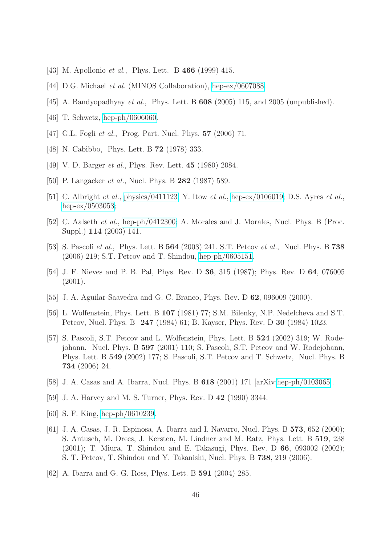- <span id="page-45-1"></span><span id="page-45-0"></span>[43] M. Apollonio *et al.*, Phys. Lett. B **466** (1999) 415.
- <span id="page-45-2"></span>[44] D.G. Michael et al. (MINOS Collaboration), [hep-ex/0607088.](http://it.arXiv.org/abs/hep-ex/0607088)
- <span id="page-45-3"></span>[45] A. Bandyopadhyay *et al.*, Phys. Lett. B **608** (2005) 115, and 2005 (unpublished).
- <span id="page-45-4"></span>[46] T. Schwetz, [hep-ph/0606060.](http://it.arXiv.org/abs/hep-ph/0606060)
- <span id="page-45-5"></span>[47] G.L. Fogli *et al.*, Prog. Part. Nucl. Phys. **57** (2006) 71.
- <span id="page-45-6"></span>[48] N. Cabibbo, Phys. Lett. B 72 (1978) 333.
- <span id="page-45-8"></span>[49] V. D. Barger *et al.*, Phys. Rev. Lett. **45** (1980) 2084.
- <span id="page-45-7"></span>[50] P. Langacker *et al.*, Nucl. Phys. B **282** (1987) 589.
- [51] C. Albright *et al.*, [physics/0411123;](http://it.arXiv.org/abs/physics/0411123) Y. Itow *et al.*, [hep-ex/0106019;](http://it.arXiv.org/abs/hep-ex/0106019) D.S. Ayres *et al.*, [hep-ex/0503053;](http://it.arXiv.org/abs/hep-ex/0503053)
- <span id="page-45-9"></span>[52] C. Aalseth *et al.*, [hep-ph/0412300;](http://it.arXiv.org/abs/hep-ph/0412300) A. Morales and J. Morales, Nucl. Phys. B (Proc. Suppl.) 114 (2003) 141.
- <span id="page-45-10"></span>[53] S. Pascoli *et al.*, Phys. Lett. B **564** (2003) 241. S.T. Petcov *et al.*, Nucl. Phys. B **738** (2006) 219; S.T. Petcov and T. Shindou, [hep-ph/0605151.](http://it.arXiv.org/abs/hep-ph/0605151)
- <span id="page-45-12"></span><span id="page-45-11"></span>[54] J. F. Nieves and P. B. Pal, Phys. Rev. D 36, 315 (1987); Phys. Rev. D 64, 076005  $(2001)$ .
- <span id="page-45-13"></span>[55] J. A. Aguilar-Saavedra and G. C. Branco, Phys. Rev. D 62, 096009 (2000).
- [56] L. Wolfenstein, Phys. Lett. B 107 (1981) 77; S.M. Bilenky, N.P. Nedelcheva and S.T. Petcov, Nucl. Phys. B 247 (1984) 61; B. Kayser, Phys. Rev. D 30 (1984) 1023.
- <span id="page-45-14"></span>[57] S. Pascoli, S.T. Petcov and L. Wolfenstein, Phys. Lett. B 524 (2002) 319; W. Rodejohann, Nucl. Phys. B 597 (2001) 110; S. Pascoli, S.T. Petcov and W. Rodejohann, Phys. Lett. B 549 (2002) 177; S. Pascoli, S.T. Petcov and T. Schwetz, Nucl. Phys. B 734 (2006) 24.
- <span id="page-45-16"></span><span id="page-45-15"></span>[58] J. A. Casas and A. Ibarra, Nucl. Phys. B 618 (2001) 171 [arXiv[:hep-ph/0103065\]](http://it.arXiv.org/abs/hep-ph/0103065).
- <span id="page-45-17"></span>[59] J. A. Harvey and M. S. Turner, Phys. Rev. D 42 (1990) 3344.
- <span id="page-45-18"></span>[60] S. F. King, [hep-ph/0610239.](http://it.arXiv.org/abs/hep-ph/0610239)
- [61] J. A. Casas, J. R. Espinosa, A. Ibarra and I. Navarro, Nucl. Phys. B 573, 652 (2000); S. Antusch, M. Drees, J. Kersten, M. Lindner and M. Ratz, Phys. Lett. B 519, 238 (2001); T. Miura, T. Shindou and E. Takasugi, Phys. Rev. D 66, 093002 (2002); S. T. Petcov, T. Shindou and Y. Takanishi, Nucl. Phys. B 738, 219 (2006).
- <span id="page-45-19"></span>[62] A. Ibarra and G. G. Ross, Phys. Lett. B 591 (2004) 285.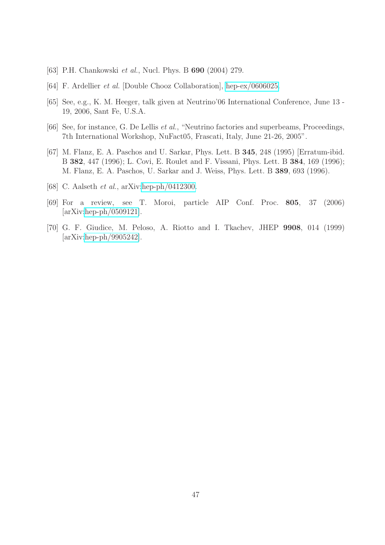- <span id="page-46-1"></span><span id="page-46-0"></span>[63] P.H. Chankowski *et al.*, Nucl. Phys. B **690** (2004) 279.
- <span id="page-46-2"></span>[64] F. Ardellier et al. [Double Chooz Collaboration], [hep-ex/0606025.](http://it.arXiv.org/abs/hep-ex/0606025)
- <span id="page-46-3"></span>[65] See, e.g., K. M. Heeger, talk given at Neutrino'06 International Conference, June 13 - 19, 2006, Sant Fe, U.S.A.
- <span id="page-46-4"></span>[66] See, for instance, G. De Lellis *et al.*, "Neutrino factories and superbeams, Proceedings, 7th International Workshop, NuFact05, Frascati, Italy, June 21-26, 2005".
- [67] M. Flanz, E. A. Paschos and U. Sarkar, Phys. Lett. B 345, 248 (1995) [Erratum-ibid. B 382, 447 (1996); L. Covi, E. Roulet and F. Vissani, Phys. Lett. B 384, 169 (1996); M. Flanz, E. A. Paschos, U. Sarkar and J. Weiss, Phys. Lett. B 389, 693 (1996).
- <span id="page-46-6"></span><span id="page-46-5"></span>[68] C. Aalseth et al., arXiv[:hep-ph/0412300.](http://it.arXiv.org/abs/hep-ph/0412300)
- [69] For a review, see T. Moroi, particle AIP Conf. Proc. 805, 37 (2006) [arXiv[:hep-ph/0509121\]](http://it.arXiv.org/abs/hep-ph/0509121).
- <span id="page-46-7"></span>[70] G. F. Giudice, M. Peloso, A. Riotto and I. Tkachev, JHEP 9908, 014 (1999) [arXiv[:hep-ph/9905242\]](http://it.arXiv.org/abs/hep-ph/9905242).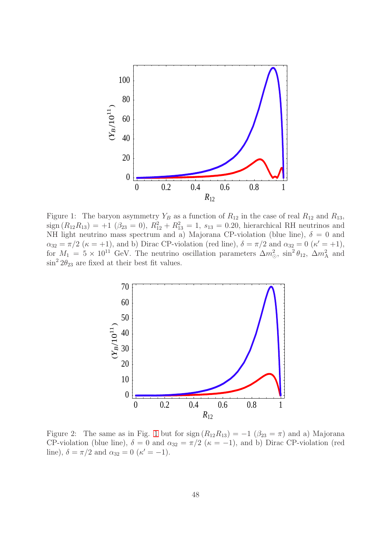

<span id="page-47-0"></span>Figure 1: The baryon asymmetry  $Y_B$  as a function of  $R_{12}$  in the case of real  $R_{12}$  and  $R_{13}$ ,  $sign(R_{12}R_{13}) = +1$  ( $\beta_{23} = 0$ ),  $R_{12}^2 + R_{13}^2 = 1$ ,  $s_{13} = 0.20$ , hierarchical RH neutrinos and NH light neutrino mass spectrum and a) Majorana CP-violation (blue line),  $\delta = 0$  and  $\alpha_{32} = \pi/2 \; (\kappa = +1)$ , and b) Dirac CP-violation (red line),  $\delta = \pi/2$  and  $\alpha_{32} = 0 \; (\kappa' = +1)$ , for  $M_1 = 5 \times 10^{11}$  GeV. The neutrino oscillation parameters  $\Delta m_{\odot}^2$ ,  $\sin^2 \theta_{12}$ ,  $\Delta m_A^2$  and  $\sin^2 2\theta_{23}$  are fixed at their best fit values.



<span id="page-47-1"></span>Figure 2: The same as in Fig. [1](#page-47-0) but for sign  $(R_{12}R_{13}) = -1$   $(\beta_{23} = \pi)$  and a) Majorana CP-violation (blue line),  $\delta = 0$  and  $\alpha_{32} = \pi/2$  ( $\kappa = -1$ ), and b) Dirac CP-violation (red line),  $\delta = \pi/2$  and  $\alpha_{32} = 0$  ( $\kappa' = -1$ ).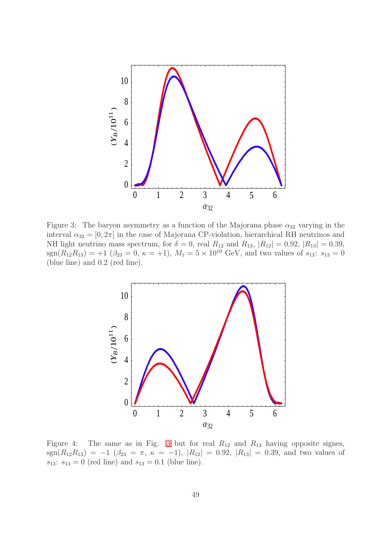

<span id="page-48-0"></span>Figure 3: The baryon asymmetry as a function of the Majorana phase  $\alpha_{32}$  varying in the interval  $\alpha_{32} = [0, 2\pi]$  in the case of Majorana CP-violation, hierarchical RH neutrinos and NH light neutrino mass spectrum, for  $\delta = 0$ , real  $R_{12}$  and  $R_{13}$ ,  $|R_{12}| = 0.92$ ,  $|R_{13}| = 0.39$ ,  $\text{sgn}(R_{12}R_{13}) = +1$   $(\beta_{23} = 0, \kappa = +1), M_1 = 5 \times 10^{10}$  GeV, and two values of  $s_{13}$ :  $s_{13} = 0$ (blue line) and 0.2 (red line).



<span id="page-48-1"></span>Figure 4: The same as in Fig. [3](#page-48-0) but for real  $R_{12}$  and  $R_{13}$  having opposite signes, sgn( $R_{12}R_{13}$ ) = −1 ( $\beta_{23} = \pi$ ,  $\kappa = -1$ ),  $|R_{12}| = 0.92$ ,  $|R_{13}| = 0.39$ , and two values of  $s_{13}: s_{13} = 0$  (red line) and  $s_{13} = 0.1$  (blue line).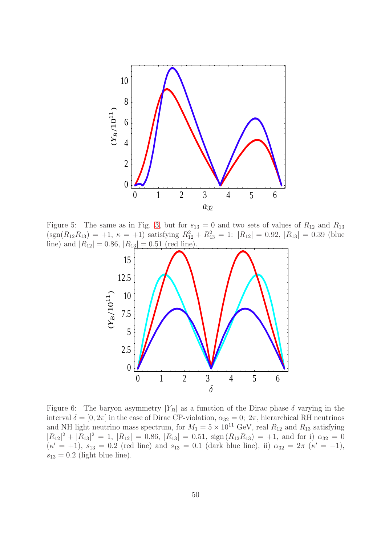

<span id="page-49-0"></span>Figure 5: The same as in Fig. [3,](#page-48-0) but for  $s_{13} = 0$  and two sets of values of  $R_{12}$  and  $R_{13}$  $(\text{sgn}(R_{12}R_{13}) = +1, \ \kappa = +1)$  satisfying  $R_{12}^2 + R_{13}^2 = 1$ :  $|R_{12}| = 0.92, |R_{13}| = 0.39$  (blue line) and  $|R_{12}| = 0.86$ ,  $|R_{13}| = 0.51$  (red line).



<span id="page-49-1"></span>Figure 6: The baryon asymmetry  $|Y_B|$  as a function of the Dirac phase  $\delta$  varying in the interval  $\delta = [0, 2\pi]$  in the case of Dirac CP-violation,  $\alpha_{32} = 0$ ;  $2\pi$ , hierarchical RH neutrinos and NH light neutrino mass spectrum, for  $M_1 = 5 \times 10^{11}$  GeV, real  $R_{12}$  and  $R_{13}$  satisfying  $|R_{12}|^2 + |R_{13}|^2 = 1$ ,  $|R_{12}| = 0.86$ ,  $|R_{13}| = 0.51$ ,  $sign(R_{12}R_{13}) = +1$ , and for i)  $\alpha_{32} = 0$  $(\kappa' = +1), s_{13} = 0.2$  (red line) and  $s_{13} = 0.1$  (dark blue line), ii)  $\alpha_{32} = 2\pi$  ( $\kappa' = -1$ ),  $s_{13} = 0.2$  (light blue line).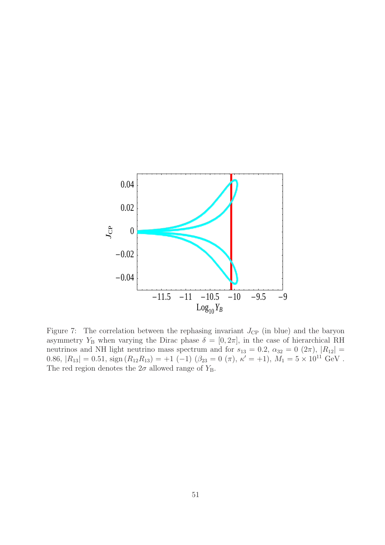

<span id="page-50-0"></span>Figure 7: The correlation between the rephasing invariant  $J_{\rm CP}$  (in blue) and the baryon asymmetry Y<sub>B</sub> when varying the Dirac phase  $\delta = [0, 2\pi]$ , in the case of hierarchical RH neutrinos and NH light neutrino mass spectrum and for  $s_{13} = 0.2$ ,  $\alpha_{32} = 0$   $(2\pi)$ ,  $|R_{12}| =$ 0.86,  $|R_{13}| = 0.51$ ,  $\text{sign}(R_{12}R_{13}) = +1$  (-1)  $(\beta_{23} = 0 \ (\pi), \ \kappa' = +1), M_1 = 5 \times 10^{11} \text{ GeV}.$ The red region denotes the  $2\sigma$  allowed range of  $Y_B$ .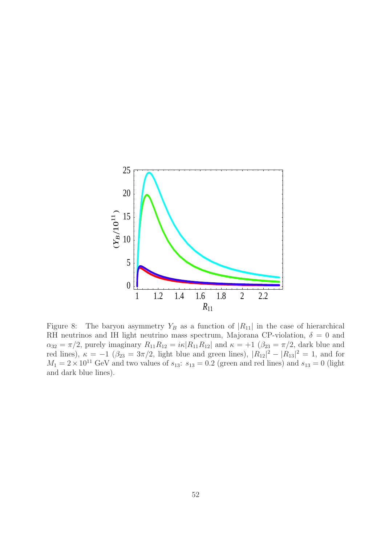

<span id="page-51-0"></span>Figure 8: The baryon asymmetry  $Y_B$  as a function of  $|R_{11}|$  in the case of hierarchical RH neutrinos and IH light neutrino mass spectrum, Majorana CP-violation,  $\delta = 0$  and  $\alpha_{32} = \pi/2$ , purely imaginary  $R_{11}R_{12} = i\kappa |R_{11}R_{12}|$  and  $\kappa = +1$   $(\beta_{23} = \pi/2$ , dark blue and red lines),  $\kappa = -1$  ( $\beta_{23} = 3\pi/2$ , light blue and green lines),  $|R_{12}|^2 - |R_{13}|^2 = 1$ , and for  $M_1 = 2 \times 10^{11}$  GeV and two values of  $s_{13}$ :  $s_{13} = 0.2$  (green and red lines) and  $s_{13} = 0$  (light and dark blue lines).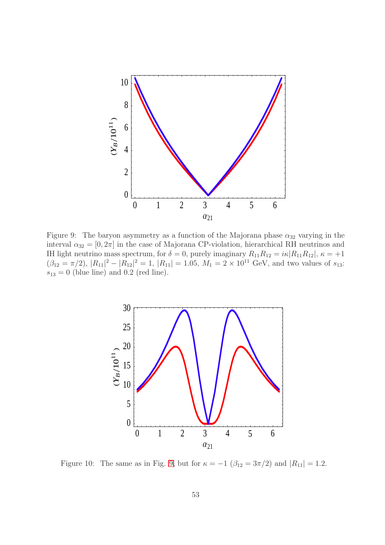

<span id="page-52-0"></span>Figure 9: The baryon asymmetry as a function of the Majorana phase  $\alpha_{32}$  varying in the interval  $\alpha_{32} = [0, 2\pi]$  in the case of Majorana CP-violation, hierarchical RH neutrinos and IH light neutrino mass spectrum, for  $\delta = 0$ , purely imaginary  $R_{11}R_{12} = i\kappa |R_{11}R_{12}|$ ,  $\kappa = +1$  $(\beta_{12} = \pi/2), |R_{11}|^2 - |R_{12}|^2 = 1, |R_{11}| = 1.05, M_1 = 2 \times 10^{11}$  GeV, and two values of  $s_{13}$ :  $s_{13} = 0$  (blue line) and 0.2 (red line).



<span id="page-52-1"></span>Figure 10: The same as in Fig. [9,](#page-52-0) but for  $\kappa = -1$  ( $\beta_{12} = 3\pi/2$ ) and  $|R_{11}| = 1.2$ .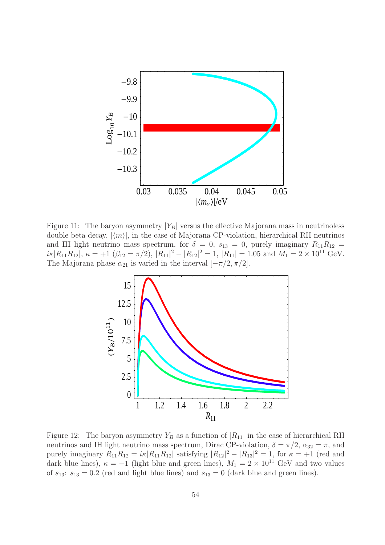

<span id="page-53-0"></span>Figure 11: The baryon asymmetry  $|Y_B|$  versus the effective Majorana mass in neutrinoless double beta decay,  $|\langle m \rangle|$ , in the case of Majorana CP-violation, hierarchical RH neutrinos and IH light neutrino mass spectrum, for  $\delta = 0$ ,  $s_{13} = 0$ , purely imaginary  $R_{11}R_{12} =$  $i\kappa |R_{11}R_{12}|$ ,  $\kappa = +1$  ( $\beta_{12} = \pi/2$ ),  $|R_{11}|^2 - |R_{12}|^2 = 1$ ,  $|R_{11}| = 1.05$  and  $M_1 = 2 \times 10^{11}$  GeV. The Majorana phase  $\alpha_{21}$  is varied in the interval  $[-\pi/2, \pi/2]$ .



<span id="page-53-1"></span>Figure 12: The baryon asymmetry  $Y_B$  as a function of  $|R_{11}|$  in the case of hierarchical RH neutrinos and IH light neutrino mass spectrum, Dirac CP-violation,  $\delta = \pi/2$ ,  $\alpha_{32} = \pi$ , and purely imaginary  $R_{11}R_{12} = i\kappa |R_{11}R_{12}|$  satisfying  $|R_{12}|^2 - |R_{13}|^2 = 1$ , for  $\kappa = +1$  (red and dark blue lines),  $\kappa = -1$  (light blue and green lines),  $M_1 = 2 \times 10^{11}$  GeV and two values of  $s_{13}$ :  $s_{13} = 0.2$  (red and light blue lines) and  $s_{13} = 0$  (dark blue and green lines).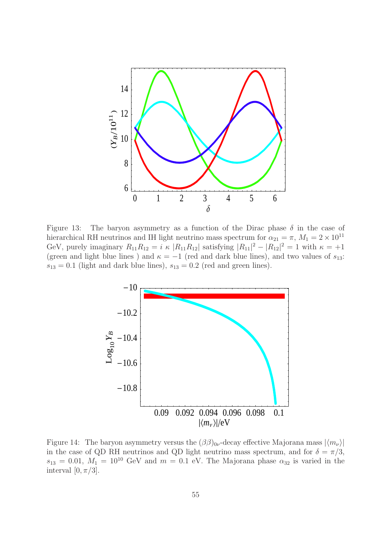

<span id="page-54-0"></span>Figure 13: The baryon asymmetry as a function of the Dirac phase  $\delta$  in the case of hierarchical RH neutrinos and IH light neutrino mass spectrum for  $\alpha_{21} = \pi$ ,  $M_1 = 2 \times 10^{11}$ GeV, purely imaginary  $R_{11}R_{12} = i \kappa |R_{11}R_{12}|$  satisfying  $|R_{11}|^2 - |R_{12}|^2 = 1$  with  $\kappa = +1$ (green and light blue lines) and  $\kappa = -1$  (red and dark blue lines), and two values of  $s_{13}$ :  $s_{13} = 0.1$  (light and dark blue lines),  $s_{13} = 0.2$  (red and green lines).



<span id="page-54-1"></span>Figure 14: The baryon asymmetry versus the  $(\beta\beta)_{0\nu}$ -decay effective Majorana mass  $|\langle m_{\nu}\rangle|$ in the case of QD RH neutrinos and QD light neutrino mass spectrum, and for  $\delta = \pi/3$ ,  $s_{13} = 0.01, M_1 = 10^{10}$  GeV and  $m = 0.1$  eV. The Majorana phase  $\alpha_{32}$  is varied in the interval  $[0, \pi/3]$ .